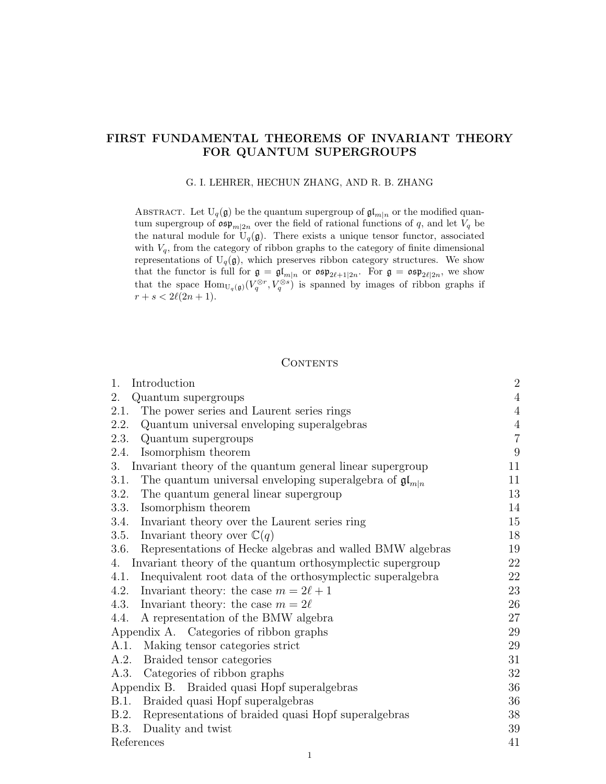# FIRST FUNDAMENTAL THEOREMS OF INVARIANT THEORY FOR QUANTUM SUPERGROUPS

### G. I. LEHRER, HECHUN ZHANG, AND R. B. ZHANG

ABSTRACT. Let  $U_q(\mathfrak{g})$  be the quantum supergroup of  $\mathfrak{gl}_{m|n}$  or the modified quantum supergroup of  $\mathfrak{osp}_{m|2n}$  over the field of rational functions of q, and let  $V_q$  be the natural module for  $U_q(\mathfrak{g})$ . There exists a unique tensor functor, associated with  $V_q$ , from the category of ribbon graphs to the category of finite dimensional representations of  $U_q(\mathfrak{g})$ , which preserves ribbon category structures. We show that the functor is full for  $\mathfrak{g} = \mathfrak{gl}_{m|n}$  or  $\mathfrak{osp}_{2\ell+1|2n}$ . For  $\mathfrak{g} = \mathfrak{osp}_{2\ell|2n}$ , we show that the space  $\text{Hom}_{U_q(\mathfrak{g})}(V_q^{\otimes r}, V_q^{\otimes s})$  is spanned by images of ribbon graphs if  $r + s < 2\ell(2n + 1).$ 

# CONTENTS

| 1.<br>Introduction                                                             | $\sqrt{2}$     |
|--------------------------------------------------------------------------------|----------------|
| 2.<br>Quantum supergroups                                                      | $\sqrt{4}$     |
| The power series and Laurent series rings<br>2.1.                              | $\sqrt{4}$     |
| Quantum universal enveloping superalgebras<br>2.2.                             | $\sqrt{4}$     |
| 2.3.<br>Quantum supergroups                                                    | $\overline{7}$ |
| Isomorphism theorem<br>2.4.                                                    | 9              |
| 3.<br>Invariant theory of the quantum general linear supergroup                | 11             |
| The quantum universal enveloping superalgebra of $\mathfrak{gl}_{m n}$<br>3.1. | 11             |
| The quantum general linear supergroup<br>3.2.                                  | 13             |
| Isomorphism theorem<br>3.3.                                                    | 14             |
| Invariant theory over the Laurent series ring<br>3.4.                          | 15             |
| Invariant theory over $\mathbb{C}(q)$<br>3.5.                                  | 18             |
| Representations of Hecke algebras and walled BMW algebras<br>3.6.              | 19             |
| Invariant theory of the quantum orthosymplectic supergroup<br>4.               | 22             |
| Inequivalent root data of the orthosymplectic superalgebra<br>4.1.             | 22             |
| 4.2.<br>Invariant theory: the case $m = 2\ell + 1$                             | 23             |
| Invariant theory: the case $m = 2\ell$<br>4.3.                                 | 26             |
| A representation of the BMW algebra<br>4.4.                                    | $27\,$         |
| Appendix A. Categories of ribbon graphs                                        | 29             |
| Making tensor categories strict<br>A.1.                                        | 29             |
| Braided tensor categories<br>A.2.                                              | 31             |
| Categories of ribbon graphs<br>A.3.                                            | $32\,$         |
| Appendix B. Braided quasi Hopf superalgebras                                   | 36             |
| Braided quasi Hopf superalgebras<br>B.1.                                       | 36             |
| Representations of braided quasi Hopf superalgebras<br>B.2.                    | 38             |
| B.3.<br>Duality and twist                                                      | 39             |
| References                                                                     | 41             |

1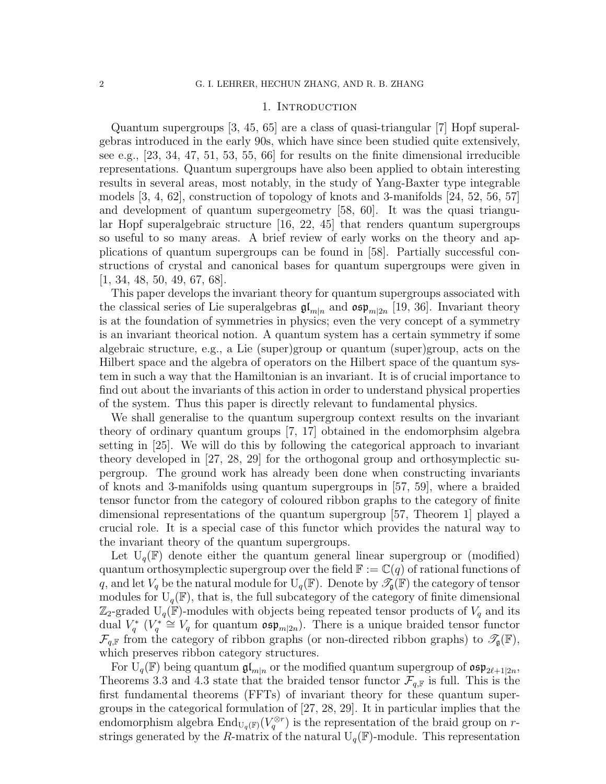### 1. Introduction

Quantum supergroups [3, 45, 65] are a class of quasi-triangular [7] Hopf superalgebras introduced in the early 90s, which have since been studied quite extensively, see e.g., [23, 34, 47, 51, 53, 55, 66] for results on the finite dimensional irreducible representations. Quantum supergroups have also been applied to obtain interesting results in several areas, most notably, in the study of Yang-Baxter type integrable models [3, 4, 62], construction of topology of knots and 3-manifolds [24, 52, 56, 57] and development of quantum supergeometry [58, 60]. It was the quasi triangular Hopf superalgebraic structure [16, 22, 45] that renders quantum supergroups so useful to so many areas. A brief review of early works on the theory and applications of quantum supergroups can be found in [58]. Partially successful constructions of crystal and canonical bases for quantum supergroups were given in [1, 34, 48, 50, 49, 67, 68].

This paper develops the invariant theory for quantum supergroups associated with the classical series of Lie superalgebras  $\mathfrak{gl}_{m|n}$  and  $\mathfrak{osp}_{m|2n}$  [19, 36]. Invariant theory is at the foundation of symmetries in physics; even the very concept of a symmetry is an invariant theorical notion. A quantum system has a certain symmetry if some algebraic structure, e.g., a Lie (super)group or quantum (super)group, acts on the Hilbert space and the algebra of operators on the Hilbert space of the quantum system in such a way that the Hamiltonian is an invariant. It is of crucial importance to find out about the invariants of this action in order to understand physical properties of the system. Thus this paper is directly relevant to fundamental physics.

We shall generalise to the quantum supergroup context results on the invariant theory of ordinary quantum groups [7, 17] obtained in the endomorphsim algebra setting in [25]. We will do this by following the categorical approach to invariant theory developed in [27, 28, 29] for the orthogonal group and orthosymplectic supergroup. The ground work has already been done when constructing invariants of knots and 3-manifolds using quantum supergroups in [57, 59], where a braided tensor functor from the category of coloured ribbon graphs to the category of finite dimensional representations of the quantum supergroup [57, Theorem 1] played a crucial role. It is a special case of this functor which provides the natural way to the invariant theory of the quantum supergroups.

Let  $U_q(\mathbb{F})$  denote either the quantum general linear supergroup or (modified) quantum orthosymplectic supergroup over the field  $\mathbb{F} := \mathbb{C}(q)$  of rational functions of q, and let  $V_q$  be the natural module for  $U_q(\mathbb{F})$ . Denote by  $\mathscr{T}_{q}(\mathbb{F})$  the category of tensor modules for  $U_q(\mathbb{F})$ , that is, the full subcategory of the category of finite dimensional  $\mathbb{Z}_2$ -graded U<sub>q</sub>(F)-modules with objects being repeated tensor products of  $V_q$  and its dual  $V_q^*$  ( $V_q^* \cong V_q$  for quantum  $\mathfrak{osp}_{m|2n}$ ). There is a unique braided tensor functor  $\mathcal{F}_{q,\mathbb{F}}$  from the category of ribbon graphs (or non-directed ribbon graphs) to  $\mathcal{T}_{\mathfrak{g}}(\mathbb{F}),$ which preserves ribbon category structures.

For  $\mathrm{U}_q(\mathbb{F})$  being quantum  $\mathfrak{gl}_{m|n}$  or the modified quantum supergroup of  $\mathfrak{osp}_{2\ell+1|2n}$ , Theorems 3.3 and 4.3 state that the braided tensor functor  $\mathcal{F}_{q,\mathbb{F}}$  is full. This is the first fundamental theorems (FFTs) of invariant theory for these quantum supergroups in the categorical formulation of [27, 28, 29]. It in particular implies that the endomorphism algebra  $\text{End}_{U_q(\mathbb{F})}(V_q^{\otimes r})$  is the representation of the braid group on rstrings generated by the R-matrix of the natural  $U_q(\mathbb{F})$ -module. This representation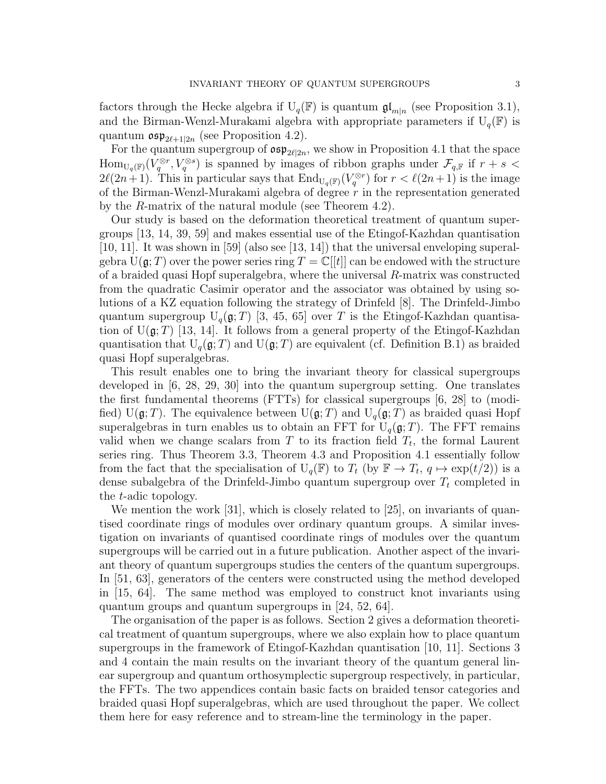factors through the Hecke algebra if  $U_q(\mathbb{F})$  is quantum  $\mathfrak{gl}_{m|n}$  (see Proposition 3.1), and the Birman-Wenzl-Murakami algebra with appropriate parameters if  $U_q(\mathbb{F})$  is quantum  $\mathfrak{osp}_{2\ell+1|2n}$  (see Proposition 4.2).

For the quantum supergroup of  $\mathfrak{osp}_{2\ell|2n}$ , we show in Proposition 4.1 that the space  $\text{Hom}_{U_q(\mathbb{F})}(V_q^{\otimes r}, V_q^{\otimes s})$  is spanned by images of ribbon graphs under  $\mathcal{F}_{q,\mathbb{F}}$  if  $r+s$  $2\ell(2n+1)$ . This in particular says that  $\text{End}_{U_q(\mathbb{F})}(V_q^{\otimes r})$  for  $r < \ell(2n+1)$  is the image of the Birman-Wenzl-Murakami algebra of degree  $r$  in the representation generated by the R-matrix of the natural module (see Theorem 4.2).

Our study is based on the deformation theoretical treatment of quantum supergroups [13, 14, 39, 59] and makes essential use of the Etingof-Kazhdan quantisation [10, 11]. It was shown in [59] (also see [13, 14]) that the universal enveloping superalgebra  $U(\mathfrak{g};T)$  over the power series ring  $T = \mathbb{C}[[t]]$  can be endowed with the structure of a braided quasi Hopf superalgebra, where the universal R-matrix was constructed from the quadratic Casimir operator and the associator was obtained by using solutions of a KZ equation following the strategy of Drinfeld [8]. The Drinfeld-Jimbo quantum supergroup  $U_q(\mathfrak{g};T)$  [3, 45, 65] over T is the Etingof-Kazhdan quantisation of  $U(\mathfrak{g};T)$  [13, 14]. It follows from a general property of the Etingof-Kazhdan quantisation that  $U_q(\mathfrak{g}; T)$  and  $U(\mathfrak{g}; T)$  are equivalent (cf. Definition B.1) as braided quasi Hopf superalgebras.

This result enables one to bring the invariant theory for classical supergroups developed in [6, 28, 29, 30] into the quantum supergroup setting. One translates the first fundamental theorems (FTTs) for classical supergroups [6, 28] to (modified) U( $\mathfrak{g}; T$ ). The equivalence between U( $\mathfrak{g}; T$ ) and U<sub>q</sub>( $\mathfrak{g}; T$ ) as braided quasi Hopf superalgebras in turn enables us to obtain an FFT for  $U_q(\mathfrak{g};T)$ . The FFT remains valid when we change scalars from  $T$  to its fraction field  $T_t$ , the formal Laurent series ring. Thus Theorem 3.3, Theorem 4.3 and Proposition 4.1 essentially follow from the fact that the specialisation of  $U_q(\mathbb{F})$  to  $T_t$  (by  $\mathbb{F} \to T_t$ ,  $q \mapsto \exp(t/2)$ ) is a dense subalgebra of the Drinfeld-Jimbo quantum supergroup over  $T_t$  completed in the t-adic topology.

We mention the work [31], which is closely related to [25], on invariants of quantised coordinate rings of modules over ordinary quantum groups. A similar investigation on invariants of quantised coordinate rings of modules over the quantum supergroups will be carried out in a future publication. Another aspect of the invariant theory of quantum supergroups studies the centers of the quantum supergroups. In [51, 63], generators of the centers were constructed using the method developed in [15, 64]. The same method was employed to construct knot invariants using quantum groups and quantum supergroups in [24, 52, 64].

The organisation of the paper is as follows. Section 2 gives a deformation theoretical treatment of quantum supergroups, where we also explain how to place quantum supergroups in the framework of Etingof-Kazhdan quantisation [10, 11]. Sections 3 and 4 contain the main results on the invariant theory of the quantum general linear supergroup and quantum orthosymplectic supergroup respectively, in particular, the FFTs. The two appendices contain basic facts on braided tensor categories and braided quasi Hopf superalgebras, which are used throughout the paper. We collect them here for easy reference and to stream-line the terminology in the paper.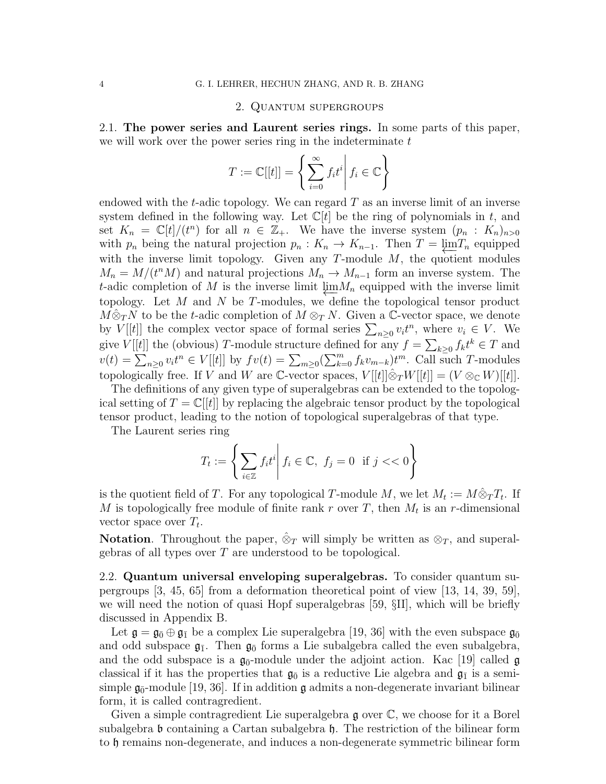#### 2. Quantum supergroups

2.1. The power series and Laurent series rings. In some parts of this paper, we will work over the power series ring in the indeterminate  $t$ 

$$
T := \mathbb{C}[[t]] = \left\{ \sum_{i=0}^{\infty} f_i t^i \middle| f_i \in \mathbb{C} \right\}
$$

endowed with the t-adic topology. We can regard  $T$  as an inverse limit of an inverse system defined in the following way. Let  $\mathbb{C}[t]$  be the ring of polynomials in t, and set  $K_n = \mathbb{C}[t]/(t^n)$  for all  $n \in \mathbb{Z}_+$ . We have the inverse system  $(p_n : K_n)_{n>0}$ with  $p_n$  being the natural projection  $p_n : K_n \to K_{n-1}$ . Then  $T = \underline{\lim} T_n$  equipped with the inverse limit topology. Given any  $T$ -module  $M$ , the quotient modules  $M_n = M/(t^n M)$  and natural projections  $M_n \to M_{n-1}$  form an inverse system. The t-adic completion of M is the inverse limit  $\lim M_n$  equipped with the inverse limit topology. Let M and N be T-modules, we define the topological tensor product  $M\hat{\otimes}_T N$  to be the t-adic completion of  $M\otimes_T N$ . Given a C-vector space, we denote by  $V[[t]]$  the complex vector space of formal series  $\sum_{n\geq 0} v_i t^n$ , where  $v_i \in V$ . We give  $V[[t]]$  the (obvious) T-module structure defined for any  $f = \sum_{k\geq 0} f_k t^k \in T$  and  $v(t) = \sum_{n\geq 0} v_i t^n \in V[[t]]$  by  $fv(t) = \sum_{m\geq 0} (\sum_{k=0}^m f_k v_{m-k}) t^m$ . Call such T-modules topologically free. If V and W are C-vector spaces,  $V[[t]] \hat{\otimes}_T W[[t]] = (V \otimes_{\mathbb{C}} W)[[t]]$ .

The definitions of any given type of superalgebras can be extended to the topological setting of  $T = \mathbb{C}[[t]]$  by replacing the algebraic tensor product by the topological tensor product, leading to the notion of topological superalgebras of that type.

The Laurent series ring

$$
T_t := \left\{ \sum_{i \in \mathbb{Z}} f_i t^i \middle| f_i \in \mathbb{C}, \ f_j = 0 \text{ if } j < \infty \right\}
$$

is the quotient field of T. For any topological T-module M, we let  $M_t := M \hat{\otimes}_T T_t$ . If M is topologically free module of finite rank r over T, then  $M_t$  is an r-dimensional vector space over  $T_t$ .

**Notation.** Throughout the paper,  $\hat{\otimes}_T$  will simply be written as  $\otimes_T$ , and superalgebras of all types over T are understood to be topological.

2.2. Quantum universal enveloping superalgebras. To consider quantum supergroups [3, 45, 65] from a deformation theoretical point of view [13, 14, 39, 59], we will need the notion of quasi Hopf superalgebras [59, §II], which will be briefly discussed in Appendix B.

Let  $\mathfrak{g} = \mathfrak{g}_{\bar{0}} \oplus \mathfrak{g}_{\bar{1}}$  be a complex Lie superalgebra [19, 36] with the even subspace  $\mathfrak{g}_{\bar{0}}$ and odd subspace  $\mathfrak{g}_{\bar{1}}$ . Then  $\mathfrak{g}_{\bar{0}}$  forms a Lie subalgebra called the even subalgebra, and the odd subspace is a  $\mathfrak{g}_{\bar{0}}$ -module under the adjoint action. Kac [19] called  $\mathfrak{g}$ classical if it has the properties that  $\mathfrak{g}_{\bar{0}}$  is a reductive Lie algebra and  $\mathfrak{g}_{\bar{1}}$  is a semisimple  $\mathfrak{g}_{\bar{0}}$ -module [19, 36]. If in addition  $\mathfrak g$  admits a non-degenerate invariant bilinear form, it is called contragredient.

Given a simple contragredient Lie superalgebra  $\mathfrak g$  over  $\mathbb C$ , we choose for it a Borel subalgebra  $\mathfrak b$  containing a Cartan subalgebra  $\mathfrak h$ . The restriction of the bilinear form to h remains non-degenerate, and induces a non-degenerate symmetric bilinear form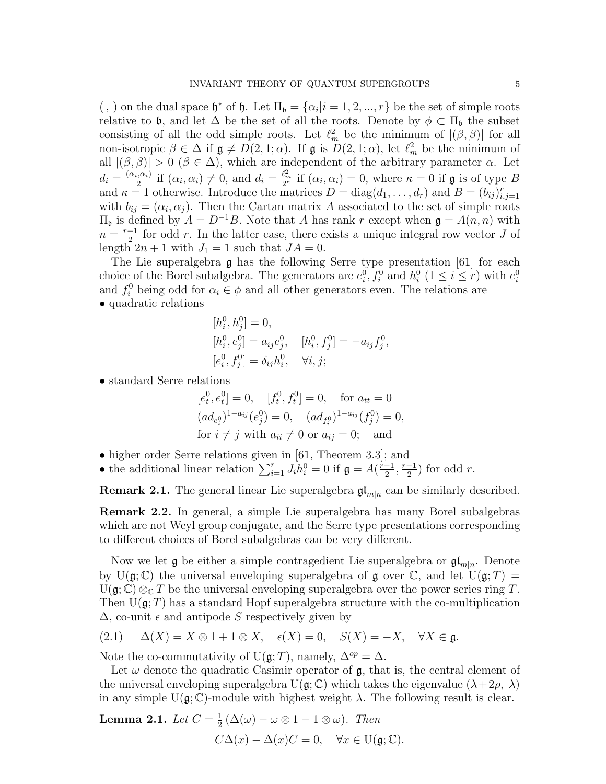(,) on the dual space  $\mathfrak{h}^*$  of  $\mathfrak{h}$ . Let  $\Pi_{\mathfrak{b}} = {\alpha_i | i = 1, 2, ..., r}$  be the set of simple roots relative to b, and let  $\Delta$  be the set of all the roots. Denote by  $\phi \subset \Pi_{\mathfrak{b}}$  the subset consisting of all the odd simple roots. Let  $\ell_m^2$  be the minimum of  $|(\beta, \beta)|$  for all non-isotropic  $\beta \in \Delta$  if  $\mathfrak{g} \neq D(2, 1; \alpha)$ . If  $\mathfrak{g}$  is  $D(2, 1; \alpha)$ , let  $\ell_m^2$  be the minimum of all  $|(\beta, \beta)| > 0 \ (\beta \in \Delta)$ , which are independent of the arbitrary parameter  $\alpha$ . Let  $d_i = \frac{(\alpha_i, \alpha_i)}{2}$  $\frac{a_i}{2}$  if  $(\alpha_i, \alpha_i) \neq 0$ , and  $d_i = \frac{\ell_m^2}{2\kappa}$  $\frac{\ell_m^2}{2^{\kappa}}$  if  $(\alpha_i, \alpha_i) = 0$ , where  $\kappa = 0$  if  $\mathfrak g$  is of type B and  $\kappa = 1$  otherwise. Introduce the matrices  $D = \text{diag}(d_1, \ldots, d_r)$  and  $B = (b_{ij})_{i,j=1}^r$ with  $b_{ij} = (\alpha_i, \alpha_j)$ . Then the Cartan matrix A associated to the set of simple roots  $\Pi$ <sub>b</sub> is defined by  $A = D^{-1}B$ . Note that A has rank r except when **g** = A(n, n) with  $n = \frac{r-1}{2}$  $\frac{-1}{2}$  for odd r. In the latter case, there exists a unique integral row vector J of length  $2n + 1$  with  $J_1 = 1$  such that  $JA = 0$ .

The Lie superalgebra  $\mathfrak g$  has the following Serre type presentation [61] for each choice of the Borel subalgebra. The generators are  $e_i^0, f_i^0$  and  $h_i^0$   $(1 \le i \le r)$  with  $e_i^0$ and  $f_i^0$  being odd for  $\alpha_i \in \phi$  and all other generators even. The relations are • quadratic relations

$$
[h_i^0, h_j^0] = 0,
$$
  
\n
$$
[h_i^0, e_j^0] = a_{ij}e_j^0, \quad [h_i^0, f_j^0] = -a_{ij}f_j^0,
$$
  
\n
$$
[e_i^0, f_j^0] = \delta_{ij}h_i^0, \quad \forall i, j;
$$

• standard Serre relations

$$
[e_t^0, e_t^0] = 0
$$
,  $[f_t^0, f_t^0] = 0$ , for  $a_{tt} = 0$   
\n $(ad_{e_t^0})^{1-a_{ij}}(e_j^0) = 0$ ,  $(ad_{f_t^0})^{1-a_{ij}}(f_j^0) = 0$ ,  
\nfor  $i \neq j$  with  $a_{ii} \neq 0$  or  $a_{ij} = 0$ ; and

- higher order Serre relations given in [61, Theorem 3.3]; and
- the additional linear relation  $\sum_{i=1}^{r} J_i h_i^0 = 0$  if  $\mathfrak{g} = A(\frac{r-1}{2})$  $\frac{-1}{2}$ ,  $\frac{r-1}{2}$  $\frac{-1}{2}$ ) for odd r.

**Remark 2.1.** The general linear Lie superalgebra  $\mathfrak{gl}_{m|n}$  can be similarly described.

Remark 2.2. In general, a simple Lie superalgebra has many Borel subalgebras which are not Weyl group conjugate, and the Serre type presentations corresponding to different choices of Borel subalgebras can be very different.

Now we let  $\mathfrak g$  be either a simple contragedient Lie superalgebra or  $\mathfrak{gl}_{m|n}$ . Denote by  $U(g; \mathbb{C})$  the universal enveloping superalgebra of g over  $\mathbb{C}$ , and let  $U(g; T) =$  $U(\mathfrak{g}; \mathbb{C}) \otimes_{\mathbb{C}} T$  be the universal enveloping superalgebra over the power series ring T. Then  $U(\mathfrak{g};T)$  has a standard Hopf superalgebra structure with the co-multiplication  $\Delta$ , co-unit  $\epsilon$  and antipode S respectively given by

$$
(2.1) \quad \Delta(X) = X \otimes 1 + 1 \otimes X, \quad \epsilon(X) = 0, \quad S(X) = -X, \quad \forall X \in \mathfrak{g}.
$$

Note the co-commutativity of U( $\mathfrak{g}; T$ ), namely,  $\Delta^{op} = \Delta$ .

Let  $\omega$  denote the quadratic Casimir operator of  $\mathfrak{g}$ , that is, the central element of the universal enveloping superalgebra  $U(\mathfrak{g}; \mathbb{C})$  which takes the eigenvalue  $(\lambda + 2\rho, \lambda)$ in any simple  $U(\mathfrak{g}; \mathbb{C})$ -module with highest weight  $\lambda$ . The following result is clear.

**Lemma 2.1.** Let 
$$
C = \frac{1}{2} (\Delta(\omega) - \omega \otimes 1 - 1 \otimes \omega)
$$
. Then  

$$
C\Delta(x) - \Delta(x)C = 0, \quad \forall x \in \mathcal{U}(\mathfrak{g}; \mathbb{C}).
$$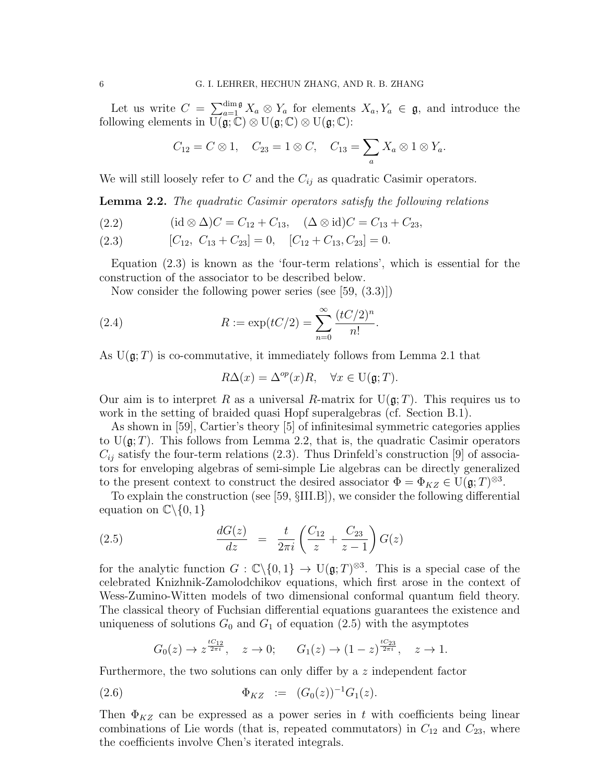Let us write  $C = \sum_{a=1}^{\dim \mathfrak{g}} X_a \otimes Y_a$  for elements  $X_a, Y_a \in \mathfrak{g}$ , and introduce the following elements in  $U(\mathfrak{g}; \mathbb{C}) \otimes U(\mathfrak{g}; \mathbb{C}) \otimes U(\mathfrak{g}; \mathbb{C})$ :

$$
C_{12}=C\otimes 1, \quad C_{23}=1\otimes C, \quad C_{13}=\sum_a X_a\otimes 1\otimes Y_a.
$$

We will still loosely refer to C and the  $C_{ij}$  as quadratic Casimir operators.

Lemma 2.2. The quadratic Casimir operators satisfy the following relations

- (2.2)  $(id \otimes \Delta)C = C_{12} + C_{13}, \quad (\Delta \otimes id)C = C_{13} + C_{23},$
- (2.3)  $[C_{12}, C_{13} + C_{23}] = 0, [C_{12} + C_{13}, C_{23}] = 0.$

Equation (2.3) is known as the 'four-term relations', which is essential for the construction of the associator to be described below.

Now consider the following power series (see [59, (3.3)])

(2.4) 
$$
R := \exp(tC/2) = \sum_{n=0}^{\infty} \frac{(tC/2)^n}{n!}.
$$

As  $U(\mathfrak{g};T)$  is co-commutative, it immediately follows from Lemma 2.1 that

$$
R\Delta(x) = \Delta^{op}(x)R, \quad \forall x \in \mathcal{U}(\mathfrak{g};T).
$$

Our aim is to interpret R as a universal R-matrix for  $U(\mathfrak{g};T)$ . This requires us to work in the setting of braided quasi Hopf superalgebras (cf. Section B.1).

As shown in [59], Cartier's theory [5] of infinitesimal symmetric categories applies to  $U(g;T)$ . This follows from Lemma 2.2, that is, the quadratic Casimir operators  $C_{ij}$  satisfy the four-term relations (2.3). Thus Drinfeld's construction [9] of associators for enveloping algebras of semi-simple Lie algebras can be directly generalized to the present context to construct the desired associator  $\Phi = \Phi_{KZ} \in U(\mathfrak{g};T)^{\otimes 3}$ .

To explain the construction (see [59, §III.B]), we consider the following differential equation on  $\mathbb{C}\backslash\{0,1\}$ 

(2.5) 
$$
\frac{dG(z)}{dz} = \frac{t}{2\pi i} \left( \frac{C_{12}}{z} + \frac{C_{23}}{z - 1} \right) G(z)
$$

for the analytic function  $G : \mathbb{C}\backslash\{0,1\} \to U(\mathfrak{g};T)^{\otimes 3}$ . This is a special case of the celebrated Knizhnik-Zamolodchikov equations, which first arose in the context of Wess-Zumino-Witten models of two dimensional conformal quantum field theory. The classical theory of Fuchsian differential equations guarantees the existence and uniqueness of solutions  $G_0$  and  $G_1$  of equation (2.5) with the asymptotes

$$
G_0(z) \to z^{\frac{tC_{12}}{2\pi i}}, \quad z \to 0; \qquad G_1(z) \to (1-z)^{\frac{tC_{23}}{2\pi i}}, \quad z \to 1.
$$

Furthermore, the two solutions can only differ by a z independent factor

(2.6) 
$$
\Phi_{KZ} := (G_0(z))^{-1} G_1(z).
$$

Then  $\Phi_{KZ}$  can be expressed as a power series in t with coefficients being linear combinations of Lie words (that is, repeated commutators) in  $C_{12}$  and  $C_{23}$ , where the coefficients involve Chen's iterated integrals.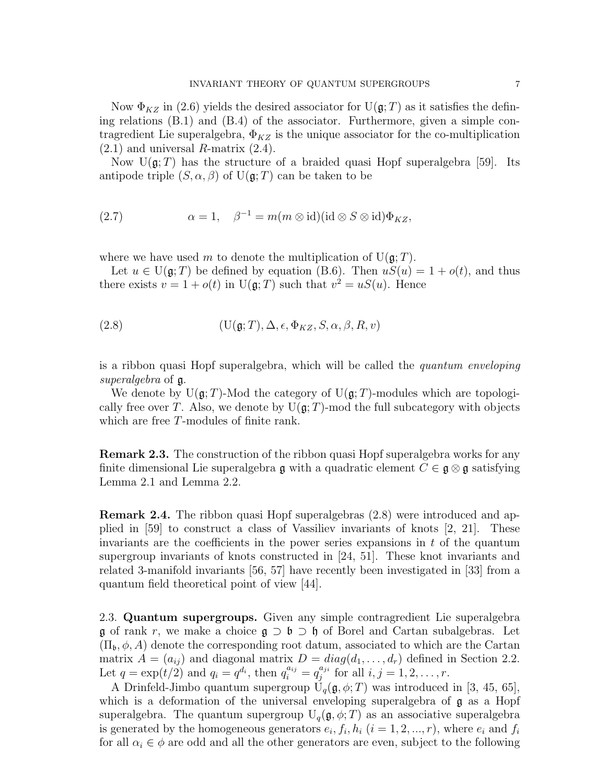Now  $\Phi_{KZ}$  in (2.6) yields the desired associator for U( $\mathfrak{g}; T$ ) as it satisfies the defining relations (B.1) and (B.4) of the associator. Furthermore, given a simple contragredient Lie superalgebra,  $\Phi_{KZ}$  is the unique associator for the co-multiplication  $(2.1)$  and universal R-matrix  $(2.4)$ .

Now  $U(\mathfrak{g};T)$  has the structure of a braided quasi Hopf superalgebra [59]. Its antipode triple  $(S, \alpha, \beta)$  of  $U(\mathfrak{g}; T)$  can be taken to be

(2.7) 
$$
\alpha = 1, \quad \beta^{-1} = m(m \otimes id)(id \otimes S \otimes id)\Phi_{KZ},
$$

where we have used m to denote the multiplication of  $U(\mathfrak{g};T)$ .

Let  $u \in U(\mathfrak{g};T)$  be defined by equation (B.6). Then  $uS(u) = 1 + o(t)$ , and thus there exists  $v = 1 + o(t)$  in  $U(g; T)$  such that  $v^2 = uS(u)$ . Hence

(2.8) 
$$
(\mathbf{U}(\mathfrak{g};T), \Delta, \epsilon, \Phi_{KZ}, S, \alpha, \beta, R, v)
$$

is a ribbon quasi Hopf superalgebra, which will be called the quantum enveloping superalgebra of  $\mathfrak{g}$ .

We denote by  $U(\mathfrak{g}; T)$ -Mod the category of  $U(\mathfrak{g}; T)$ -modules which are topologically free over T. Also, we denote by  $U(g;T)$ -mod the full subcategory with objects which are free T-modules of finite rank.

Remark 2.3. The construction of the ribbon quasi Hopf superalgebra works for any finite dimensional Lie superalgebra g with a quadratic element  $C \in \mathfrak{g} \otimes \mathfrak{g}$  satisfying Lemma 2.1 and Lemma 2.2.

Remark 2.4. The ribbon quasi Hopf superalgebras (2.8) were introduced and applied in [59] to construct a class of Vassiliev invariants of knots [2, 21]. These invariants are the coefficients in the power series expansions in  $t$  of the quantum supergroup invariants of knots constructed in [24, 51]. These knot invariants and related 3-manifold invariants [56, 57] have recently been investigated in [33] from a quantum field theoretical point of view [44].

2.3. Quantum supergroups. Given any simple contragredient Lie superalgebra g of rank r, we make a choice  $\mathfrak{g} \supset \mathfrak{b} \supset \mathfrak{h}$  of Borel and Cartan subalgebras. Let  $(\Pi_{\mathfrak{b}}, \phi, A)$  denote the corresponding root datum, associated to which are the Cartan matrix  $A = (a_{ij})$  and diagonal matrix  $D = diag(d_1, \ldots, d_r)$  defined in Section 2.2. Let  $q = \exp(t/2)$  and  $q_i = q^{d_i}$ , then  $q_i^{a_{ij}} = q_j^{a_{ji}}$  $j_j^{a_{ji}}$  for all  $i, j = 1, 2, ..., r$ .

A Drinfeld-Jimbo quantum supergroup  $U_q(\mathfrak{g}, \phi; T)$  was introduced in [3, 45, 65], which is a deformation of the universal enveloping superalgebra of  $\mathfrak g$  as a Hopf superalgebra. The quantum supergroup  $U_q(\mathfrak{g}, \phi; T)$  as an associative superalgebra is generated by the homogeneous generators  $e_i, f_i, h_i$   $(i = 1, 2, ..., r)$ , where  $e_i$  and  $f_i$ for all  $\alpha_i \in \phi$  are odd and all the other generators are even, subject to the following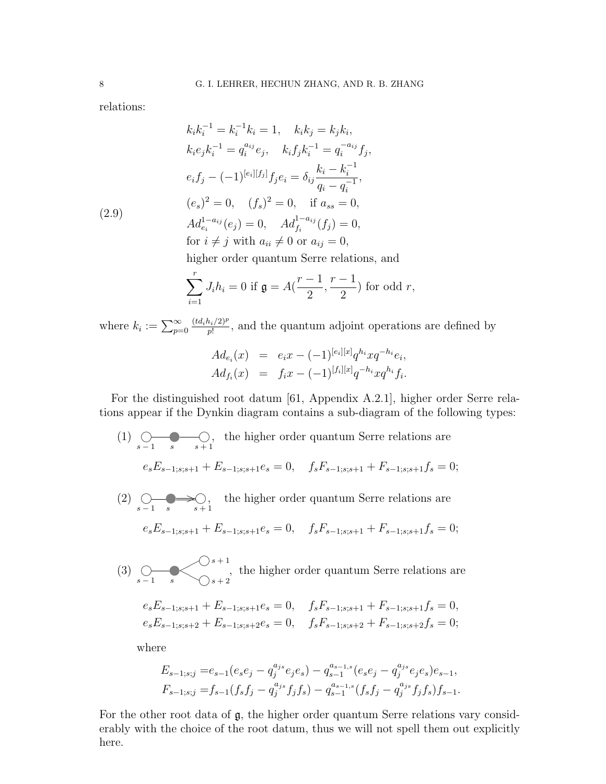relations:

(2.9)  
\n
$$
k_{i}k_{i}^{-1} = k_{i}^{-1}k_{i} = 1, \quad k_{i}k_{j} = k_{j}k_{i},
$$
\n
$$
k_{i}e_{j}k_{i}^{-1} = q_{i}^{a_{ij}}e_{j}, \quad k_{i}f_{j}k_{i}^{-1} = q_{i}^{-a_{ij}}f_{j},
$$
\n
$$
e_{i}f_{j} - (-1)^{[e_{i}][f_{j}]}f_{j}e_{i} = \delta_{ij}\frac{k_{i} - k_{i}^{-1}}{q_{i} - q_{i}^{-1}},
$$
\n
$$
(e_{s})^{2} = 0, \quad (f_{s})^{2} = 0, \quad \text{if } a_{ss} = 0,
$$
\n
$$
Ad_{e_{i}}^{1-a_{ij}}(e_{j}) = 0, \quad Ad_{f_{i}}^{1-a_{ij}}(f_{j}) = 0,
$$
\n
$$
\text{for } i \neq j \text{ with } a_{ii} \neq 0 \text{ or } a_{ij} = 0,
$$

higher order quantum Serre relations, and

$$
\sum_{i=1}^{r} J_i h_i = 0 \text{ if } \mathfrak{g} = A\left(\frac{r-1}{2}, \frac{r-1}{2}\right) \text{ for odd } r,
$$

where  $k_i := \sum_{p=0}^{\infty}$  $(td_ih_i/2)^p$  $\frac{n_i/2)^p}{p!}$ , and the quantum adjoint operations are defined by

$$
Ad_{e_i}(x) = e_i x - (-1)^{[e_i][x]} q^{h_i} x q^{-h_i} e_i,
$$
  

$$
Ad_{f_i}(x) = f_i x - (-1)^{[f_i][x]} q^{-h_i} x q^{h_i} f_i.
$$

For the distinguished root datum [61, Appendix A.2.1], higher order Serre relations appear if the Dynkin diagram contains a sub-diagram of the following types:

 $(1)$   $\bigcirc$  $s - 1$ ② s ✐  $s + 1$ , the higher order quantum Serre relations are  $e_s E_{s-1;s;s+1} + E_{s-1;s;s+1}e_s = 0, \quad f_s F_{s-1;s;s+1} + F_{s-1;s;s+1}f_s = 0;$  $(2)$   $\bigcirc$  $s - 1$  $\overline{\phantom{a}}$ s  $\Rightarrow$  $s+1$ , the higher order quantum Serre relations are  $e_s E_{s-1;s;s+1} + E_{s-1;s;s+1}e_s = 0, \quad f_s F_{s-1;s;s+1} + F_{s-1;s;s+1}f_s = 0;$  $(3)$   $\bigcirc$  $\blacktriangleright$ ✟✟  $<\,$  $\big)$ s + 1 , the higher order quantum Serre relations are

$$
e_s E_{s-1;s;s+1} + E_{s-1;s;s+1}e_s = 0, \quad f_s F_{s-1;s;s+1} + F_{s-1;s;s+1}f_s = 0,
$$
  

$$
e_s E_{s-1;s;s+2} + E_{s-1;s;s+2}e_s = 0, \quad f_s F_{s-1;s;s+2} + F_{s-1;s;s+2}f_s = 0;
$$

where

 $s - 1$ 

s

 $\big)$ s + 2

$$
\begin{aligned} E_{s-1;s;j}= & e_{s-1}(e_se_j-q_j^{a_{js}}e_je_s)-q_{s-1}^{a_{s-1,s}}(e_se_j-q_j^{a_{js}}e_je_s)e_{s-1}, \\ F_{s-1;s;j}= & f_{s-1}(f_sf_j-q_j^{a_{js}}f_jf_s)-q_{s-1}^{a_{s-1,s}}(f_sf_j-q_j^{a_{js}}f_jf_s)f_{s-1}. \end{aligned}
$$

For the other root data of  $\mathfrak{g}$ , the higher order quantum Serre relations vary considerably with the choice of the root datum, thus we will not spell them out explicitly here.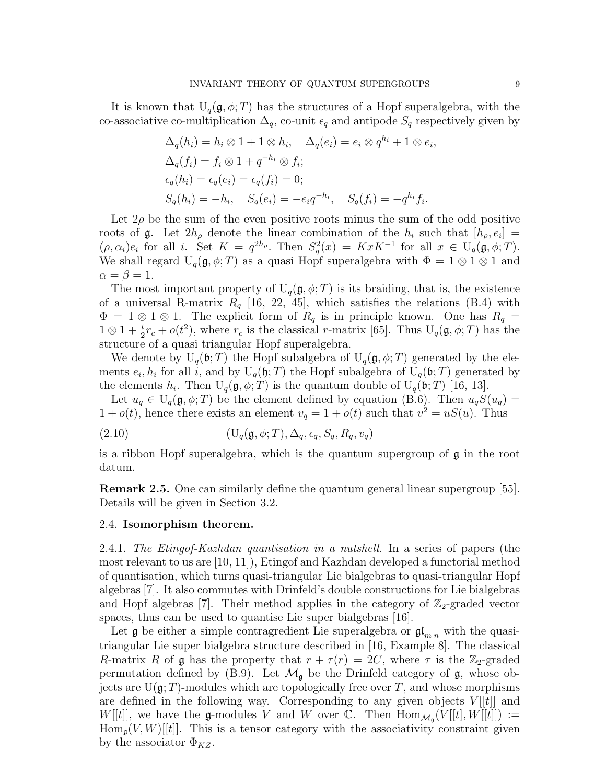It is known that  $U_q(\mathfrak{g}, \phi; T)$  has the structures of a Hopf superalgebra, with the co-associative co-multiplication  $\Delta_q$ , co-unit  $\epsilon_q$  and antipode  $S_q$  respectively given by

$$
\Delta_q(h_i) = h_i \otimes 1 + 1 \otimes h_i, \quad \Delta_q(e_i) = e_i \otimes q^{h_i} + 1 \otimes e_i
$$
  
\n
$$
\Delta_q(f_i) = f_i \otimes 1 + q^{-h_i} \otimes f_i;
$$
  
\n
$$
\epsilon_q(h_i) = \epsilon_q(e_i) = \epsilon_q(f_i) = 0;
$$
  
\n
$$
S_q(h_i) = -h_i, \quad S_q(e_i) = -e_i q^{-h_i}, \quad S_q(f_i) = -q^{h_i} f_i.
$$

Let  $2\rho$  be the sum of the even positive roots minus the sum of the odd positive roots of  $\mathfrak g$ . Let  $2h_{\rho}$  denote the linear combination of the  $h_i$  such that  $[h_{\rho}, e_i] =$  $(\rho, \alpha_i)e_i$  for all i. Set  $K = q^{2h_{\rho}}$ . Then  $S_q^2(x) = KxK^{-1}$  for all  $x \in U_q(\mathfrak{g}, \phi; T)$ . We shall regard  $U_q(\mathfrak{g}, \phi; T)$  as a quasi Hopf superalgebra with  $\Phi = 1 \otimes 1 \otimes 1$  and  $\alpha = \beta = 1.$ 

The most important property of  $U_q(\mathfrak{g}, \phi; T)$  is its braiding, that is, the existence of a universal R-matrix  $R_q$  [16, 22, 45], which satisfies the relations (B.4) with  $\Phi = 1 \otimes 1 \otimes 1$ . The explicit form of  $R_q$  is in principle known. One has  $R_q =$  $1 \otimes 1 + \frac{t}{2}r_c + o(t^2)$ , where  $r_c$  is the classical r-matrix [65]. Thus  $U_q(\mathfrak{g}, \phi; T)$  has the structure of a quasi triangular Hopf superalgebra.

We denote by  $U_q(\mathfrak{b};T)$  the Hopf subalgebra of  $U_q(\mathfrak{g}, \phi;T)$  generated by the elements  $e_i, h_i$  for all i, and by  $U_q(\mathfrak{h}; T)$  the Hopf subalgebra of  $U_q(\mathfrak{b}; T)$  generated by the elements  $h_i$ . Then  $U_q(\mathfrak{g}, \phi; T)$  is the quantum double of  $U_q(\mathfrak{b}; T)$  [16, 13].

Let  $u_q \in U_q(\mathfrak{g}, \phi; T)$  be the element defined by equation (B.6). Then  $u_qS(u_q)$  =  $1 + o(t)$ , hence there exists an element  $v_q = 1 + o(t)$  such that  $v^2 = uS(u)$ . Thus

$$
(2.10) \qquad \qquad (\mathcal{U}_q(\mathfrak{g}, \phi; T), \Delta_q, \epsilon_q, S_q, R_q, v_q)
$$

is a ribbon Hopf superalgebra, which is the quantum supergroup of g in the root datum.

Remark 2.5. One can similarly define the quantum general linear supergroup [55]. Details will be given in Section 3.2.

## 2.4. Isomorphism theorem.

2.4.1. The Etingof-Kazhdan quantisation in a nutshell. In a series of papers (the most relevant to us are [10, 11]), Etingof and Kazhdan developed a functorial method of quantisation, which turns quasi-triangular Lie bialgebras to quasi-triangular Hopf algebras [7]. It also commutes with Drinfeld's double constructions for Lie bialgebras and Hopf algebras [7]. Their method applies in the category of  $\mathbb{Z}_2$ -graded vector spaces, thus can be used to quantise Lie super bialgebras [16].

Let  $\mathfrak g$  be either a simple contragredient Lie superalgebra or  $\mathfrak{gl}_{m|n}$  with the quasitriangular Lie super bialgebra structure described in [16, Example 8]. The classical R-matrix R of g has the property that  $r + \tau(r) = 2C$ , where  $\tau$  is the  $\mathbb{Z}_2$ -graded permutation defined by (B.9). Let  $\mathcal{M}_{\mathfrak{g}}$  be the Drinfeld category of  $\mathfrak{g}$ , whose objects are  $U(\mathfrak{g};T)$ -modules which are topologically free over T, and whose morphisms are defined in the following way. Corresponding to any given objects  $V[[t]]$  and  $W[[t]]$ , we have the g-modules V and W over C. Then  $\text{Hom}_{\mathcal{M}_{\mathfrak{g}}}(V[[t],W[[t]]) :=$  $\text{Hom}_{\mathfrak{g}}(V, W)[[t]]$ . This is a tensor category with the associativity constraint given by the associator  $\Phi_{KZ}$ .

,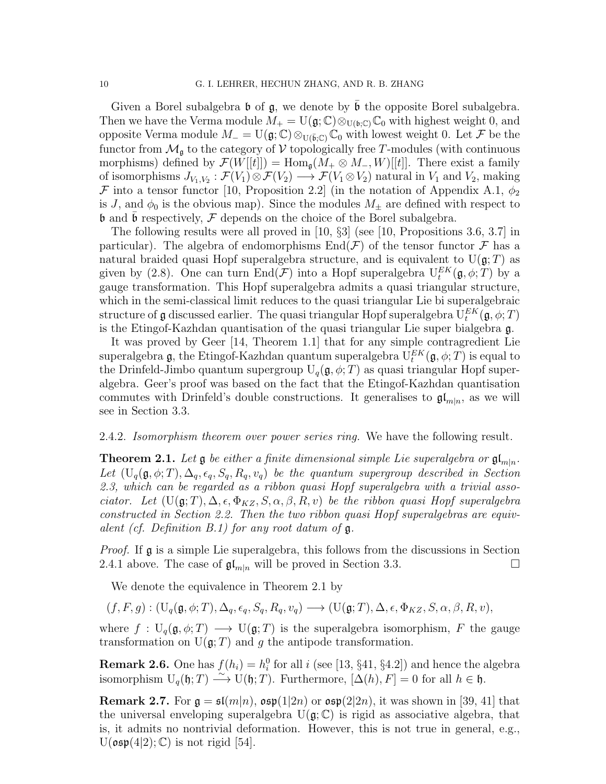Given a Borel subalgebra  $\mathfrak b$  of  $\mathfrak g$ , we denote by  $\mathfrak b$  the opposite Borel subalgebra. Then we have the Verma module  $M_+ = U(\mathfrak{g}; \mathbb{C}) \otimes_{U(\mathfrak{b}; \mathbb{C})} \mathbb{C}_0$  with highest weight 0, and opposite Verma module  $M = U(\mathfrak{g}; \mathbb{C}) \otimes_{U(\bar{\mathfrak{b}}:\mathbb{C})} \mathbb{C}_0$  with lowest weight 0. Let F be the functor from  $\mathcal{M}_{\mathfrak{g}}$  to the category of V topologically free T-modules (with continuous morphisms) defined by  $\mathcal{F}(W[[t]]) = \text{Hom}_{\mathfrak{a}}(M_+ \otimes M_-, W)[[t]]$ . There exist a family of isomorphisms  $J_{V_1,V_2}: \mathcal{F}(V_1) \otimes \mathcal{F}(V_2) \longrightarrow \mathcal{F}(V_1 \otimes V_2)$  natural in  $V_1$  and  $V_2$ , making F into a tensor functor [10, Proposition 2.2] (in the notation of Appendix A.1,  $\phi_2$ ) is J, and  $\phi_0$  is the obvious map). Since the modules  $M_{\pm}$  are defined with respect to  $\mathfrak b$  and  $\mathfrak b$  respectively,  $\mathcal F$  depends on the choice of the Borel subalgebra.

The following results were all proved in [10, §3] (see [10, Propositions 3.6, 3.7] in particular). The algebra of endomorphisms  $\text{End}(\mathcal{F})$  of the tensor functor  $\mathcal F$  has a natural braided quasi Hopf superalgebra structure, and is equivalent to  $U(\mathfrak{g};T)$  as given by (2.8). One can turn  $\text{End}(\mathcal{F})$  into a Hopf superalgebra  $U_t^{EK}(\mathfrak{g}, \phi; T)$  by a gauge transformation. This Hopf superalgebra admits a quasi triangular structure, which in the semi-classical limit reduces to the quasi triangular Lie bi superalgebraic structure of  $\frak g$  discussed earlier. The quasi triangular Hopf superalgebra  ${\rm U}_t^{EK}(\frak g,\phi;T)$ is the Etingof-Kazhdan quantisation of the quasi triangular Lie super bialgebra g.

It was proved by Geer [14, Theorem 1.1] that for any simple contragredient Lie superalgebra  $\mathfrak g,$  the Etingof-Kazhdan quantum superalgebra  ${\rm U}_t^{EK}(\mathfrak g,\phi;T)$  is equal to the Drinfeld-Jimbo quantum supergroup  $U_q(\mathfrak{g}, \phi; T)$  as quasi triangular Hopf superalgebra. Geer's proof was based on the fact that the Etingof-Kazhdan quantisation commutes with Drinfeld's double constructions. It generalises to  $\mathfrak{gl}_{m|n}$ , as we will see in Section 3.3.

# 2.4.2. Isomorphism theorem over power series ring. We have the following result.

**Theorem 2.1.** Let  $\mathfrak g$  be either a finite dimensional simple Lie superalgebra or  $\mathfrak{gl}_{m|n}$ . Let  $(U_q(g, \phi; T), \Delta_q, \epsilon_q, S_q, R_q, v_q)$  be the quantum supergroup described in Section 2.3, which can be regarded as a ribbon quasi Hopf superalgebra with a trivial associator. Let  $(U(g; T), \Delta, \epsilon, \Phi_{KZ}, S, \alpha, \beta, R, v)$  be the ribbon quasi Hopf superalgebra constructed in Section 2.2. Then the two ribbon quasi Hopf superalgebras are equivalent (cf. Definition  $B.1$ ) for any root datum of  $\mathfrak{g}$ .

*Proof.* If  $\mathfrak g$  is a simple Lie superalgebra, this follows from the discussions in Section 2.4.1 above. The case of  $\mathfrak{gl}_{m|n}$  will be proved in Section 3.3.

We denote the equivalence in Theorem 2.1 by

 $(f, F, q) : (U_q(\mathfrak{g}, \phi; T), \Delta_q, \epsilon_q, S_q, R_q, v_q) \longrightarrow (U(\mathfrak{g}; T), \Delta, \epsilon, \Phi_{KZ}, S, \alpha, \beta, R, v),$ 

where  $f: U_q(\mathfrak{g}, \phi; T) \longrightarrow U(\mathfrak{g}; T)$  is the superalgebra isomorphism, F the gauge transformation on  $U(\mathfrak{g};T)$  and g the antipode transformation.

**Remark 2.6.** One has  $f(h_i) = h_i^0$  for all i (see [13, §41, §4.2]) and hence the algebra isomorphism  $U_q(\mathfrak{h};T) \longrightarrow U(\mathfrak{h};T)$ . Furthermore,  $[\Delta(h), F] = 0$  for all  $h \in \mathfrak{h}$ .

**Remark 2.7.** For  $\mathfrak{g} = \mathfrak{sl}(m|n)$ ,  $\mathfrak{osp}(1|2n)$  or  $\mathfrak{osp}(2|2n)$ , it was shown in [39, 41] that the universal enveloping superalgebra  $U(q; \mathbb{C})$  is rigid as associative algebra, that is, it admits no nontrivial deformation. However, this is not true in general, e.g.,  $U(\mathfrak{osp}(4|2); \mathbb{C})$  is not rigid [54].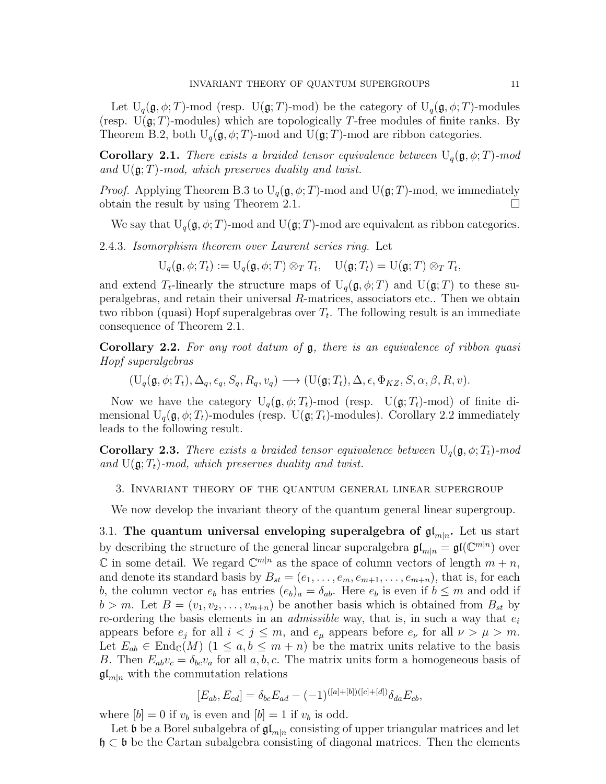Let  $U_q(\mathfrak{g}, \phi; T)$ -mod (resp.  $U(\mathfrak{g}; T)$ -mod) be the category of  $U_q(\mathfrak{g}, \phi; T)$ -modules (resp.  $U(\mathfrak{g};T)$ -modules) which are topologically T-free modules of finite ranks. By Theorem B.2, both  $U_q(\mathfrak{g}, \phi; T)$ -mod and  $U(\mathfrak{g}; T)$ -mod are ribbon categories.

**Corollary 2.1.** There exists a braided tensor equivalence between  $U_q(\mathfrak{g}, \phi; T)$ -mod and  $U(\mathfrak{g}; T)$ -mod, which preserves duality and twist.

*Proof.* Applying Theorem B.3 to  $U_q(\mathfrak{g}, \phi; T)$ -mod and  $U(\mathfrak{g}; T)$ -mod, we immediately obtain the result by using Theorem 2.1.  $\Box$ 

We say that  $U_q(\mathfrak{g}, \phi; T)$ -mod and  $U(\mathfrak{g}; T)$ -mod are equivalent as ribbon categories.

2.4.3. Isomorphism theorem over Laurent series ring. Let

 $\mathrm{U}_q(\mathfrak{g}, \phi; T_t) := \mathrm{U}_q(\mathfrak{g}, \phi; T) \otimes_T T_t, \quad \mathrm{U}(\mathfrak{g}; T_t) = \mathrm{U}(\mathfrak{g}; T) \otimes_T T_t,$ 

and extend  $T_t$ -linearly the structure maps of  $U_q(\mathfrak{g}, \phi; T)$  and  $U(\mathfrak{g}; T)$  to these superalgebras, and retain their universal R-matrices, associators etc.. Then we obtain two ribbon (quasi) Hopf superalgebras over  $T_t$ . The following result is an immediate consequence of Theorem 2.1.

Corollary 2.2. For any root datum of  $\mathfrak g$ , there is an equivalence of ribbon quasi Hopf superalgebras

 $(U_q(\mathfrak{g}, \phi; T_t), \Delta_q, \epsilon_q, S_q, R_q, v_q) \longrightarrow (U(\mathfrak{g}; T_t), \Delta, \epsilon, \Phi_{KZ}, S, \alpha, \beta, R, v).$ 

Now we have the category  $U_q(\mathfrak{g}, \phi; T_t)$ -mod (resp.  $U(\mathfrak{g}; T_t)$ -mod) of finite dimensional  $U_q(\mathfrak{g}, \phi; T_t)$ -modules (resp.  $U(\mathfrak{g}; T_t)$ -modules). Corollary 2.2 immediately leads to the following result.

**Corollary 2.3.** There exists a braided tensor equivalence between  $U_q(\mathfrak{g}, \phi; T_t)$ -mod and  $U(\mathfrak{g}; T_t)$ -mod, which preserves duality and twist.

3. Invariant theory of the quantum general linear supergroup

We now develop the invariant theory of the quantum general linear supergroup.

3.1. The quantum universal enveloping superalgebra of  $\mathfrak{gl}_{m|n}$ . Let us start by describing the structure of the general linear superalgebra  $\mathfrak{gl}_{m|n} = \mathfrak{gl}(\mathbb{C}^{m|n})$  over  $\mathbb C$  in some detail. We regard  $\mathbb C^{m|n}$  as the space of column vectors of length  $m + n$ , and denote its standard basis by  $B_{st} = (e_1, \ldots, e_m, e_{m+1}, \ldots, e_{m+n})$ , that is, for each b, the column vector  $e_b$  has entries  $(e_b)_a = \delta_{ab}$ . Here  $e_b$  is even if  $b \leq m$  and odd if  $b > m$ . Let  $B = (v_1, v_2, \ldots, v_{m+n})$  be another basis which is obtained from  $B_{st}$  by re-ordering the basis elements in an *admissible* way, that is, in such a way that  $e_i$ appears before  $e_j$  for all  $i < j \leq m$ , and  $e_\mu$  appears before  $e_\nu$  for all  $\nu > \mu > m$ . Let  $E_{ab} \in \text{End}_{\mathbb{C}}(M)$   $(1 \leq a, b \leq m+n)$  be the matrix units relative to the basis B. Then  $E_{ab}v_c = \delta_{bc}v_a$  for all  $a, b, c$ . The matrix units form a homogeneous basis of  $\mathfrak{gl}_{m|n}$  with the commutation relations

$$
[E_{ab}, E_{cd}] = \delta_{bc} E_{ad} - (-1)^{([a] + [b])([c] + [d])} \delta_{da} E_{cb},
$$

where  $[b] = 0$  if  $v_b$  is even and  $[b] = 1$  if  $v_b$  is odd.

Let b be a Borel subalgebra of  $\mathfrak{gl}_{m|n}$  consisting of upper triangular matrices and let h ⊂ b be the Cartan subalgebra consisting of diagonal matrices. Then the elements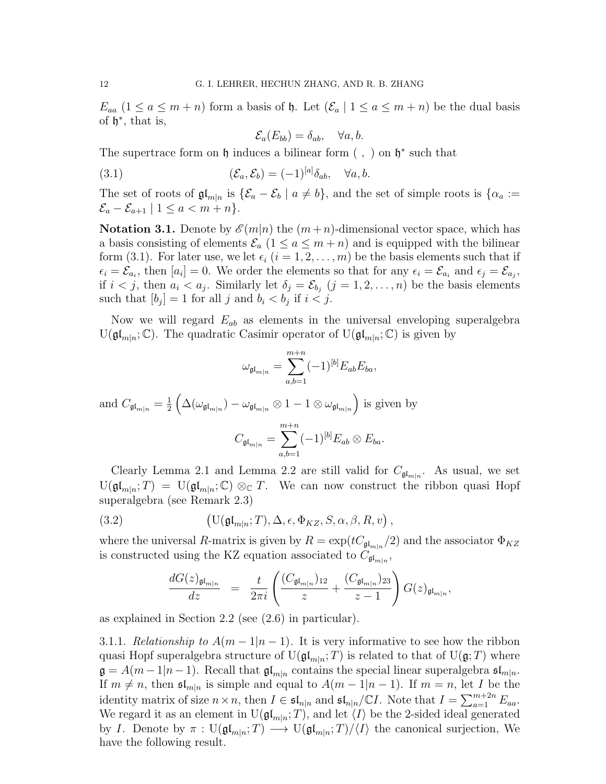$E_{aa}$   $(1 \le a \le m+n)$  form a basis of  $\mathfrak h$ . Let  $(\mathcal{E}_a | 1 \le a \le m+n)$  be the dual basis of  $\mathfrak{h}^*$ , that is,

$$
\mathcal{E}_a(E_{bb}) = \delta_{ab}, \quad \forall a, b.
$$

The supertrace form on  $\mathfrak h$  induces a bilinear form  $( , )$  on  $\mathfrak h^*$  such that

(3.1) 
$$
(\mathcal{E}_a, \mathcal{E}_b) = (-1)^{[a]} \delta_{ab}, \quad \forall a, b.
$$

The set of roots of  $\mathfrak{gl}_{m|n}$  is  $\{\mathcal{E}_a-\mathcal{E}_b \mid a\neq b\}$ , and the set of simple roots is  $\{\alpha_a:=$  $\mathcal{E}_a - \mathcal{E}_{a+1} \mid 1 \leq a < m+n$ .

**Notation 3.1.** Denote by  $\mathcal{E}(m|n)$  the  $(m+n)$ -dimensional vector space, which has a basis consisting of elements  $\mathcal{E}_a$   $(1 \le a \le m+n)$  and is equipped with the bilinear form (3.1). For later use, we let  $\epsilon_i$   $(i = 1, 2, \ldots, m)$  be the basis elements such that if  $\epsilon_i = \mathcal{E}_{a_i}$ , then  $[a_i] = 0$ . We order the elements so that for any  $\epsilon_i = \mathcal{E}_{a_i}$  and  $\epsilon_j = \mathcal{E}_{a_j}$ , if  $i < j$ , then  $a_i < a_j$ . Similarly let  $\delta_j = \mathcal{E}_{b_j}$   $(j = 1, 2, ..., n)$  be the basis elements such that  $[b_j] = 1$  for all j and  $b_i < b_j$  if  $i < j$ .

Now we will regard  $E_{ab}$  as elements in the universal enveloping superalgebra  $U(\mathfrak{gl}_{m|n};\mathbb{C})$ . The quadratic Casimir operator of  $U(\mathfrak{gl}_{m|n};\mathbb{C})$  is given by

$$
\omega_{\mathfrak{gl}_{m|n}} = \sum_{a,b=1}^{m+n} (-1)^{[b]} E_{ab} E_{ba},
$$
  
and 
$$
C_{\mathfrak{gl}_{m|n}} = \frac{1}{2} \left( \Delta(\omega_{\mathfrak{gl}_{m|n}}) - \omega_{\mathfrak{gl}_{m|n}} \otimes 1 - 1 \otimes \omega_{\mathfrak{gl}_{m|n}} \right)
$$
 is given by
$$
C_{\mathfrak{gl}_{m|n}} = \sum_{a,b=1}^{m+n} (-1)^{[b]} E_{ab} \otimes E_{ba}.
$$

Clearly Lemma 2.1 and Lemma 2.2 are still valid for  $C_{\mathfrak{gl}_{m|n}}$ . As usual, we set  $U(\mathfrak{gl}_{m|n};T) = U(\mathfrak{gl}_{m|n};\mathbb{C}) \otimes_{\mathbb{C}} T$ . We can now construct the ribbon quasi Hopf superalgebra (see Remark 2.3)

(3.2) 
$$
\left(\mathbf{U}(\mathfrak{gl}_{m|n};T),\Delta,\epsilon,\Phi_{KZ},S,\alpha,\beta,R,v\right),
$$

where the universal R-matrix is given by  $R = \exp(tC_{\mathfrak{gl}_{m|n}}/2)$  and the associator  $\Phi_{KZ}$ is constructed using the KZ equation associated to  $C_{\mathfrak{gl}_{m|n}}$ ,

$$
\frac{dG(z)_{\mathfrak{gl}_{m|n}}}{dz} = \frac{t}{2\pi i} \left( \frac{(C_{\mathfrak{gl}_{m|n}})_{12}}{z} + \frac{(C_{\mathfrak{gl}_{m|n}})_{23}}{z-1} \right) G(z)_{\mathfrak{gl}_{m|n}},
$$

as explained in Section 2.2 (see (2.6) in particular).

3.1.1. Relationship to  $A(m-1|n-1)$ . It is very informative to see how the ribbon quasi Hopf superalgebra structure of  $\mathrm{U}(\mathfrak{gl}_{m|n};T)$  is related to that of  $\mathrm{U}(\mathfrak{g};T)$  where  $\mathfrak{g} = A(m-1|n-1)$ . Recall that  $\mathfrak{gl}_{m|n}$  contains the special linear superalgebra  $\mathfrak{sl}_{m|n}$ . If  $m \neq n$ , then  $\mathfrak{sl}_{m|n}$  is simple and equal to  $A(m-1|n-1)$ . If  $m = n$ , let I be the identity matrix of size  $n \times n$ , then  $I \in \mathfrak{sl}_{n|n}$  and  $\mathfrak{sl}_{n|n}/\mathbb{C}I$ . Note that  $I = \sum_{a=1}^{m+2n} E_{aa}$ . We regard it as an element in  $U(\mathfrak{gl}_{m|n};T)$ , and let  $\langle I \rangle$  be the 2-sided ideal generated by I. Denote by  $\pi: \mathrm{U}(\mathfrak{gl}_{m|n};T) \longrightarrow \mathrm{U}(\mathfrak{gl}_{m|n};T)/\langle I \rangle$  the canonical surjection, We have the following result.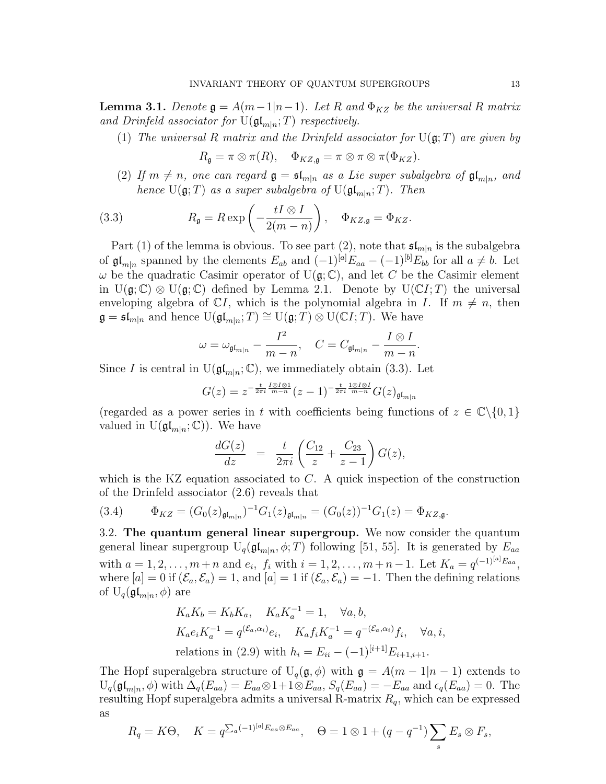**Lemma 3.1.** Denote  $\mathfrak{g} = A(m-1|n-1)$ . Let R and  $\Phi_{KZ}$  be the universal R matrix and Drinfeld associator for  $U(\mathfrak{gl}_{m|n};T)$  respectively.

(1) The universal R matrix and the Drinfeld associator for  $U(\mathfrak{g};T)$  are given by

$$
R_{\mathfrak{g}} = \pi \otimes \pi(R), \quad \Phi_{KZ, \mathfrak{g}} = \pi \otimes \pi \otimes \pi(\Phi_{KZ}).
$$

(2) If  $m \neq n$ , one can regard  $\mathfrak{g} = \mathfrak{sl}_{m|n}$  as a Lie super subalgebra of  $\mathfrak{gl}_{m|n}$ , and hence  $U(\mathfrak{g};T)$  as a super subalgebra of  $U(\mathfrak{gl}_{m|n};T)$ . Then

(3.3) 
$$
R_{\mathfrak{g}} = R \exp\left(-\frac{tI \otimes I}{2(m-n)}\right), \quad \Phi_{KZ,\mathfrak{g}} = \Phi_{KZ}.
$$

Part (1) of the lemma is obvious. To see part (2), note that  $\mathfrak{sl}_{m|n}$  is the subalgebra of  $\mathfrak{gl}_{m|n}$  spanned by the elements  $E_{ab}$  and  $(-1)^{[a]}E_{aa} - (-1)^{[b]}E_{bb}$  for all  $a \neq b$ . Let  $\omega$  be the quadratic Casimir operator of U( $\mathfrak{g}$ ; C), and let C be the Casimir element in  $U(\mathfrak{g}; \mathbb{C}) \otimes U(\mathfrak{g}; \mathbb{C})$  defined by Lemma 2.1. Denote by  $U(\mathbb{C}I; T)$  the universal enveloping algebra of  $\mathbb{C}I$ , which is the polynomial algebra in I. If  $m \neq n$ , then  $\mathfrak{g} = \mathfrak{sl}_{m|n}$  and hence  $\mathrm{U}(\mathfrak{gl}_{m|n};T) \cong \mathrm{U}(\mathfrak{g};T) \otimes \mathrm{U}(\mathbb{C}I;T)$ . We have

$$
\omega=\omega_{\mathfrak{gl}_{m|n}}-\frac{I^2}{m-n},\quad C=C_{\mathfrak{gl}_{m|n}}-\frac{I\otimes I}{m-n}.
$$

Since I is central in  $U(\mathfrak{gl}_{m|n}; \mathbb{C})$ , we immediately obtain (3.3). Let

$$
G(z) = z^{-\frac{t}{2\pi i} \frac{I \otimes I \otimes 1}{m-n}} (z-1)^{-\frac{t}{2\pi i} \frac{1 \otimes I \otimes I}{m-n}} G(z)_{\mathfrak{gl}_{m|n}}
$$

(regarded as a power series in t with coefficients being functions of  $z \in \mathbb{C} \setminus \{0, 1\}$ valued in  $U(\mathfrak{gl}_{m|n};\mathbb{C})$ . We have

$$
\frac{dG(z)}{dz} = \frac{t}{2\pi i} \left( \frac{C_{12}}{z} + \frac{C_{23}}{z - 1} \right) G(z),
$$

which is the KZ equation associated to  $C$ . A quick inspection of the construction of the Drinfeld associator (2.6) reveals that

(3.4) 
$$
\Phi_{KZ} = (G_0(z)_{\mathfrak{gl}_{m|n}})^{-1} G_1(z)_{\mathfrak{gl}_{m|n}} = (G_0(z))^{-1} G_1(z) = \Phi_{KZ, \mathfrak{g}}.
$$

3.2. The quantum general linear supergroup. We now consider the quantum general linear supergroup  $U_q(\mathfrak{gl}_{m|n}, \phi; T)$  following [51, 55]. It is generated by  $E_{aa}$ with  $a = 1, 2, ..., m + n$  and  $e_i, f_i$  with  $i = 1, 2, ..., m + n - 1$ . Let  $K_a = q^{(-1)^{[a]}E_{aa}},$ where  $[a] = 0$  if  $(\mathcal{E}_a, \mathcal{E}_a) = 1$ , and  $[a] = 1$  if  $(\mathcal{E}_a, \mathcal{E}_a) = -1$ . Then the defining relations of  $U_q(\mathfrak{gl}_{m|n}, \phi)$  are

$$
K_a K_b = K_b K_a, \quad K_a K_a^{-1} = 1, \quad \forall a, b,
$$
  
\n
$$
K_a e_i K_a^{-1} = q^{(\mathcal{E}_a, \alpha_i)} e_i, \quad K_a f_i K_a^{-1} = q^{-(\mathcal{E}_a, \alpha_i)} f_i, \quad \forall a, i,
$$
  
\nrelations in (2.9) with  $h_i = E_{ii} - (-1)^{[i+1]} E_{i+1, i+1}.$ 

The Hopf superalgebra structure of  $U_q(\mathfrak{g}, \phi)$  with  $\mathfrak{g} = A(m-1|n-1)$  extends to  $U_q(\mathfrak{gl}_{m|n}, \phi)$  with  $\Delta_q(E_{aa}) = E_{aa} \otimes 1 + 1 \otimes E_{aa}, S_q(E_{aa}) = -E_{aa}$  and  $\epsilon_q(E_{aa}) = 0$ . The resulting Hopf superalgebra admits a universal R-matrix  $R_q$ , which can be expressed as

$$
R_q = K\Theta, \quad K = q^{\sum_a (-1)^{[a]} E_{aa} \otimes E_{aa}}, \quad \Theta = 1 \otimes 1 + (q - q^{-1}) \sum_s E_s \otimes F_s,
$$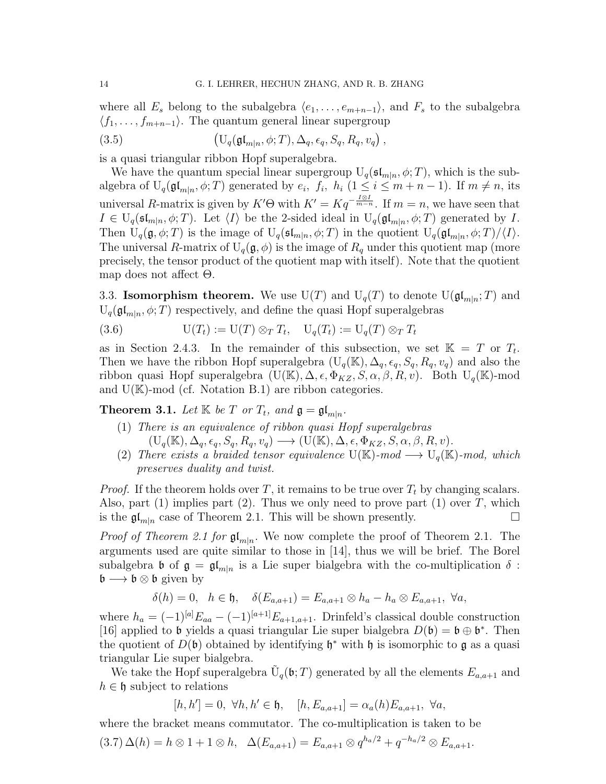where all  $E_s$  belong to the subalgebra  $\langle e_1, \ldots, e_{m+n-1} \rangle$ , and  $F_s$  to the subalgebra  $\langle f_1, \ldots, f_{m+n-1} \rangle$ . The quantum general linear supergroup

(3.5) 
$$
\left(\mathrm{U}_q(\mathfrak{gl}_{m|n},\phi;T),\Delta_q,\epsilon_q,S_q,R_q,v_q\right),
$$

is a quasi triangular ribbon Hopf superalgebra.

We have the quantum special linear supergroup  $U_q(\mathfrak{sl}_{m|n}, \phi; T)$ , which is the subalgebra of  $U_q(\mathfrak{gl}_{m|n}, \phi; T)$  generated by  $e_i$ ,  $f_i$ ,  $h_i$   $(1 \leq i \leq m+n-1)$ . If  $m \neq n$ , its universal R-matrix is given by  $K' \Theta$  with  $K' = K q^{- \frac{I \otimes I}{m-n}}$ . If  $m = n$ , we have seen that  $I \in U_q(\mathfrak{sl}_{m|n}, \phi; T)$ . Let  $\langle I \rangle$  be the 2-sided ideal in  $U_q(\mathfrak{gl}_{m|n}, \phi; T)$  generated by I. Then  $U_q(\mathfrak{g}, \phi; T)$  is the image of  $U_q(\mathfrak{sl}_{m|n}, \phi; T)$  in the quotient  $U_q(\mathfrak{gl}_{m|n}, \phi; T)/\langle I \rangle$ . The universal R-matrix of  $U_q(\mathfrak{g}, \phi)$  is the image of  $R_q$  under this quotient map (more precisely, the tensor product of the quotient map with itself). Note that the quotient map does not affect Θ.

3.3. **Isomorphism theorem.** We use  $U(T)$  and  $U_q(T)$  to denote  $U(\mathfrak{gl}_{m|n};T)$  and  $U_q(\mathfrak{gl}_{m|n},\phi;T)$  respectively, and define the quasi Hopf superalgebras

(3.6) 
$$
\mathrm{U}(T_t) := \mathrm{U}(T) \otimes_T T_t, \quad \mathrm{U}_q(T_t) := \mathrm{U}_q(T) \otimes_T T_t
$$

as in Section 2.4.3. In the remainder of this subsection, we set  $\mathbb{K} = T$  or  $T_t$ . Then we have the ribbon Hopf superalgebra  $(U_q(K), \Delta_q, \epsilon_q, S_q, R_q, v_q)$  and also the ribbon quasi Hopf superalgebra  $(U(\mathbb{K}), \Delta, \epsilon, \Phi_{KZ}, S, \alpha, \beta, R, v)$ . Both  $U_q(\mathbb{K})$ -mod and  $U(\mathbb{K})$ -mod (cf. Notation B.1) are ribbon categories.

**Theorem 3.1.** Let  $\mathbb{K}$  be  $T$  or  $T_t$ , and  $\mathfrak{g} = \mathfrak{gl}_{m|n}$ .

- (1) There is an equivalence of ribbon quasi Hopf superalgebras  $(U_q(\mathbb{K}), \Delta_q, \epsilon_q, S_q, R_q, v_q) \longrightarrow (U(\mathbb{K}), \Delta, \epsilon, \Phi_{KZ}, S, \alpha, \beta, R, v).$
- (2) There exists a braided tensor equivalence  $U(\mathbb{K})$ -mod  $\longrightarrow U_q(\mathbb{K})$ -mod, which preserves duality and twist.

*Proof.* If the theorem holds over T, it remains to be true over  $T_t$  by changing scalars. Also, part  $(1)$  implies part  $(2)$ . Thus we only need to prove part  $(1)$  over T, which is the  $\mathfrak{gl}_{m|n}$  case of Theorem 2.1. This will be shown presently.

*Proof of Theorem 2.1 for*  $\mathfrak{gl}_{m|n}$ . We now complete the proof of Theorem 2.1. The arguments used are quite similar to those in [14], thus we will be brief. The Borel subalgebra b of  $\mathfrak{g} = \mathfrak{gl}_{m|n}$  is a Lie super bialgebra with the co-multiplication  $\delta$ :  $\mathfrak{b} \longrightarrow \mathfrak{b} \otimes \mathfrak{b}$  given by

$$
\delta(h) = 0, \quad h \in \mathfrak{h}, \quad \delta(E_{a,a+1}) = E_{a,a+1} \otimes h_a - h_a \otimes E_{a,a+1}, \ \forall a,
$$

where  $h_a = (-1)^{[a]}E_{aa} - (-1)^{[a+1]}E_{a+1,a+1}$ . Drinfeld's classical double construction [16] applied to **b** yields a quasi triangular Lie super bialgebra  $D(\mathfrak{b}) = \mathfrak{b} \oplus \mathfrak{b}^*$ . Then the quotient of  $D(\mathfrak{b})$  obtained by identifying  $\mathfrak{h}^*$  with  $\mathfrak{h}$  is isomorphic to  $\mathfrak{g}$  as a quasi triangular Lie super bialgebra.

We take the Hopf superalgebra  $\tilde{U}_q(\mathfrak{b};T)$  generated by all the elements  $E_{a,a+1}$  and  $h \in \mathfrak{h}$  subject to relations

 $[h, h'] = 0, \ \forall h, h' \in \mathfrak{h}, \quad [h, E_{a,a+1}] = \alpha_a(h) E_{a,a+1}, \ \forall a,$ 

where the bracket means commutator. The co-multiplication is taken to be

$$
(3.7)\,\Delta(h) = h \otimes 1 + 1 \otimes h, \quad \Delta(E_{a,a+1}) = E_{a,a+1} \otimes q^{h_a/2} + q^{-h_a/2} \otimes E_{a,a+1}.
$$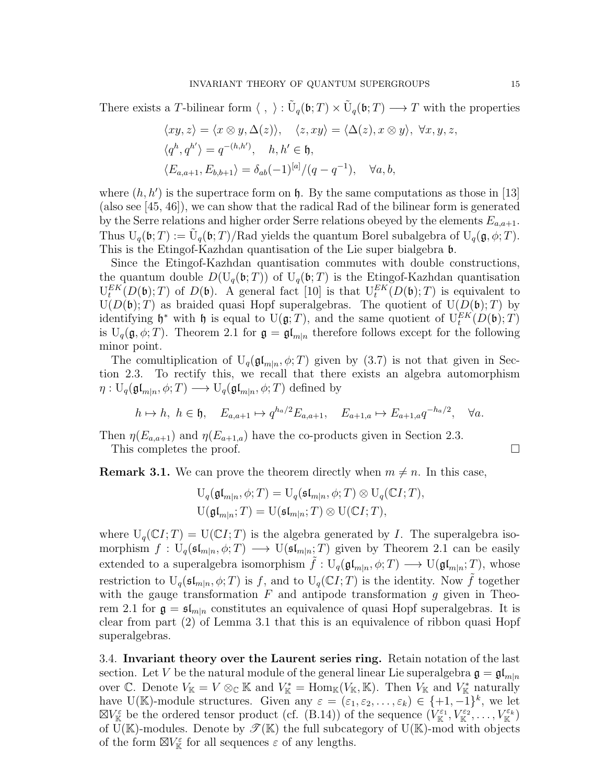There exists a T-bilinear form  $\langle , \rangle : \tilde{U}_q(\mathfrak{b}; T) \times \tilde{U}_q(\mathfrak{b}; T) \longrightarrow T$  with the properties

$$
\langle xy, z \rangle = \langle x \otimes y, \Delta(z) \rangle, \quad \langle z, xy \rangle = \langle \Delta(z), x \otimes y \rangle, \ \forall x, y, z,
$$
  

$$
\langle q^h, q^{h'} \rangle = q^{-(h, h')}, \quad h, h' \in \mathfrak{h},
$$
  

$$
\langle E_{a, a+1}, E_{b, b+1} \rangle = \delta_{ab}(-1)^{[a]}/(q - q^{-1}), \quad \forall a, b,
$$

where  $(h, h')$  is the supertrace form on h. By the same computations as those in [13] (also see [45, 46]), we can show that the radical Rad of the bilinear form is generated by the Serre relations and higher order Serre relations obeyed by the elements  $E_{a,a+1}$ . Thus  $U_q(\mathfrak{b}; T) := \tilde{U}_q(\mathfrak{b}; T) / \text{Rad yields the quantum Borel subalgebra of } U_q(\mathfrak{g}, \phi; T)$ . This is the Etingof-Kazhdan quantisation of the Lie super bialgebra b.

Since the Etingof-Kazhdan quantisation commutes with double constructions, the quantum double  $D(U_q(\mathfrak{b};T))$  of  $U_q(\mathfrak{b};T)$  is the Etingof-Kazhdan quantisation  $U_t^{EK}(D(\mathfrak{b});T)$  of  $D(\mathfrak{b})$ . A general fact [10] is that  $U_t^{EK}(D(\mathfrak{b});T)$  is equivalent to  $U(D(\mathfrak{b});T)$  as braided quasi Hopf superalgebras. The quotient of  $U(D(\mathfrak{b});T)$  by identifying  $\mathfrak{h}^*$  with  $\mathfrak{h}$  is equal to  $U(\mathfrak{g};T)$ , and the same quotient of  $U_t^{EK}(D(\mathfrak{b});T)$ is  $U_q(\mathfrak{g}, \phi; T)$ . Theorem 2.1 for  $\mathfrak{g} = \mathfrak{gl}_{m|n}$  therefore follows except for the following minor point.

The comultiplication of  $U_q(\mathfrak{gl}_{m|n}, \phi; T)$  given by  $(3.7)$  is not that given in Section 2.3. To rectify this, we recall that there exists an algebra automorphism  $\eta: \mathrm{U}_q(\mathfrak{gl}_{m|n}, \phi; T) \longrightarrow \mathrm{U}_q(\mathfrak{gl}_{m|n}, \phi; T)$  defined by

$$
h \mapsto h, \ h \in \mathfrak{h}, \quad E_{a,a+1} \mapsto q^{h_a/2} E_{a,a+1}, \quad E_{a+1,a} \mapsto E_{a+1,a} q^{-h_a/2}, \quad \forall a.
$$

Then  $\eta(E_{a,a+1})$  and  $\eta(E_{a+1,a})$  have the co-products given in Section 2.3.

This completes the proof.

**Remark 3.1.** We can prove the theorem directly when  $m \neq n$ . In this case,

$$
U_q(\mathfrak{gl}_{m|n}, \phi; T) = U_q(\mathfrak{sl}_{m|n}, \phi; T) \otimes U_q(\mathbb{C}I; T),
$$
  

$$
U(\mathfrak{gl}_{m|n}; T) = U(\mathfrak{sl}_{m|n}; T) \otimes U(\mathbb{C}I; T),
$$

where  $U_q(\mathbb{C}I;T) = U(\mathbb{C}I;T)$  is the algebra generated by I. The superalgebra isomorphism  $f: U_q(\mathfrak{sl}_{m|n}, \phi; T) \longrightarrow U(\mathfrak{sl}_{m|n}; T)$  given by Theorem 2.1 can be easily extended to a superalgebra isomorphism  $\tilde{f}: U_q(\mathfrak{gl}_{m|n}, \phi; T) \longrightarrow U(\mathfrak{gl}_{m|n}; T)$ , whose restriction to  $U_q(\mathfrak{sl}_{m|n}, \phi; T)$  is f, and to  $U_q(\mathbb{C}I; T)$  is the identity. Now  $\tilde{f}$  together with the gauge transformation  $F$  and antipode transformation  $g$  given in Theorem 2.1 for  $\mathfrak{g} = \mathfrak{sl}_{m|n}$  constitutes an equivalence of quasi Hopf superalgebras. It is clear from part (2) of Lemma 3.1 that this is an equivalence of ribbon quasi Hopf superalgebras.

3.4. Invariant theory over the Laurent series ring. Retain notation of the last section. Let V be the natural module of the general linear Lie superalgebra  $\mathfrak{g} = \mathfrak{gl}_{m|n}$ over C. Denote  $V_{\mathbb{K}} = V \otimes_{\mathbb{C}} \mathbb{K}$  and  $V_{\mathbb{K}}^* = \text{Hom}_{\mathbb{K}}(V_{\mathbb{K}}, \mathbb{K})$ . Then  $V_{\mathbb{K}}$  and  $V_{\mathbb{K}}^*$  naturally have U(K)-module structures. Given any  $\varepsilon = (\varepsilon_1, \varepsilon_2, \ldots, \varepsilon_k) \in \{+1, -1\}^k$ , we let  $\boxtimes V_{\mathbb{K}}^{\varepsilon}$  be the ordered tensor product (cf. (B.14)) of the sequence  $(V_{\mathbb{K}}^{\varepsilon_1}, V_{\mathbb{K}}^{\varepsilon_2}, \ldots, V_{\mathbb{K}}^{\varepsilon_k})$ of U(K)-modules. Denote by  $\mathscr{T}(\mathbb{K})$  the full subcategory of U(K)-mod with objects of the form  $\mathbb{Z} V^{\varepsilon}_{\mathbb{K}}$  for all sequences  $\varepsilon$  of any lengths.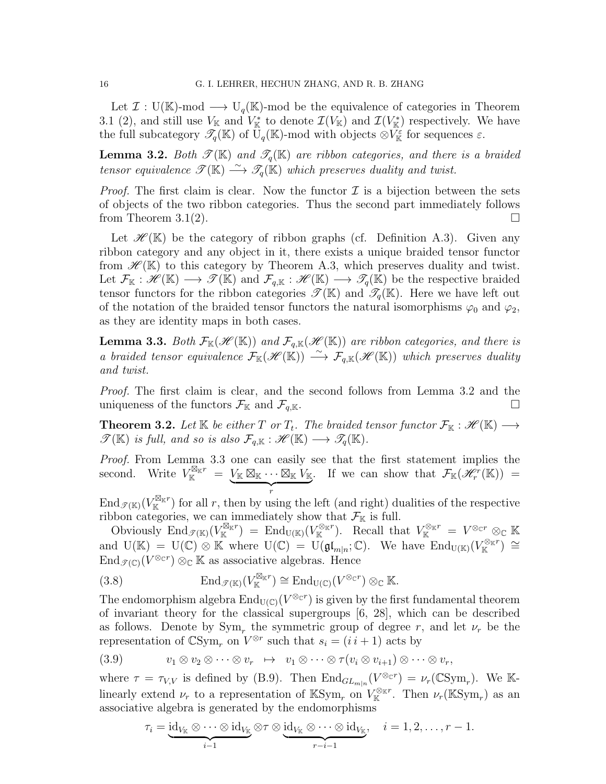Let  $\mathcal{I}: U(\mathbb{K})$ -mod  $\longrightarrow U_q(\mathbb{K})$ -mod be the equivalence of categories in Theorem 3.1 (2), and still use  $V_{\mathbb{K}}$  and  $V_{\mathbb{K}}^*$  to denote  $\mathcal{I}(V_{\mathbb{K}})$  and  $\mathcal{I}(V_{\mathbb{K}}^*)$  respectively. We have the full subcategory  $\mathscr{T}_q(\mathbb{K})$  of  $\mathbb{U}_q(\mathbb{K})$ -mod with objects  $\otimes V^{\varepsilon}_{\mathbb{K}}$  for sequences  $\varepsilon$ .

**Lemma 3.2.** Both  $\mathscr{T}(\mathbb{K})$  and  $\mathscr{T}_q(\mathbb{K})$  are ribbon categories, and there is a braided tensor equivalence  $\mathscr{T}(\mathbb{K}) \stackrel{\sim}{\longrightarrow} \mathscr{T}_q(\mathbb{K})$  which preserves duality and twist.

*Proof.* The first claim is clear. Now the functor  $\mathcal I$  is a bijection between the sets of objects of the two ribbon categories. Thus the second part immediately follows from Theorem 3.1(2).

Let  $\mathscr{H}(\mathbb{K})$  be the category of ribbon graphs (cf. Definition A.3). Given any ribbon category and any object in it, there exists a unique braided tensor functor from  $\mathscr{H}(\mathbb{K})$  to this category by Theorem A.3, which preserves duality and twist. Let  $\mathcal{F}_{\mathbb{K}} : \mathscr{H}(\mathbb{K}) \longrightarrow \mathscr{T}(\mathbb{K})$  and  $\mathcal{F}_{q,\mathbb{K}} : \mathscr{H}(\mathbb{K}) \longrightarrow \mathscr{T}_{q}(\mathbb{K})$  be the respective braided tensor functors for the ribbon categories  $\mathscr{T}(\mathbb{K})$  and  $\mathscr{T}_{q}(\mathbb{K})$ . Here we have left out of the notation of the braided tensor functors the natural isomorphisms  $\varphi_0$  and  $\varphi_2$ , as they are identity maps in both cases.

**Lemma 3.3.** Both  $\mathcal{F}_{\mathbb{K}}(\mathscr{H}(\mathbb{K}))$  and  $\mathcal{F}_{q,\mathbb{K}}(\mathscr{H}(\mathbb{K}))$  are ribbon categories, and there is a braided tensor equivalence  $\mathcal{F}_{\mathbb{K}}(\mathscr{H}(\mathbb{K})) \longrightarrow \mathcal{F}_{q,\mathbb{K}}(\mathscr{H}(\mathbb{K}))$  which preserves duality and twist.

Proof. The first claim is clear, and the second follows from Lemma 3.2 and the uniqueness of the functors  $\mathcal{F}_{\mathbb{K}}$  and  $\mathcal{F}_{q,\mathbb{K}}$ .

**Theorem 3.2.** Let K be either T or  $T_t$ . The braided tensor functor  $\mathcal{F}_{\mathbb{K}} : \mathscr{H}(\mathbb{K}) \longrightarrow$  $\mathscr{T}(\mathbb{K})$  is full, and so is also  $\mathcal{F}_{q,\mathbb{K}}:\mathscr{H}(\mathbb{K})\longrightarrow \mathscr{T}_q(\mathbb{K})$ .

Proof. From Lemma 3.3 one can easily see that the first statement implies the second. Write  $V_{\mathbb{K}}^{\boxtimes_{\mathbb{K}}r} = V_{\mathbb{K}} \boxtimes_{\mathbb{K}} \cdots \boxtimes_{\mathbb{K}} V_{\mathbb{K}}$  $\frac{1}{r}$ If we can show that  $\mathcal{F}_{\mathbb{K}}(\mathscr{H}_r^r(\mathbb{K})) =$ 

 $\text{End}_{\mathscr{T}(\mathbb{K})}(V^{\boxtimes_{\mathbb{K}}r}_{\mathbb{K}})$  for all r, then by using the left (and right) dualities of the respective ribbon categories, we can immediately show that  $\mathcal{F}_{\mathbb{K}}$  is full.

 $\overline{\text{Obviously}} \text{ End}_{\mathscr{T}(\mathbb{K})}(V^{\boxtimes_{\mathbb{K}} r}_{\mathbb{K}}) = \text{End}_{U(\mathbb{K})}(V^{\otimes_{\mathbb{K}} r}_{\mathbb{K}}). \text{ Recall that } V^{\otimes_{\mathbb{K}} r}_{\mathbb{K}} = V^{\otimes_{\mathbb{C}} r} \otimes_{\mathbb{C}} \mathbb{K}$ and  $U(\mathbb{K}) = U(\mathbb{C}) \otimes \mathbb{K}$  where  $U(\mathbb{C}) = U(\mathfrak{gl}_{m|n}; \mathbb{C})$ . We have  $\text{End}_{U(\mathbb{K})}(V_{\mathbb{K}}^{\otimes_{\mathbb{K}}r}) \cong$  $\operatorname{End}_{\mathscr{T}(\mathbb{C})}(V^{\otimes_{\mathbb{C}}r})\otimes_{\mathbb{C}}\mathbb{K}$  as associative algebras. Hence

(3.8) 
$$
\operatorname{End}_{\mathscr{T}(\mathbb{K})}(V_{\mathbb{K}}^{\boxtimes_{\mathbb{K}}r}) \cong \operatorname{End}_{\mathrm{U}(\mathbb{C})}(V^{\otimes_{\mathbb{C}}r}) \otimes_{\mathbb{C}} \mathbb{K}.
$$

The endomorphism algebra  $\text{End}_{U(\mathbb{C})}(V^{\otimes_{\mathbb{C}}r})$  is given by the first fundamental theorem of invariant theory for the classical supergroups [6, 28], which can be described as follows. Denote by  $\text{Sym}_r$  the symmetric group of degree r, and let  $\nu_r$  be the representation of  $\mathbb{C}\mathrm{Sym}_r$  on  $V^{\otimes r}$  such that  $s_i = (i \, i + 1)$  acts by

(3.9) 
$$
v_1 \otimes v_2 \otimes \cdots \otimes v_r \mapsto v_1 \otimes \cdots \otimes \tau (v_i \otimes v_{i+1}) \otimes \cdots \otimes v_r,
$$

where  $\tau = \tau_{V,V}$  is defined by (B.9). Then  $\text{End}_{GL_{m|n}}(V^{\otimes_{\mathbb{C}^r}}) = \nu_r(\mathbb{C}\text{Sym}_r)$ . We Klinearly extend  $\nu_r$  to a representation of KSym<sub>r</sub> on  $V_K^{\otimes_{\mathbb{K}} r}$ . Then  $\nu_r(\mathbb{K}Sym_r)$  as an associative algebra is generated by the endomorphisms

$$
\tau_i=\underbrace{\mathrm{id}_{V_\mathbb K}\otimes\cdots\otimes\mathrm{id}_{V_\mathbb K}}_{i-1}\otimes\tau\otimes\underbrace{\mathrm{id}_{V_\mathbb K}\otimes\cdots\otimes\mathrm{id}_{V_\mathbb K}}_{r-i-1},\quad i=1,2,\ldots,r-1.
$$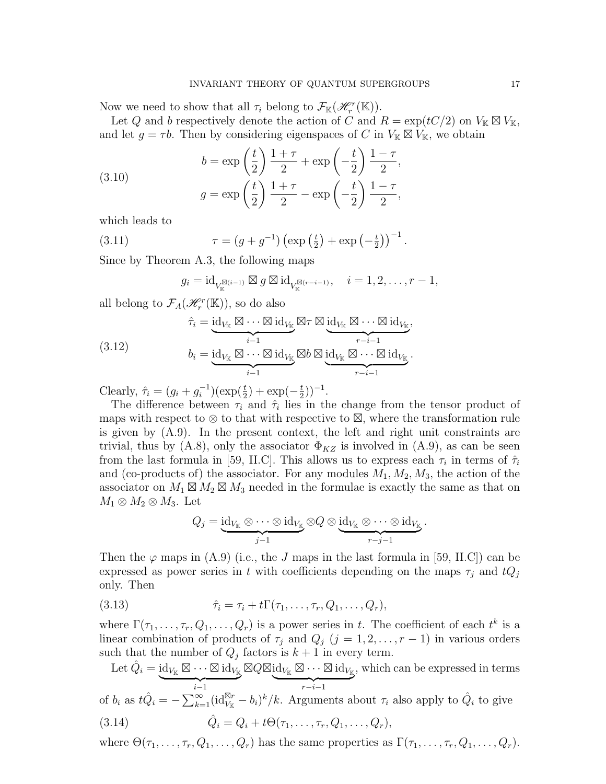Now we need to show that all  $\tau_i$  belong to  $\mathcal{F}_{\mathbb{K}}(\mathcal{H}_r^r(\mathbb{K}))$ .

Let Q and b respectively denote the action of C and  $R = \exp(tC/2)$  on  $V_{\mathbb{K}} \boxtimes V_{\mathbb{K}}$ , and let  $g = \tau b$ . Then by considering eigenspaces of C in  $V_{\mathbb{K}} \boxtimes V_{\mathbb{K}}$ , we obtain

(3.10) 
$$
b = \exp\left(\frac{t}{2}\right) \frac{1+\tau}{2} + \exp\left(-\frac{t}{2}\right) \frac{1-\tau}{2},
$$

$$
g = \exp\left(\frac{t}{2}\right) \frac{1+\tau}{2} - \exp\left(-\frac{t}{2}\right) \frac{1-\tau}{2},
$$

which leads to

(3.11) 
$$
\tau = (g + g^{-1}) \left( \exp\left(\frac{t}{2}\right) + \exp\left(-\frac{t}{2}\right) \right)^{-1}.
$$

Since by Theorem A.3, the following maps

$$
g_i = \mathrm{id}_{V_{\mathbb{K}}^{\boxtimes (i-1)}} \boxtimes g \boxtimes \mathrm{id}_{V_{\mathbb{K}}^{\boxtimes (r-i-1)}}, \quad i = 1, 2, \ldots, r-1,
$$

all belong to  $\mathcal{F}_A(\mathcal{H}_r^r(\mathbb{K}))$ , so do also

(3.12) 
$$
\hat{\tau}_i = \underbrace{\operatorname{id}_{V_{\mathbb{K}}} \boxtimes \cdots \boxtimes \operatorname{id}_{V_{\mathbb{K}}} \boxtimes \tau}_{i-1} \boxtimes \underbrace{\operatorname{id}_{V_{\mathbb{K}}} \boxtimes \cdots \boxtimes \operatorname{id}_{V_{\mathbb{K}}}}_{r-i-1},
$$

$$
b_i = \underbrace{\operatorname{id}_{V_{\mathbb{K}}} \boxtimes \cdots \boxtimes \operatorname{id}_{V_{\mathbb{K}}} \boxtimes b \boxtimes \underbrace{\operatorname{id}_{V_{\mathbb{K}}} \boxtimes \cdots \boxtimes \operatorname{id}_{V_{\mathbb{K}}}}_{r-i-1}}_{r-i-1}.
$$

Clearly,  $\hat{\tau}_i = (g_i + g_i^{-1})$  $i^{-1}$ )( $\exp(\frac{t}{2}) + \exp(-\frac{t}{2})$  $(\frac{t}{2})$ )<sup>-1</sup>.

The difference between  $\tau_i$  and  $\hat{\tau}_i$  lies in the change from the tensor product of maps with respect to  $\otimes$  to that with respective to  $\boxtimes$ , where the transformation rule is given by (A.9). In the present context, the left and right unit constraints are trivial, thus by (A.8), only the associator  $\Phi_{KZ}$  is involved in (A.9), as can be seen from the last formula in [59, II.C]. This allows us to express each  $\tau_i$  in terms of  $\hat{\tau}_i$ and (co-products of) the associator. For any modules  $M_1, M_2, M_3$ , the action of the associator on  $M_1 \boxtimes M_2 \boxtimes M_3$  needed in the formulae is exactly the same as that on  $M_1 \otimes M_2 \otimes M_3$ . Let

$$
Q_j = \underbrace{\mathrm{id}_{V_{\mathbb{K}}} \otimes \cdots \otimes \mathrm{id}_{V_{\mathbb{K}}} \otimes Q \otimes \underbrace{\mathrm{id}_{V_{\mathbb{K}}} \otimes \cdots \otimes \mathrm{id}_{V_{\mathbb{K}}}}_{r-j-1}.
$$

Then the  $\varphi$  maps in (A.9) (i.e., the J maps in the last formula in [59, II.C]) can be expressed as power series in t with coefficients depending on the maps  $\tau_i$  and  $tQ_i$ only. Then

(3.13) 
$$
\hat{\tau}_i = \tau_i + t\Gamma(\tau_1,\ldots,\tau_r,Q_1,\ldots,Q_r),
$$

where  $\Gamma(\tau_1,\ldots,\tau_r,Q_1,\ldots,Q_r)$  is a power series in t. The coefficient of each  $t^k$  is a linear combination of products of  $\tau_j$  and  $Q_j$  (j = 1, 2, ..., r – 1) in various orders such that the number of  $Q_j$  factors is  $k+1$  in every term.

Let 
$$
\hat{Q}_i = \underbrace{\text{id}_{V_{\mathbb{K}}}\boxtimes \cdots \boxtimes \text{id}_{V_{\mathbb{K}}}}_{i-1} \boxtimes Q \boxtimes \underbrace{\text{id}_{V_{\mathbb{K}}}\boxtimes \cdots \boxtimes \text{id}_{V_{\mathbb{K}}}}_{r-i-1}
$$
, which can be expressed in terms of  $b_i$  as  $t\hat{Q}_i = -\sum_{k=1}^{\infty} (\text{id}_{V_{\mathbb{K}}}^{\boxtimes r} - b_i)^k / k$ . Arguments about  $\tau_i$  also apply to  $\hat{Q}_i$  to give

(3.14) 
$$
\hat{Q}_i = Q_i + t\Theta(\tau_1, ..., \tau_r, Q_1, ..., Q_r),
$$

where  $\Theta(\tau_1,\ldots,\tau_r,Q_1,\ldots,Q_r)$  has the same properties as  $\Gamma(\tau_1,\ldots,\tau_r,Q_1,\ldots,Q_r)$ .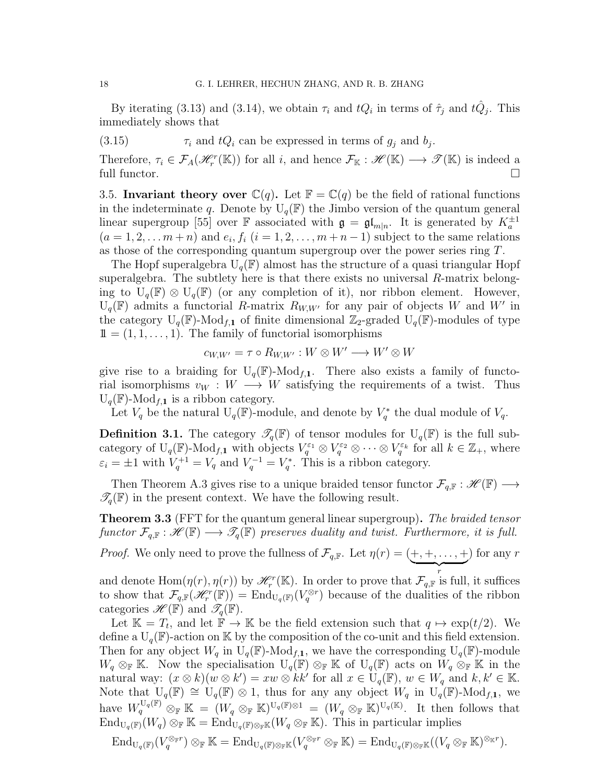By iterating (3.13) and (3.14), we obtain  $\tau_i$  and  $tQ_i$  in terms of  $\hat{\tau}_j$  and  $t\hat{Q}_j$ . This immediately shows that

(3.15)  $\tau_i$  and  $tQ_i$  can be expressed in terms of  $g_j$  and  $b_j$ .

Therefore,  $\tau_i \in \mathcal{F}_A(\mathcal{H}_r^r(\mathbb{K}))$  for all i, and hence  $\mathcal{F}_{\mathbb{K}}: \mathcal{H}(\mathbb{K}) \longrightarrow \mathcal{T}(\mathbb{K})$  is indeed a full functor.

3.5. Invariant theory over  $\mathbb{C}(q)$ . Let  $\mathbb{F} = \mathbb{C}(q)$  be the field of rational functions in the indeterminate q. Denote by  $U_q(\mathbb{F})$  the Jimbo version of the quantum general linear supergroup [55] over F associated with  $\mathfrak{g} = \mathfrak{gl}_{m|n}$ . It is generated by  $K_a^{\pm 1}$  $(a=1,2,... m+n)$  and  $e_i, f_i$   $(i=1,2,..., m+n-1)$  subject to the same relations as those of the corresponding quantum supergroup over the power series ring T.

The Hopf superalgebra  $U_q(\mathbb{F})$  almost has the structure of a quasi triangular Hopf superalgebra. The subtlety here is that there exists no universal  $R$ -matrix belonging to  $U_q(\mathbb{F}) \otimes U_q(\mathbb{F})$  (or any completion of it), nor ribbon element. However,  $U_q(F)$  admits a functorial R-matrix  $R_{W,W'}$  for any pair of objects W and W' in the category  $U_q(\mathbb{F})$ -Mod<sub>f,1</sub> of finite dimensional  $\mathbb{Z}_2$ -graded  $U_q(\mathbb{F})$ -modules of type  $11 = (1, 1, \ldots, 1)$ . The family of functorial isomorphisms

$$
c_{W,W'} = \tau \circ R_{W,W'} : W \otimes W' \longrightarrow W' \otimes W
$$

give rise to a braiding for  $U_q(\mathbb{F})$ -Mod<sub>f,1</sub>. There also exists a family of functorial isomorphisms  $v_W : W \longrightarrow W$  satisfying the requirements of a twist. Thus  $U_q(\mathbb{F})$ -Mod<sub>f,1</sub> is a ribbon category.

Let  $V_q$  be the natural  $U_q(\mathbb{F})$ -module, and denote by  $V_q^*$  the dual module of  $V_q$ .

**Definition 3.1.** The category  $\mathscr{T}_q(\mathbb{F})$  of tensor modules for  $U_q(\mathbb{F})$  is the full subcategory of  $U_q(\mathbb{F})$ -Mod<sub>f,1</sub> with objects  $V_q^{\varepsilon_1} \otimes V_q^{\varepsilon_2} \otimes \cdots \otimes V_q^{\varepsilon_k}$  for all  $k \in \mathbb{Z}_+$ , where  $\varepsilon_i = \pm 1$  with  $V_q^{+1} = V_q$  and  $V_q^{-1} = V_q^*$ . This is a ribbon category.

Then Theorem A.3 gives rise to a unique braided tensor functor  $\mathcal{F}_{q,\mathbb{F}}:\mathscr{H}(\mathbb{F})\longrightarrow$  $\mathscr{T}_{q}(\mathbb{F})$  in the present context. We have the following result.

**Theorem 3.3** (FFT for the quantum general linear supergroup). The braided tensor functor  $\mathcal{F}_{q,\mathbb{F}}:\mathscr{H}(\mathbb{F})\longrightarrow \mathscr{T}_q(\mathbb{F})$  preserves duality and twist. Furthermore, it is full.

*Proof.* We only need to prove the fullness of  $\mathcal{F}_{q,\mathbb{F}}$ . Let  $\eta(r) = (+, +, \ldots, +)$  $\overbrace{r}$ ) for any  $r$ 

and denote  $\text{Hom}(\eta(r), \eta(r))$  by  $\mathcal{H}_r^r(\mathbb{K})$ . In order to prove that  $\mathcal{F}_{q,\mathbb{F}}$  is full, it suffices to show that  $\mathcal{F}_{q,\mathbb{F}}(\mathscr{H}_r^r(\mathbb{F})) = \text{End}_{U_q(\mathbb{F})}(V_q^{\otimes r})$  because of the dualities of the ribbon categories  $\mathscr{H}(\mathbb{F})$  and  $\mathscr{T}_q(\mathbb{F})$ .

Let  $\mathbb{K} = T_t$ , and let  $\mathbb{F} \to \mathbb{K}$  be the field extension such that  $q \mapsto \exp(t/2)$ . We define a  $U_q(\mathbb{F})$ -action on K by the composition of the co-unit and this field extension. Then for any object  $W_q$  in  $U_q(\mathbb{F})$ -Mod<sub>f,1</sub>, we have the corresponding  $U_q(\mathbb{F})$ -module  $W_q \otimes_{\mathbb{F}} \mathbb{K}$ . Now the specialisation  $U_q(\mathbb{F}) \otimes_{\mathbb{F}} \mathbb{K}$  of  $U_q(\mathbb{F})$  acts on  $W_q \otimes_{\mathbb{F}} \mathbb{K}$  in the natural way:  $(x \otimes k)(w \otimes k') = xw \otimes kk'$  for all  $x \in U_q(\mathbb{F})$ ,  $w \in W_q$  and  $k, k' \in \mathbb{K}$ . Note that  $U_q(\mathbb{F}) \cong U_q(\mathbb{F}) \otimes 1$ , thus for any any object  $W_q$  in  $U_q(\mathbb{F})$ -Mod<sub>f,1</sub>, we have  $W_q^{\mathrm{U}_q(\mathbb{F})}$   $\otimes_{\mathbb{F}} \mathbb{K} = (W_q \otimes_{\mathbb{F}} \mathbb{K})^{\mathrm{U}_q(\mathbb{F}) \otimes 1} = (W_q \otimes_{\mathbb{F}} \mathbb{K})^{\mathrm{U}_q(\mathbb{K})}$ . It then follows that  $\text{End}_{U_q(\mathbb{F})}(W_q) \otimes_{\mathbb{F}} \mathbb{K} = \text{End}_{U_q(\mathbb{F}) \otimes_{\mathbb{F}} \mathbb{K}}(W_q \otimes_{\mathbb{F}} \mathbb{K}).$  This in particular implies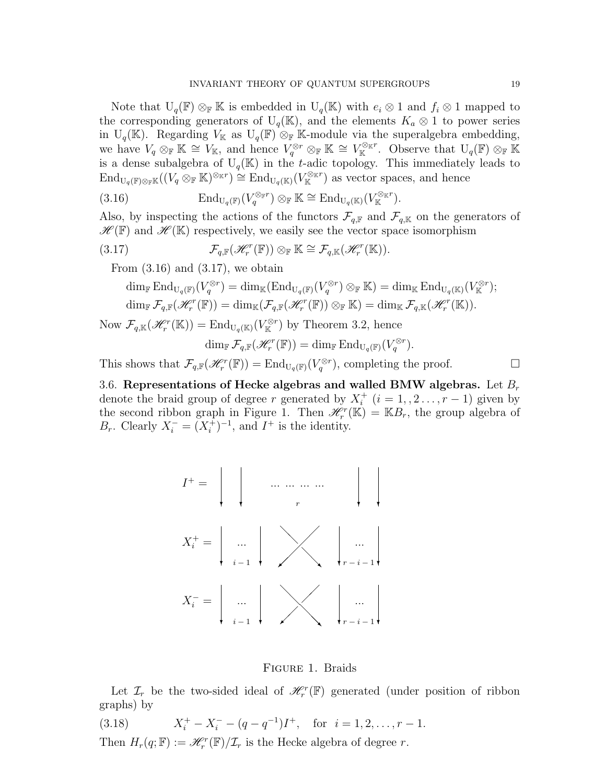Note that  $U_q(\mathbb{F}) \otimes_{\mathbb{F}} \mathbb{K}$  is embedded in  $U_q(\mathbb{K})$  with  $e_i \otimes 1$  and  $f_i \otimes 1$  mapped to the corresponding generators of  $U_q(K)$ , and the elements  $K_a \otimes 1$  to power series in U<sub>q</sub>(K). Regarding  $V_K$  as U<sub>q</sub>(F)  $\otimes_F$  K-module via the superalgebra embedding, we have  $V_q \otimes_{\mathbb{F}} \mathbb{K} \cong V_{\mathbb{K}}$ , and hence  $V_q^{\otimes r} \otimes_{\mathbb{F}} \mathbb{K} \cong V_{\mathbb{K}}^{\otimes_{\mathbb{K}} r}$ . Observe that  $U_q(\mathbb{F}) \otimes_{\mathbb{F}} \mathbb{K}$ is a dense subalgebra of  $U_q(K)$  in the t-adic topology. This immediately leads to  $\text{End}_{U_q(\mathbb{F})\otimes_{\mathbb{F}}\mathbb{K}}((V_q\otimes_{\mathbb{F}}\mathbb{K})^{\otimes_{\mathbb{K}}r})\cong \text{End}_{U_q(\mathbb{K})}(V_{\mathbb{K}}^{\otimes_{\mathbb{K}}r})$  as vector spaces, and hence

(3.16) 
$$
\mathrm{End}_{U_q(\mathbb{F})}(V_q^{\otimes_{\mathbb{F}}r}) \otimes_{\mathbb{F}} \mathbb{K} \cong \mathrm{End}_{U_q(\mathbb{K})}(V_{\mathbb{K}}^{\otimes_{\mathbb{K}}r}).
$$

Also, by inspecting the actions of the functors  $\mathcal{F}_{q,\mathbb{F}}$  and  $\mathcal{F}_{q,\mathbb{K}}$  on the generators of  $\mathscr{H}(\mathbb{F})$  and  $\mathscr{H}(\mathbb{K})$  respectively, we easily see the vector space isomorphism

(3.17) 
$$
\mathcal{F}_{q,\mathbb{F}}(\mathscr{H}_r^r(\mathbb{F})) \otimes_{\mathbb{F}} \mathbb{K} \cong \mathcal{F}_{q,\mathbb{K}}(\mathscr{H}_r^r(\mathbb{K})).
$$

From  $(3.16)$  and  $(3.17)$ , we obtain

$$
\dim_{\mathbb{F}} \text{End}_{U_q(\mathbb{F})}(V_q^{\otimes r}) = \dim_{\mathbb{K}} (\text{End}_{U_q(\mathbb{F})}(V_q^{\otimes r}) \otimes_{\mathbb{F}} \mathbb{K}) = \dim_{\mathbb{K}} \text{End}_{U_q(\mathbb{K})}(V_{\mathbb{K}}^{\otimes r});
$$
  

$$
\dim_{\mathbb{F}} \mathcal{F}_{q,\mathbb{F}}(\mathscr{H}_r^r(\mathbb{F})) = \dim_{\mathbb{K}} (\mathcal{F}_{q,\mathbb{F}}(\mathscr{H}_r^r(\mathbb{F})) \otimes_{\mathbb{F}} \mathbb{K}) = \dim_{\mathbb{K}} \mathcal{F}_{q,\mathbb{K}}(\mathscr{H}_r^r(\mathbb{K})).
$$

Now  $\mathcal{F}_{q,\mathbb{K}}(\mathcal{H}_r^r(\mathbb{K})) = \text{End}_{U_q(\mathbb{K})}(V_{\mathbb{K}}^{\otimes r})$  by Theorem 3.2, hence

$$
\dim_{\mathbb{F}} \mathcal{F}_{q,\mathbb{F}}(\mathscr{H}_r^r(\mathbb{F})) = \dim_{\mathbb{F}} \mathrm{End}_{\mathrm{U}_q(\mathbb{F})}(V_q^{\otimes r}).
$$

This shows that  $\mathcal{F}_{q,\mathbb{F}}(\mathscr{H}_r^r(\mathbb{F})) = \text{End}_{U_q(\mathbb{F})}(V_q^{\otimes r})$ , completing the proof.

3.6. Representations of Hecke algebras and walled BMW algebras. Let  $B_r$ denote the braid group of degree r generated by  $X_i^+$  $i_i^+$   $(i = 1, 2 \ldots, r - 1)$  given by the second ribbon graph in Figure 1. Then  $\mathcal{H}_r^r(\mathbb{K}) = \mathbb{K}B_r$ , the group algebra of  $B_r$ . Clearly  $X_i^- = (X_i^+)$  $i^{+}_{i}$ )<sup>-1</sup>, and  $I^{+}$  is the identity.



Figure 1. Braids

Let  $\mathcal{I}_r$  be the two-sided ideal of  $\mathcal{H}_r^r(\mathbb{F})$  generated (under position of ribbon graphs) by

(3.18) 
$$
X_i^+ - X_i^- - (q - q^{-1})I^+, \text{ for } i = 1, 2, ..., r - 1.
$$

Then  $H_r(q; \mathbb{F}) := \mathcal{H}_r^r(\mathbb{F})/\mathcal{I}_r$  is the Hecke algebra of degree r.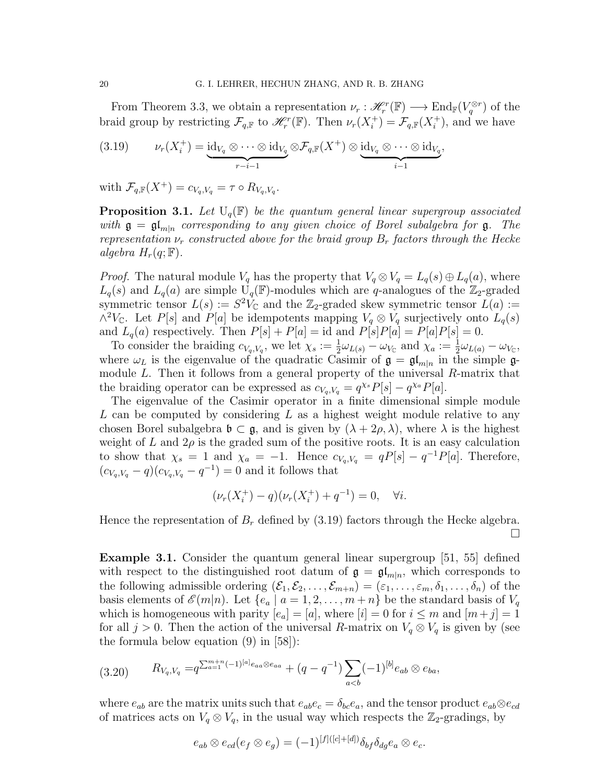From Theorem 3.3, we obtain a representation  $\nu_r : \mathcal{H}_r^r(\mathbb{F}) \longrightarrow \text{End}_{\mathbb{F}}(V_q^{\otimes r})$  of the braid group by restricting  $\mathcal{F}_{q,\mathbb{F}}$  to  $\mathcal{H}_{r}^{r}(\mathbb{F})$ . Then  $\nu_{r}(X_i^+)$  $j_{i}^{+}$ ) =  $\mathcal{F}_{q,\mathbb{F}}(X_{i}^{+})$  $i^{\dagger}$ ), and we have

(3.19) 
$$
\nu_r(X_i^+) = \underbrace{\mathrm{id}_{V_q} \otimes \cdots \otimes \mathrm{id}_{V_q}}_{r-i-1} \otimes \mathcal{F}_{q,\mathbb{F}}(X^+) \otimes \underbrace{\mathrm{id}_{V_q} \otimes \cdots \otimes \mathrm{id}_{V_q}}_{i-1},
$$

with  $\mathcal{F}_{q,\mathbb{F}}(X^+) = c_{V_q,V_q} = \tau \circ R_{V_q,V_q}.$ 

**Proposition 3.1.** Let  $U_q(\mathbb{F})$  be the quantum general linear supergroup associated with  $\mathfrak{g} = \mathfrak{gl}_{m|n}$  corresponding to any given choice of Borel subalgebra for  $\mathfrak{g}$ . The representation  $\nu_r$  constructed above for the braid group  $B_r$  factors through the Hecke algebra  $H_r(q;\mathbb{F})$ .

*Proof.* The natural module  $V_q$  has the property that  $V_q \otimes V_q = L_q(s) \oplus L_q(a)$ , where  $L_q(s)$  and  $L_q(a)$  are simple  $U_q(\mathbb{F})$ -modules which are q-analogues of the  $\mathbb{Z}_2$ -graded symmetric tensor  $L(s) := S^2 V_{\mathbb{C}}$  and the Z<sub>2</sub>-graded skew symmetric tensor  $\tilde{L}(a) :=$  $\wedge^2 V_{\mathbb{C}}$ . Let P[s] and P[a] be idempotents mapping  $V_q \otimes V_q$  surjectively onto  $L_q(s)$ and  $L_q(a)$  respectively. Then  $P[s] + P[a] = id$  and  $P[s]P[a] = P[a]P[s] = 0$ .

To consider the braiding  $c_{V_q,V_q}$ , we let  $\chi_s := \frac{1}{2}\omega_{L(s)} - \omega_{V_{\mathbb{C}}}$  and  $\chi_a := \frac{1}{2}\omega_{L(a)} - \omega_{V_{\mathbb{C}}}$ , where  $\omega_L$  is the eigenvalue of the quadratic Casimir of  $\mathfrak{g} = \mathfrak{gl}_{m|n}$  in the simple  $\mathfrak{g}$ module L. Then it follows from a general property of the universal R-matrix that the braiding operator can be expressed as  $c_{V_q,V_q} = q^{\chi_s} P[s] - q^{\chi_a} P[a]$ .

The eigenvalue of the Casimir operator in a finite dimensional simple module L can be computed by considering L as a highest weight module relative to any chosen Borel subalgebra  $\mathfrak{b} \subset \mathfrak{g}$ , and is given by  $(\lambda + 2\rho, \lambda)$ , where  $\lambda$  is the highest weight of L and  $2\rho$  is the graded sum of the positive roots. It is an easy calculation to show that  $\chi_s = 1$  and  $\chi_a = -1$ . Hence  $c_{V_q, V_q} = qP[s] - q^{-1}P[a]$ . Therefore,  $(c_{V_q,V_q} - q)(c_{V_q,V_q} - q^{-1}) = 0$  and it follows that

$$
(\nu_r(X_i^+) - q)(\nu_r(X_i^+) + q^{-1}) = 0, \quad \forall i.
$$

Hence the representation of  $B_r$  defined by (3.19) factors through the Hecke algebra.  $\Box$ 

**Example 3.1.** Consider the quantum general linear supergroup  $|51, 55|$  defined with respect to the distinguished root datum of  $\mathfrak{g} = \mathfrak{gl}_{m|n}$ , which corresponds to the following admissible ordering  $(\mathcal{E}_1, \mathcal{E}_2, \ldots, \mathcal{E}_{m+n}) = (\varepsilon_1, \ldots, \varepsilon_m, \delta_1, \ldots, \delta_n)$  of the basis elements of  $\mathscr{E}(m|n)$ . Let  $\{e_a \mid a = 1, 2, \ldots, m+n\}$  be the standard basis of  $V_q$ which is homogeneous with parity  $[e_a] = [a]$ , where  $[i] = 0$  for  $i \leq m$  and  $[m+j] = 1$ for all  $j > 0$ . Then the action of the universal R-matrix on  $V_q \otimes V_q$  is given by (see the formula below equation (9) in [58]):

$$
(3.20) \t R_{V_q,V_q} = q^{\sum_{a=1}^{m+n} (-1)^{[a]} e_{aa} \otimes e_{aa}} + (q - q^{-1}) \sum_{a < b} (-1)^{[b]} e_{ab} \otimes e_{ba},
$$

where  $e_{ab}$  are the matrix units such that  $e_{ab}e_c = \delta_{bc}e_a$ , and the tensor product  $e_{ab} \otimes e_{cd}$ of matrices acts on  $V_q \otimes V_q$ , in the usual way which respects the  $\mathbb{Z}_2$ -gradings, by

$$
e_{ab} \otimes e_{cd}(e_f \otimes e_g) = (-1)^{[f]([c]+[d])} \delta_{bf} \delta_{dg} e_a \otimes e_c.
$$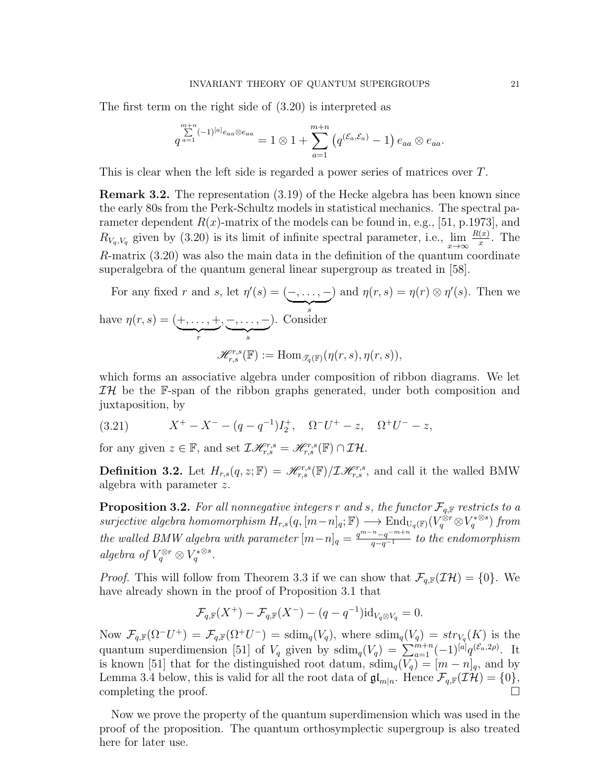The first term on the right side of (3.20) is interpreted as

$$
\sum_{a=1}^{m+n}(-1)^{[a]}e_{aa}\otimes e_{aa}=1\otimes 1+\sum_{a=1}^{m+n}\left(q^{(\mathcal{E}_a,\mathcal{E}_a)}-1\right)e_{aa}\otimes e_{aa}.
$$

This is clear when the left side is regarded a power series of matrices over T.

Remark 3.2. The representation (3.19) of the Hecke algebra has been known since the early 80s from the Perk-Schultz models in statistical mechanics. The spectral parameter dependent  $R(x)$ -matrix of the models can be found in, e.g., [51, p.1973], and  $R_{V_q,V_q}$  given by (3.20) is its limit of infinite spectral parameter, i.e.,  $\lim_{x\to\infty}\frac{R(x)}{x}$  $\frac{(x)}{x}$ . The R-matrix (3.20) was also the main data in the definition of the quantum coordinate superalgebra of the quantum general linear supergroup as treated in [58].

For any fixed r and s, let  $\eta'(s) = (-, \dots, \overline{\phantom{a}}_s$ s ) and  $\eta(r,s) = \eta(r) \otimes \eta'(s)$ . Then we have  $\eta(r,s) = (+,\ldots,+$  $\overline{r}$ , −, . . . , −  $\overline{\phantom{a}}_s$ ). Consider  $\mathscr{H}_{r,s}^{r,s}(\mathbb{F}) := \text{Hom}_{\mathscr{T}_q(\mathbb{F})}(\eta(r,s),\eta(r,s)),$ 

which forms an associative algebra under composition of ribbon diagrams. We let  $I\mathcal{H}$  be the F-span of the ribbon graphs generated, under both composition and juxtaposition, by

(3.21) 
$$
X^+ - X^- - (q - q^{-1})I_2^+, \quad \Omega^- U^+ - z, \quad \Omega^+ U^- - z,
$$

for any given  $z \in \mathbb{F}$ , and set  $\mathcal{I}\mathcal{H}_{r,s}^{r,s} = \mathcal{H}_{r,s}^{r,s}(\mathbb{F}) \cap \mathcal{I}\mathcal{H}$ .

**Definition 3.2.** Let  $H_{r,s}(q, z; \mathbb{F}) = \mathcal{H}_{r,s}^{r,s}(\mathbb{F})/\mathcal{I}\mathcal{H}_{r,s}^{r,s}$ , and call it the walled BMW algebra with parameter z.

**Proposition 3.2.** For all nonnegative integers r and s, the functor  $\mathcal{F}_{q,\mathbb{F}}$  restricts to a surjective algebra homomorphism  $H_{r,s}(q,[m-n]_q;\mathbb{F}) \longrightarrow \text{End}_{U_q(\mathbb{F})}(V_q^{\hat{\otimes}r} \otimes V_q^{*\otimes s})$  from the walled BMW algebra with parameter  $[m-n]_q = \frac{q^{m-n}-q^{-m+n}}{q-q^{-1}}$  to the endomorphism algebra of  $V_q^{\otimes r} \otimes V_q^{*\otimes s}$ .

*Proof.* This will follow from Theorem 3.3 if we can show that  $\mathcal{F}_{q,\mathbb{F}}(\mathcal{I}\mathcal{H}) = \{0\}$ . We have already shown in the proof of Proposition 3.1 that

$$
\mathcal{F}_{q,\mathbb{F}}(X^+) - \mathcal{F}_{q,\mathbb{F}}(X^-) - (q - q^{-1}) \mathrm{id}_{V_q \otimes V_q} = 0.
$$

Now  $\mathcal{F}_{q,\mathbb{F}}(\Omega^-U^+) = \mathcal{F}_{q,\mathbb{F}}(\Omega^+U^-) = \text{sdim}_q(V_q)$ , where  $\text{sdim}_q(V_q) = str_{V_q}(K)$  is the quantum superdimension [51] of  $V_q$  given by  $\dim_q(V_q) = \sum_{a=1}^{m+n} (-1)^{[a]} q^{(\mathcal{E}_a, 2\rho)}$ . It is known [51] that for the distinguished root datum,  $\text{sdim}_q(V_q) = [m - n]_q$ , and by Lemma 3.4 below, this is valid for all the root data of  $\mathfrak{gl}_{m|n}$ . Hence  $\mathcal{F}_{q,\mathbb{F}}(\mathcal{I}\mathcal{H}) = \{0\},$ completing the proof.  $\square$ 

Now we prove the property of the quantum superdimension which was used in the proof of the proposition. The quantum orthosymplectic supergroup is also treated here for later use.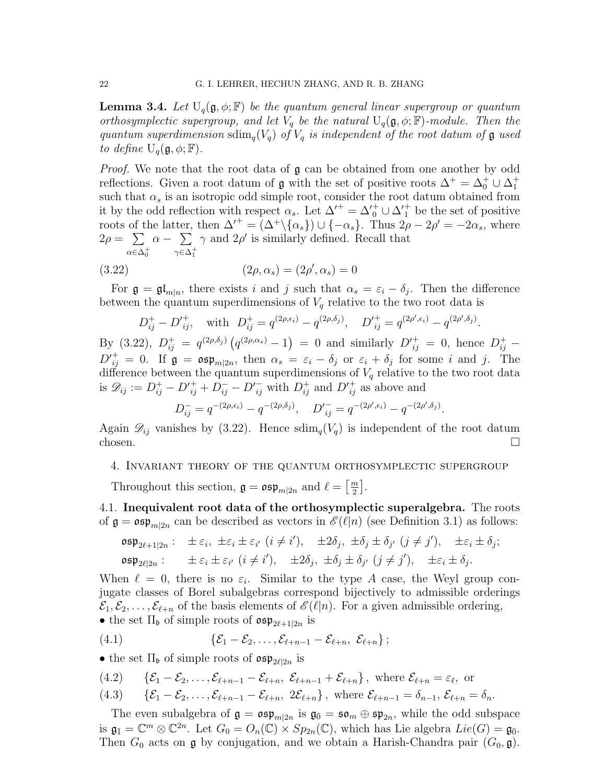**Lemma 3.4.** Let  $U_q(\mathfrak{g}, \phi; \mathbb{F})$  be the quantum general linear supergroup or quantum orthosymplectic supergroup, and let  $V_q$  be the natural  $U_q(\mathfrak{g}, \phi; \mathbb{F})$ -module. Then the quantum superdimension  $\text{sdim}_q(V_q)$  of  $V_q$  is independent of the root datum of  $\mathfrak g$  used to define  $U_q(\mathfrak{g}, \phi; \mathbb{F})$ .

*Proof.* We note that the root data of  $\mathfrak{g}$  can be obtained from one another by odd reflections. Given a root datum of  $\mathfrak g$  with the set of positive roots  $\Delta^+ = \Delta_0^+ \cup \Delta_1^+$ such that  $\alpha_s$  is an isotropic odd simple root, consider the root datum obtained from it by the odd reflection with respect  $\alpha_s$ . Let  $\Delta'^{+} = \Delta'^{+}_0 \cup \Delta'^{+}_1$  be the set of positive roots of the latter, then  $\Delta^{'} = (\Delta^+\backslash {\{\alpha_s\}}) \cup {\{-\alpha_s\}}$ . Thus  $2\rho - 2\rho' = -2\alpha_s$ , where  $2\rho = \sum$  $\alpha \in \Delta_{0}^{+}$  $\alpha - \sum$  $\gamma \in \Delta_1^+$  $\gamma$  and  $2\rho'$  is similarly defined. Recall that

(3.22) 
$$
(2\rho, \alpha_s) = (2\rho', \alpha_s) = 0
$$

For  $\mathfrak{g} = \mathfrak{gl}_{m|n}$ , there exists i and j such that  $\alpha_s = \varepsilon_i - \delta_j$ . Then the difference between the quantum superdimensions of  $V_q$  relative to the two root data is

$$
D_{ij}^+ - D'_{ij}^+
$$
, with  $D_{ij}^+ = q^{(2\rho, \epsilon_i)} - q^{(2\rho, \delta_j)}$ ,  $D'_{ij}^+ = q^{(2\rho', \epsilon_i)} - q^{(2\rho', \delta_j)}$ .

By (3.22),  $D_{ij}^+ = q^{(2\rho,\delta_j)}(q^{(2\rho,\alpha_s)}-1) = 0$  and similarly  $D'_{ij}^+ = 0$ , hence  $D_{ij}^+$  - $D_{ij}^{'} = 0$ . If  $\mathfrak{g} = \mathfrak{osp}_{m|2n}$ , then  $\alpha_s = \varepsilon_i - \delta_j$  or  $\varepsilon_i + \delta_j$  for some i and j. The difference between the quantum superdimensions of  $V_q$  relative to the two root data is  $\mathscr{D}_{ij} := D_{ij}^+ - D_{ij}^+ + D_{ij}^- - D_{ij}^-$  with  $D_{ij}^+$  and  $D_{ij}^+$  as above and

$$
D_{ij}^- = q^{-(2\rho, \epsilon_i)} - q^{-(2\rho, \delta_j)}, \quad D'_{ij}^- = q^{-(2\rho', \epsilon_i)} - q^{-(2\rho', \delta_j)}.
$$

Again  $\mathscr{D}_{ij}$  vanishes by (3.22). Hence  $\text{sdim}_q(V_q)$  is independent of the root datum chosen.  $\square$ 

### 4. Invariant theory of the quantum orthosymplectic supergroup

Throughout this section,  $\mathfrak{g} = \mathfrak{osp}_{m|2n}$  and  $\ell = \left[\frac{m}{2}\right]$  $\frac{m}{2}$ .

4.1. Inequivalent root data of the orthosymplectic superalgebra. The roots of  $\mathfrak{g} = \mathfrak{osp}_{m|2n}$  can be described as vectors in  $\mathscr{E}(\ell|n)$  (see Definition 3.1) as follows:

 $\mathfrak{osp}_{2\ell+1|2n}: \pm \varepsilon_i, \pm \varepsilon_i \pm \varepsilon_{i'} \; (i \neq i'), \quad \pm 2\delta_j, \ \pm \delta_j \pm \delta_{j'} \; (j \neq j'), \quad \pm \varepsilon_i \pm \delta_j;$  $\mathfrak{osp}_{2\ell|2n}: \pm \varepsilon_i \pm \varepsilon_{i'} \; (i \neq i'), \quad \pm 2\delta_j, \; \pm \delta_j \pm \delta_{j'} \; (j \neq j'), \quad \pm \varepsilon_i \pm \delta_j.$ 

When  $\ell = 0$ , there is no  $\varepsilon_i$ . Similar to the type A case, the Weyl group conjugate classes of Borel subalgebras correspond bijectively to admissible orderings  $\mathcal{E}_1, \mathcal{E}_2, \ldots, \mathcal{E}_{\ell+n}$  of the basis elements of  $\mathscr{E}(\ell|n)$ . For a given admissible ordering, • the set  $\Pi_{\mathfrak{b}}$  of simple roots of  $\mathfrak{osp}_{2\ell+1|2n}$  is

$$
(4.1) \qquad \qquad \{ \mathcal{E}_1 - \mathcal{E}_2, \ldots, \mathcal{E}_{\ell+n-1} - \mathcal{E}_{\ell+n}, \ \mathcal{E}_{\ell+n} \} ;
$$

• the set  $\Pi_{\mathfrak{b}}$  of simple roots of  $\mathfrak{osp}_{2\ell|2n}$  is

(4.2) {
$$
\mathcal{E}_1 - \mathcal{E}_2, \ldots, \mathcal{E}_{\ell+n-1} - \mathcal{E}_{\ell+n}, \mathcal{E}_{\ell+n-1} + \mathcal{E}_{\ell+n}
$$
 where  $\mathcal{E}_{\ell+n} = \varepsilon_{\ell}$ , or

(4.3) 
$$
\{\mathcal{E}_1-\mathcal{E}_2,\ldots,\mathcal{E}_{\ell+n-1}-\mathcal{E}_{\ell+n},\ 2\mathcal{E}_{\ell+n}\}\
$$
, where  $\mathcal{E}_{\ell+n-1}=\delta_{n-1},\ \mathcal{E}_{\ell+n}=\delta_n.$ 

The even subalgebra of  $\mathfrak{g} = \mathfrak{osp}_{m|2n}$  is  $\mathfrak{g}_{\bar{0}} = \mathfrak{so}_m \oplus \mathfrak{sp}_{2n}$ , while the odd subspace is  $\mathfrak{g}_{\bar{1}} = \mathbb{C}^m \otimes \mathbb{C}^{2n}$ . Let  $G_0 = O_n(\mathbb{C}) \times Sp_{2n}(\mathbb{C})$ , which has Lie algebra  $Lie(G) = \mathfrak{g}_{\bar{0}}$ . Then  $G_0$  acts on g by conjugation, and we obtain a Harish-Chandra pair  $(G_0, \mathfrak{g})$ .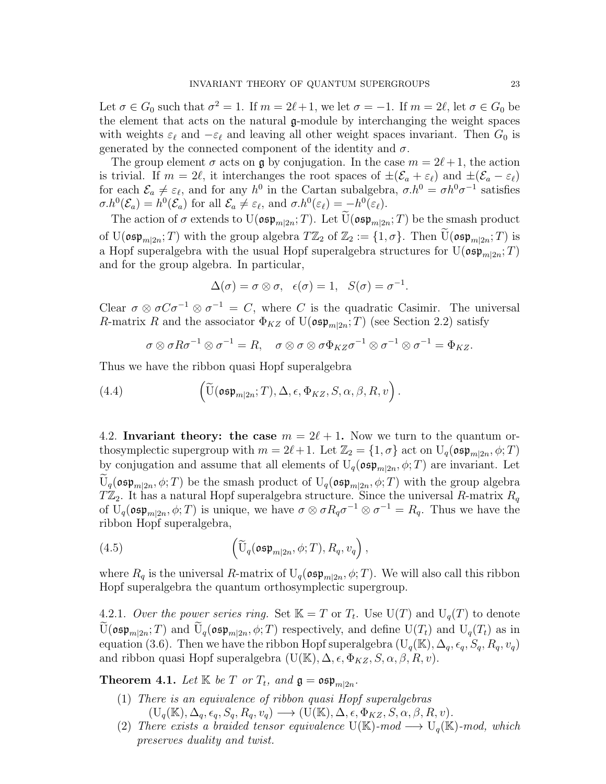Let  $\sigma \in G_0$  such that  $\sigma^2 = 1$ . If  $m = 2\ell + 1$ , we let  $\sigma = -1$ . If  $m = 2\ell$ , let  $\sigma \in G_0$  be the element that acts on the natural g-module by interchanging the weight spaces with weights  $\varepsilon_\ell$  and  $-\varepsilon_\ell$  and leaving all other weight spaces invariant. Then  $G_0$  is generated by the connected component of the identity and  $\sigma$ .

The group element  $\sigma$  acts on g by conjugation. In the case  $m = 2\ell + 1$ , the action is trivial. If  $m = 2\ell$ , it interchanges the root spaces of  $\pm(\mathcal{E}_a + \varepsilon_\ell)$  and  $\pm(\mathcal{E}_a - \varepsilon_\ell)$ for each  $\mathcal{E}_a \neq \varepsilon_\ell$ , and for any  $h^0$  in the Cartan subalgebra,  $\sigma \cdot h^0 = \sigma h^0 \sigma^{-1}$  satisfies  $\sigma.h^0(\mathcal{E}_a) = h^0(\mathcal{E}_a)$  for all  $\mathcal{E}_a \neq \varepsilon_\ell$ , and  $\sigma.h^0(\varepsilon_\ell) = -h^0(\varepsilon_\ell)$ .

The action of  $\sigma$  extends to  $U(\mathfrak{osp}_{m|2n};T)$ . Let  $U(\mathfrak{osp}_{m|2n};T)$  be the smash product of  $U(\mathfrak{osp}_{m|2n};T)$  with the group algebra  $T\mathbb{Z}_2$  of  $\mathbb{Z}_2 := \{1,\sigma\}$ . Then  $\widetilde{U}(\mathfrak{osp}_{m|2n};T)$  is a Hopf superalgebra with the usual Hopf superalgebra structures for  $\mathrm{U}(\mathfrak{osp}_{m|2n};T)$ and for the group algebra. In particular,

$$
\Delta(\sigma) = \sigma \otimes \sigma, \quad \epsilon(\sigma) = 1, \quad S(\sigma) = \sigma^{-1}.
$$

Clear  $\sigma \otimes \sigma C \sigma^{-1} \otimes \sigma^{-1} = C$ , where C is the quadratic Casimir. The universal R-matrix R and the associator  $\Phi_{KZ}$  of  $U(\mathfrak{osp}_{m|2n};T)$  (see Section 2.2) satisfy

$$
\sigma \otimes \sigma R \sigma^{-1} \otimes \sigma^{-1} = R, \quad \sigma \otimes \sigma \otimes \sigma \Phi_{KZ} \sigma^{-1} \otimes \sigma^{-1} \otimes \sigma^{-1} = \Phi_{KZ}.
$$

Thus we have the ribbon quasi Hopf superalgebra

(4.4) 
$$
\left(\widetilde{\mathrm{U}}(\mathfrak{osp}_{m|2n};T),\Delta,\epsilon,\Phi_{KZ},S,\alpha,\beta,R,v\right).
$$

4.2. Invariant theory: the case  $m = 2\ell + 1$ . Now we turn to the quantum orthosymplectic supergroup with  $m = 2\ell + 1$ . Let  $\mathbb{Z}_2 = \{1, \sigma\}$  act on  $U_q(\mathfrak{osp}_{m|2n}, \phi; T)$ by conjugation and assume that all elements of  $U_q(\mathfrak{osp}_{m|2n}, \phi; T)$  are invariant. Let  $U_q(\mathfrak{osp}_{m|2n}, \phi; T)$  be the smash product of  $U_q(\mathfrak{osp}_{m|2n}, \phi; T)$  with the group algebra  $T\mathbb{Z}_2$ . It has a natural Hopf superalgebra structure. Since the universal R-matrix  $R_q$ of  $U_q(\mathfrak{osp}_{m|2n}, \phi; T)$  is unique, we have  $\sigma \otimes \sigma R_q \sigma^{-1} \otimes \sigma^{-1} = R_q$ . Thus we have the ribbon Hopf superalgebra,

(4.5) 
$$
\left(\widetilde{\mathrm{U}}_q(\mathfrak{osp}_{m|2n}, \phi; T), R_q, v_q\right),
$$

where  $R_q$  is the universal R-matrix of  $U_q(\mathfrak{osp}_{m|2n}, \phi; T)$ . We will also call this ribbon Hopf superalgebra the quantum orthosymplectic supergroup.

4.2.1. Over the power series ring. Set  $\mathbb{K} = T$  or  $T_t$ . Use  $\mathrm{U}(T)$  and  $\mathrm{U}_q(T)$  to denote  $U(\mathfrak{osp}_{m|2n};T)$  and  $U_q(\mathfrak{osp}_{m|2n}, \phi;T)$  respectively, and define  $U(T_t)$  and  $U_q(T_t)$  as in equation (3.6). Then we have the ribbon Hopf superalgebra  $(U_q(K), \Delta_q, \epsilon_q, S_q, R_q, v_q)$ and ribbon quasi Hopf superalgebra  $(U(\mathbb{K}), \Delta, \epsilon, \Phi_{KZ}, S, \alpha, \beta, R, v)$ .

**Theorem 4.1.** Let  $\mathbb{K}$  be  $T$  or  $T_t$ , and  $\mathfrak{g} = \mathfrak{osp}_{m|2n}$ .

- (1) There is an equivalence of ribbon quasi Hopf superalgebras  $(U_q(\mathbb{K}), \Delta_q, \epsilon_q, S_q, R_q, v_q) \longrightarrow (U(\mathbb{K}), \Delta, \epsilon, \Phi_{KZ}, S, \alpha, \beta, R, v).$
- (2) There exists a braided tensor equivalence U(K)- $mod \longrightarrow U_q(K)$ -mod, which preserves duality and twist.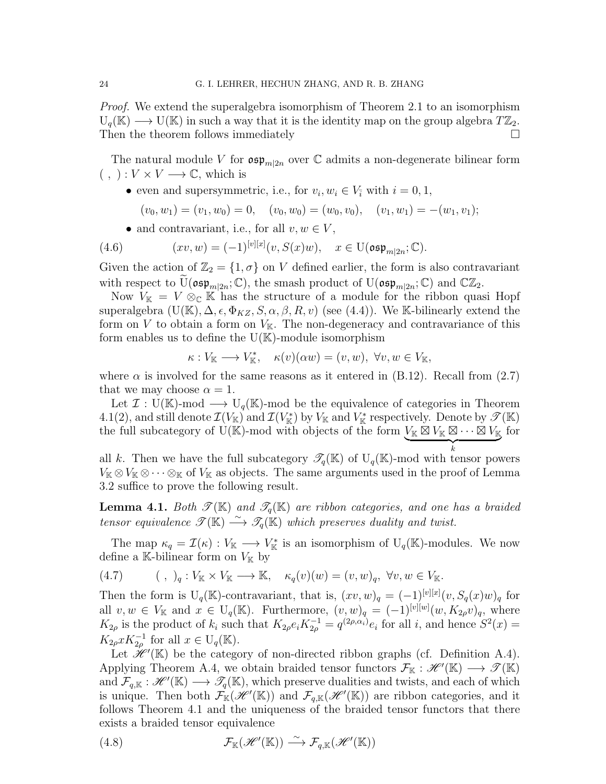*Proof.* We extend the superalgebra isomorphism of Theorem 2.1 to an isomorphism  $U_q(\mathbb{K}) \longrightarrow U(\mathbb{K})$  in such a way that it is the identity map on the group algebra  $T\mathbb{Z}_2$ . Then the theorem follows immediately  $\square$ 

The natural module V for  $\mathfrak{osp}_{m|2n}$  over C admits a non-degenerate bilinear form  $( , ) : V \times V \longrightarrow \mathbb{C}$ , which is

• even and supersymmetric, i.e., for  $v_i, w_i \in V_i$  with  $i = 0, 1$ ,

$$
(v_0, w_1) = (v_1, w_0) = 0, \quad (v_0, w_0) = (w_0, v_0), \quad (v_1, w_1) = -(w_1, v_1);
$$

• and contravariant, i.e., for all  $v, w \in V$ ,

(4.6) 
$$
(xv, w) = (-1)^{[v][x]}(v, S(x)w), \quad x \in \mathrm{U}(\mathfrak{osp}_{m|2n}; \mathbb{C}).
$$

Given the action of  $\mathbb{Z}_2 = \{1, \sigma\}$  on V defined earlier, the form is also contravariant with respect to  $\widetilde{U}(\mathfrak{osp}_{m|2n};\mathbb{C})$ , the smash product of  $U(\mathfrak{osp}_{m|2n};\mathbb{C})$  and  $\mathbb{C}\mathbb{Z}_2$ .

Now  $V_{\mathbb{K}} = V \otimes_{\mathbb{C}} \mathbb{K}$  has the structure of a module for the ribbon quasi Hopf superalgebra  $(U(\mathbb{K}), \Delta, \epsilon, \Phi_{KZ}, S, \alpha, \beta, R, v)$  (see (4.4)). We K-bilinearly extend the form on V to obtain a form on  $V_{\mathbb{K}}$ . The non-degeneracy and contravariance of this form enables us to define the  $U(K)$ -module isomorphism

$$
\kappa: V_{\mathbb{K}} \longrightarrow V_{\mathbb{K}}^*, \quad \kappa(v)(\alpha w) = (v, w), \ \forall v, w \in V_{\mathbb{K}},
$$

where  $\alpha$  is involved for the same reasons as it entered in (B.12). Recall from (2.7) that we may choose  $\alpha = 1$ .

Let  $\mathcal{I}: U(\mathbb{K})$ -mod  $\longrightarrow U_{\mathfrak{g}}(\mathbb{K})$ -mod be the equivalence of categories in Theorem 4.1(2), and still denote  $\mathcal{I}(V_{\mathbb{K}})$  and  $\mathcal{I}(V_{\mathbb{K}}^*)$  by  $V_{\mathbb{K}}$  and  $V_{\mathbb{K}}^*$  respectively. Denote by  $\mathscr{T}(\mathbb{K})$ the full subcategory of U(K)-mod with objects of the form  $V_{\mathbb{K}} \boxtimes V_{\mathbb{K}} \boxtimes \cdots \boxtimes V_{\mathbb{K}}$ for

 $\overbrace{k}$ k all k. Then we have the full subcategory  $\mathscr{T}_q(K)$  of  $U_q(K)$ -mod with tensor powers  $V_{\mathbb K}\otimes V_{\mathbb K}\otimes\cdots\otimes_{\mathbb K}$  of  $V_{\mathbb K}$  as objects. The same arguments used in the proof of Lemma 3.2 suffice to prove the following result.

**Lemma 4.1.** Both  $\mathscr{T}(\mathbb{K})$  and  $\mathscr{T}_q(\mathbb{K})$  are ribbon categories, and one has a braided tensor equivalence  $\mathcal{T}(\mathbb{K}) \stackrel{\sim}{\longrightarrow} \mathcal{T}_q(\mathbb{K})$  which preserves duality and twist.

The map  $\kappa_q = \mathcal{I}(\kappa) : V_{\mathbb{K}} \longrightarrow V_{\mathbb{K}}^*$  is an isomorphism of  $U_q(\mathbb{K})$ -modules. We now define a K-bilinear form on  $V_{K}$  by

(4.7) 
$$
(1, 0)_{q}: V_{\mathbb{K}} \times V_{\mathbb{K}} \longrightarrow \mathbb{K}, \quad \kappa_{q}(v)(w) = (v, w)_{q}, \forall v, w \in V_{\mathbb{K}}.
$$

Then the form is  $U_q(\mathbb{K})$ -contravariant, that is,  $(xv,w)_q = (-1)^{[v][x]}(v, S_q(x)w)_q$  for all  $v, w \in V_{\mathbb{K}}$  and  $x \in U_q(\mathbb{K})$ . Furthermore,  $(v, w)_q = (-1)^{[v][w]}(w, K_{2\rho}v)_q$ , where  $K_{2\rho}$  is the product of  $k_i$  such that  $K_{2\rho}e_iK_{2\rho}^{-1} = q^{(2\rho,\alpha_i)}e_i$  for all i, and hence  $S^2(x) =$  $K_{2\rho} x K_{2\rho}^{-1}$  for all  $x \in U_q(\mathbb{K})$ .

Let  $\mathcal{H}^{\prime}(\mathbb{K})$  be the category of non-directed ribbon graphs (cf. Definition A.4). Applying Theorem A.4, we obtain braided tensor functors  $\mathcal{F}_{\mathbb{K}} : \mathscr{H}'(\mathbb{K}) \longrightarrow \mathscr{T}(\mathbb{K})$ and  $\mathcal{F}_{q,\mathbb{K}} : \mathscr{H}'(\mathbb{K}) \longrightarrow \mathscr{T}_q(\mathbb{K})$ , which preserve dualities and twists, and each of which is unique. Then both  $\mathcal{F}_{\mathbb{K}}(\mathscr{H}'(\mathbb{K}))$  and  $\mathcal{F}_{q,\mathbb{K}}(\mathscr{H}'(\mathbb{K}))$  are ribbon categories, and it follows Theorem 4.1 and the uniqueness of the braided tensor functors that there exists a braided tensor equivalence

(4.8) 
$$
\mathcal{F}_{\mathbb{K}}(\mathscr{H}'(\mathbb{K})) \stackrel{\sim}{\longrightarrow} \mathcal{F}_{q,\mathbb{K}}(\mathscr{H}'(\mathbb{K}))
$$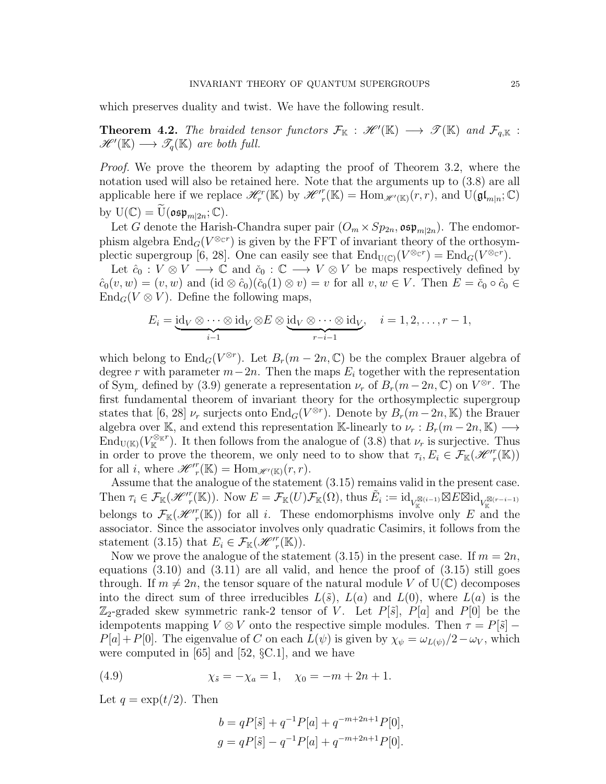which preserves duality and twist. We have the following result.

**Theorem 4.2.** The braided tensor functors  $\mathcal{F}_{\mathbb{K}}$  :  $\mathscr{H}'(\mathbb{K}) \longrightarrow \mathscr{T}(\mathbb{K})$  and  $\mathcal{F}_{q,\mathbb{K}}$  :  $\mathscr{H}'(\mathbb{K}) \longrightarrow \mathscr{T}_q(\mathbb{K})$  are both full.

Proof. We prove the theorem by adapting the proof of Theorem 3.2, where the notation used will also be retained here. Note that the arguments up to (3.8) are all applicable here if we replace  $\mathscr{H}_r^r(\mathbb{K})$  by  $\mathscr{H}_r^r(\mathbb{K}) = \text{Hom}_{\mathscr{H}'(\mathbb{K})}(r,r)$ , and  $\text{U}(\mathfrak{gl}_{m|n}; \mathbb{C})$ by  $\mathrm{U}(\mathbb{C}) = \widetilde{\mathrm{U}}(\mathfrak{osp}_{m|2n};\mathbb{C}).$ 

Let G denote the Harish-Chandra super pair  $(O_m \times Sp_{2n}, \mathfrak{osp}_{m|2n})$ . The endomorphism algebra  $\text{End}_G(V^{\otimes c})$  is given by the FFT of invariant theory of the orthosymplectic supergroup [6, 28]. One can easily see that  $\text{End}_{U(\mathbb{C})}(V^{\otimes_{\mathbb{C}^r}}) = \text{End}_G(V^{\otimes_{\mathbb{C}^r}})$ .

Let  $\hat{c}_0 : V \otimes V \longrightarrow \mathbb{C}$  and  $\check{c}_0 : \mathbb{C} \longrightarrow V \otimes V$  be maps respectively defined by  $\hat{c}_0(v, w) = (v, w)$  and  $(id \otimes \hat{c}_0)(\check{c}_0(1) \otimes v) = v$  for all  $v, w \in V$ . Then  $E = \check{c}_0 \circ \hat{c}_0 \in$  $\text{End}_G(V \otimes V)$ . Define the following maps,

$$
E_i = \underbrace{\mathrm{id}_V \otimes \cdots \otimes \mathrm{id}_V}_{i-1} \otimes E \otimes \underbrace{\mathrm{id}_V \otimes \cdots \otimes \mathrm{id}_V}_{r-i-1}, \quad i = 1, 2, \ldots, r-1,
$$

which belong to  $\text{End}_G(V^{\otimes r})$ . Let  $B_r(m-2n, \mathbb{C})$  be the complex Brauer algebra of degree r with parameter  $m-2n$ . Then the maps  $E_i$  together with the representation of  $\text{Sym}_r$  defined by (3.9) generate a representation  $\nu_r$  of  $B_r(m-2n, \mathbb{C})$  on  $V^{\otimes r}$ . The first fundamental theorem of invariant theory for the orthosymplectic supergroup states that [6, 28]  $\nu_r$  surjects onto  $\text{End}_G(V^{\otimes r})$ . Denote by  $B_r(m-2n, \mathbb{K})$  the Brauer algebra over K, and extend this representation K-linearly to  $\nu_r : B_r(m-2n, K) \longrightarrow$  $\text{End}_{U(\mathbb{K})}(V^{\otimes_{\mathbb{K}}r}_{\mathbb{K}})$ . It then follows from the analogue of  $(3.8)$  that  $\nu_r$  is surjective. Thus in order to prove the theorem, we only need to to show that  $\tau_i, E_i \in \mathcal{F}_{\mathbb{K}}(\mathcal{H}^r(\mathbb{K}))$ for all *i*, where  $\mathscr{H}^r(\mathbb{K}) = \text{Hom}_{\mathscr{H}'(\mathbb{K})}(r,r)$ .

Assume that the analogue of the statement (3.15) remains valid in the present case. Then  $\tau_i \in \mathcal{F}_{\mathbb{K}}(\mathcal{H}'^r(\mathbb{K}))$ . Now  $E = \mathcal{F}_{\mathbb{K}}(U)\mathcal{F}_{\mathbb{K}}(\Omega)$ , thus  $\tilde{E}_i := \mathrm{id}_{V^{\mathbb{K}}_{\mathbb{K}}(i-1)} \boxtimes E \boxtimes \mathrm{id}_{V^{\mathbb{K}}_{\mathbb{K}}(r-i-1)}$ belongs to  $\mathcal{F}_{\mathbb{K}}(\mathcal{H}^r(\mathbb{K}))$  for all i. These endomorphisms involve only E and the associator. Since the associator involves only quadratic Casimirs, it follows from the statement (3.15) that  $E_i \in \mathcal{F}_{\mathbb{K}}(\mathcal{H}^{\prime r}_{r}(\mathbb{K}))$ .

Now we prove the analogue of the statement  $(3.15)$  in the present case. If  $m = 2n$ , equations  $(3.10)$  and  $(3.11)$  are all valid, and hence the proof of  $(3.15)$  still goes through. If  $m \neq 2n$ , the tensor square of the natural module V of  $U(\mathbb{C})$  decomposes into the direct sum of three irreducibles  $L(\tilde{s})$ ,  $L(a)$  and  $L(0)$ , where  $L(a)$  is the  $\mathbb{Z}_2$ -graded skew symmetric rank-2 tensor of V. Let  $P[\tilde{s}]$ ,  $P[a]$  and  $P[0]$  be the idempotents mapping  $V \otimes V$  onto the respective simple modules. Then  $\tau = P[\tilde{s}]$  –  $P[a] + P[0]$ . The eigenvalue of C on each  $L(\psi)$  is given by  $\chi_{\psi} = \omega_{L(\psi)}/2 - \omega_V$ , which were computed in  $[65]$  and  $[52, \S C.1]$ , and we have

(4.9) 
$$
\chi_{\tilde{s}} = -\chi_a = 1, \quad \chi_0 = -m + 2n + 1.
$$

Let  $q = \exp(t/2)$ . Then

$$
b = qP[\tilde{s}] + q^{-1}P[a] + q^{-m+2n+1}P[0],
$$
  

$$
g = qP[\tilde{s}] - q^{-1}P[a] + q^{-m+2n+1}P[0].
$$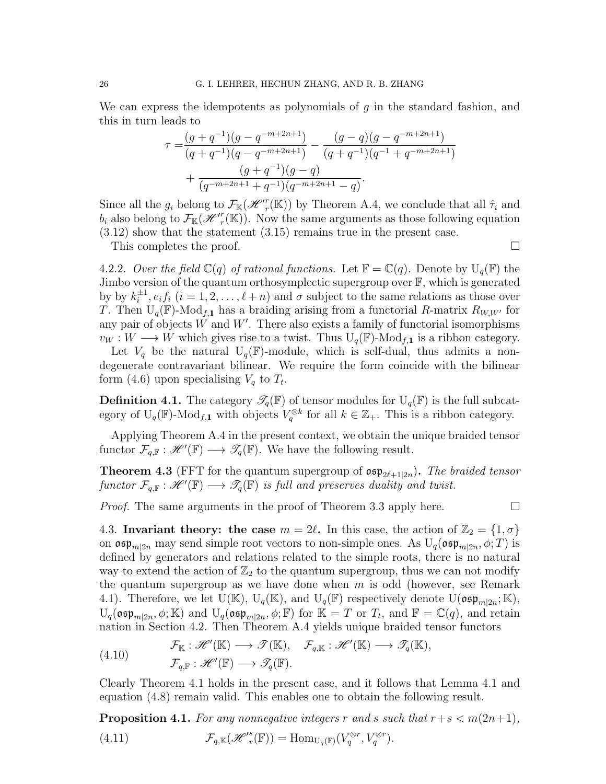We can express the idempotents as polynomials of  $g$  in the standard fashion, and this in turn leads to

$$
\tau = \frac{(g+q^{-1})(g-q^{-m+2n+1})}{(q+q^{-1})(q-q^{-m+2n+1})} - \frac{(g-q)(g-q^{-m+2n+1})}{(q+q^{-1})(q^{-1}+q^{-m+2n+1})} + \frac{(g+q^{-1})(g-q)}{(q^{-m+2n+1}+q^{-1})(q^{-m+2n+1}-q)}.
$$

Since all the  $g_i$  belong to  $\mathcal{F}_{\mathbb{K}}(\mathscr{H}_r^r(\mathbb{K}))$  by Theorem A.4, we conclude that all  $\hat{\tau}_i$  and  $b_i$  also belong to  $\mathcal{F}_{\mathbb{K}}(\mathcal{H}^r(\mathbb{K}))$ . Now the same arguments as those following equation (3.12) show that the statement (3.15) remains true in the present case.

This completes the proof.

4.2.2. Over the field  $\mathbb{C}(q)$  of rational functions. Let  $\mathbb{F} = \mathbb{C}(q)$ . Denote by  $U_q(\mathbb{F})$  the Jimbo version of the quantum orthosymplectic supergroup over F, which is generated by by  $k_i^{\pm 1}$  $i,j \nmid i$ ,  $e_i f_i$   $(i = 1, 2, \ldots, \ell + n)$  and  $\sigma$  subject to the same relations as those over T. Then  $U_q(\mathbb{F})$ -Mod<sub>f,1</sub> has a braiding arising from a functorial R-matrix  $R_{W,W'}$  for any pair of objects  $W$  and  $W'$ . There also exists a family of functorial isomorphisms  $v_W : W \longrightarrow W$  which gives rise to a twist. Thus  $U_q(\mathbb{F})$ -Mod<sub>f.1</sub> is a ribbon category.

Let  $V_q$  be the natural  $U_q(\mathbb{F})$ -module, which is self-dual, thus admits a nondegenerate contravariant bilinear. We require the form coincide with the bilinear form (4.6) upon specialising  $V_q$  to  $T_t$ .

**Definition 4.1.** The category  $\mathcal{T}_q(\mathbb{F})$  of tensor modules for  $U_q(\mathbb{F})$  is the full subcategory of  $U_q(\mathbb{F})$ -Mod<sub>f,1</sub> with objects  $V_q^{\otimes k}$  for all  $k \in \mathbb{Z}_+$ . This is a ribbon category.

Applying Theorem A.4 in the present context, we obtain the unique braided tensor functor  $\mathcal{F}_{q,\mathbb{F}} : \mathscr{H}'(\mathbb{F}) \longrightarrow \mathscr{T}_q(\mathbb{F})$ . We have the following result.

**Theorem 4.3** (FFT for the quantum supergroup of  $\mathfrak{osp}_{2\ell+1|2n}$ ). The braided tensor functor  $\mathcal{F}_{q,\mathbb{F}}:\mathscr{H}'(\mathbb{F})\longrightarrow \mathscr{T}_q(\mathbb{F})$  is full and preserves duality and twist.

*Proof.* The same arguments in the proof of Theorem 3.3 apply here.  $\Box$ 

4.3. Invariant theory: the case  $m = 2\ell$ . In this case, the action of  $\mathbb{Z}_2 = \{1, \sigma\}$ on  $\mathfrak{osp}_{m|2n}$  may send simple root vectors to non-simple ones. As  $U_q(\mathfrak{osp}_{m|2n}, \phi; T)$  is defined by generators and relations related to the simple roots, there is no natural way to extend the action of  $\mathbb{Z}_2$  to the quantum supergroup, thus we can not modify the quantum supergroup as we have done when  $m$  is odd (however, see Remark 4.1). Therefore, we let  $\mathrm{U}(\mathbb{K})$ ,  $\mathrm{U}_q(\mathbb{K})$ , and  $\mathrm{U}_q(\mathbb{F})$  respectively denote  $\mathrm{U}(\mathfrak{osp}_{m|2n};\mathbb{K})$ ,  $U_q(\mathfrak{osp}_{m|2n}, \phi; \mathbb{K})$  and  $U_q(\mathfrak{osp}_{m|2n}, \phi; \mathbb{F})$  for  $\mathbb{K} = T$  or  $T_t$ , and  $\mathbb{F} = \mathbb{C}(q)$ , and retain nation in Section 4.2. Then Theorem A.4 yields unique braided tensor functors

(4.10) 
$$
\mathcal{F}_{\mathbb{K}} : \mathscr{H}'(\mathbb{K}) \longrightarrow \mathscr{T}(\mathbb{K}), \quad \mathcal{F}_{q,\mathbb{K}} : \mathscr{H}'(\mathbb{K}) \longrightarrow \mathscr{T}_q(\mathbb{K}), \mathcal{F}_{q,\mathbb{F}} : \mathscr{H}'(\mathbb{F}) \longrightarrow \mathscr{T}_q(\mathbb{F}).
$$

Clearly Theorem 4.1 holds in the present case, and it follows that Lemma 4.1 and equation (4.8) remain valid. This enables one to obtain the following result.

**Proposition 4.1.** For any nonnegative integers r and s such that  $r+s < m(2n+1)$ , (4.11)  $\mathcal{F}_{q,\mathbb{K}}(\mathcal{H}'^s_{r}(\mathbb{F})) = \text{Hom}_{U_q(\mathbb{F})}(V_q^{\otimes r}, V_q^{\otimes r}).$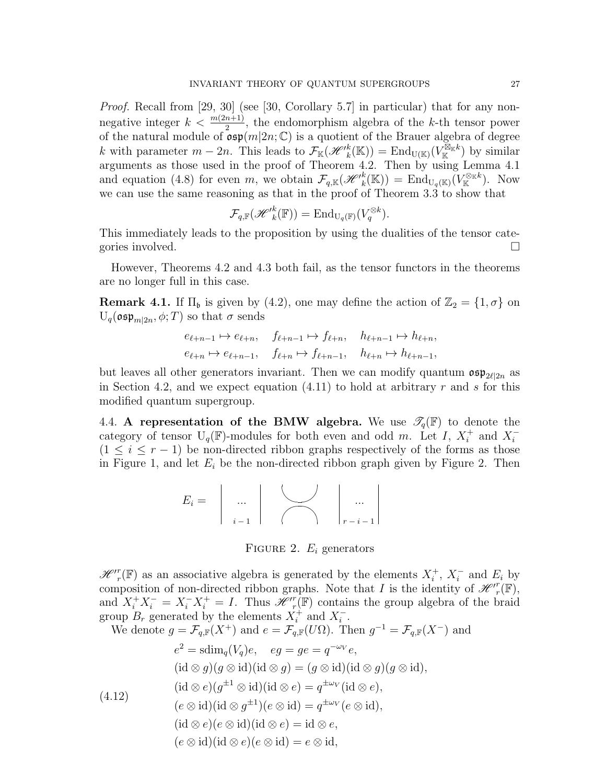Proof. Recall from [29, 30] (see [30, Corollary 5.7] in particular) that for any nonnegative integer  $k < \frac{m(2n+1)}{2}$ , the endomorphism algebra of the k-th tensor power of the natural module of  $\sigma \in (m|2n; \mathbb{C})$  is a quotient of the Brauer algebra of degree k with parameter  $m-2n$ . This leads to  $\mathcal{F}_{\mathbb{K}}(\mathscr{H}'^k_k(\mathbb{K})) = \text{End}_{U(\mathbb{K})}(V^{\mathbb{K}_k}_k)$  by similar arguments as those used in the proof of Theorem 4.2. Then by using Lemma 4.1 and equation (4.8) for even m, we obtain  $\mathcal{F}_{q,\mathbb{K}}(\mathscr{H}'^k_k(\mathbb{K})) = \text{End}_{U_q(\mathbb{K})}(V^{\otimes_{\mathbb{K}} k}_{\mathbb{K}})$ . Now we can use the same reasoning as that in the proof of Theorem 3.3 to show that

$$
\mathcal{F}_{q,\mathbb{F}}(\mathscr{H'}_k^k(\mathbb{F})) = \mathrm{End}_{\mathrm{U}_q(\mathbb{F})}(V_q^{\otimes k}).
$$

This immediately leads to the proposition by using the dualities of the tensor categories involved.

However, Theorems 4.2 and 4.3 both fail, as the tensor functors in the theorems are no longer full in this case.

**Remark 4.1.** If  $\Pi_{\mathfrak{b}}$  is given by (4.2), one may define the action of  $\mathbb{Z}_2 = \{1, \sigma\}$  on  $U_q(\mathfrak{osp}_{m|2n}, \phi; T)$  so that  $\sigma$  sends

$$
e_{\ell+n-1} \mapsto e_{\ell+n}, \quad f_{\ell+n-1} \mapsto f_{\ell+n}, \quad h_{\ell+n-1} \mapsto h_{\ell+n},
$$
  

$$
e_{\ell+n} \mapsto e_{\ell+n-1}, \quad f_{\ell+n} \mapsto f_{\ell+n-1}, \quad h_{\ell+n} \mapsto h_{\ell+n-1},
$$

but leaves all other generators invariant. Then we can modify quantum  $\mathfrak{osp}_{2\ell|2n}$  as in Section 4.2, and we expect equation  $(4.11)$  to hold at arbitrary r and s for this modified quantum supergroup.

4.4. A representation of the BMW algebra. We use  $\mathcal{T}_q(\mathbb{F})$  to denote the category of tensor  $U_q(\mathbb{F})$ -modules for both even and odd m. Let I,  $X_i^+$  $i^+$  and  $X_i^$ i  $(1 \leq i \leq r-1)$  be non-directed ribbon graphs respectively of the forms as those in Figure 1, and let  $E_i$  be the non-directed ribbon graph given by Figure 2. Then

$$
E_i = \left| \begin{array}{c} \dots \\ \dots \\ i-1 \end{array} \right| \left| \begin{array}{c} \dots \\ \dots \\ \dots \\ r-i-1 \end{array} \right|
$$

FIGURE 2.  $E_i$  generators

 $\mathscr{H}^r_{r}(\mathbb{F})$  as an associative algebra is generated by the elements  $X_i^+$  $i^+, X_i^$  $i$  and  $E_i$  by composition of non-directed ribbon graphs. Note that I is the identity of  $\mathscr{H}^r_{r}(\mathbb{F})$ , and  $X_i^+ X_i^- = X_i^- X_i^+ = I$ . Thus  $\mathscr{H}^r_{r}(\mathbb{F})$  contains the group algebra of the braid group  $B_r$  generated by the elements  $X_i^+$  $i^+$  and  $X_i^ \frac{i}{i}$ .

We denote  $g = \mathcal{F}_{q,\mathbb{F}}(X^+)$  and  $e = \mathcal{F}_{q,\mathbb{F}}(U\Omega)$ . Then  $g^{-1} = \mathcal{F}_{q,\mathbb{F}}(X^-)$  and

(4.12)  
\n
$$
e^{2} = \text{sdim}_{q}(V_{q})e, \quad eg = ge = q^{-\omega_{V}}e,
$$
\n
$$
(\text{id} \otimes g)(g \otimes \text{id})(\text{id} \otimes g) = (g \otimes \text{id})(\text{id} \otimes g)(g \otimes \text{id}),
$$
\n
$$
(\text{id} \otimes e)(g^{\pm 1} \otimes \text{id})(\text{id} \otimes e) = q^{\pm \omega_{V}}(\text{id} \otimes e),
$$
\n
$$
(e \otimes \text{id})(\text{id} \otimes g^{\pm 1})(e \otimes \text{id}) = q^{\pm \omega_{V}}(e \otimes \text{id}),
$$
\n
$$
(\text{id} \otimes e)(e \otimes \text{id})(\text{id} \otimes e) = \text{id} \otimes e,
$$
\n
$$
(e \otimes \text{id})(\text{id} \otimes e)(e \otimes \text{id}) = e \otimes \text{id},
$$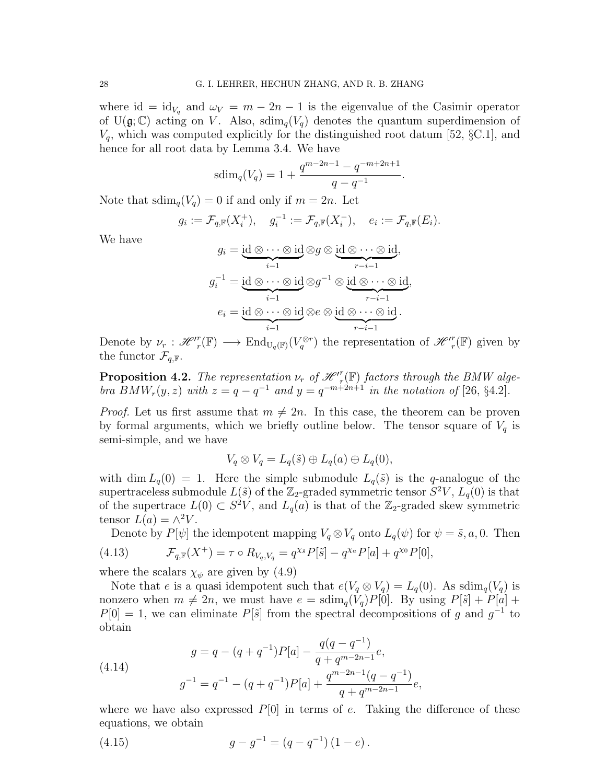where id = id<sub>V<sub>q</sub></sub> and  $\omega_V = m - 2n - 1$  is the eigenvalue of the Casimir operator of  $U(\mathfrak{g};\mathbb{C})$  acting on V. Also,  $\text{sdim}_{q}(V_q)$  denotes the quantum superdimension of  $V_q$ , which was computed explicitly for the distinguished root datum [52,  $\S$ C.1], and hence for all root data by Lemma 3.4. We have

$$
sdim_q(V_q) = 1 + \frac{q^{m-2n-1} - q^{-m+2n+1}}{q - q^{-1}}
$$

.

Note that  $sdim_q(V_q)=0$  if and only if  $m=2n$ . Let

$$
g_i := \mathcal{F}_{q,\mathbb{F}}(X_i^+), \quad g_i^{-1} := \mathcal{F}_{q,\mathbb{F}}(X_i^-), \quad e_i := \mathcal{F}_{q,\mathbb{F}}(E_i).
$$

We have

$$
g_i = \underbrace{\text{id} \otimes \cdots \otimes \text{id}}_{i-1} \otimes g \otimes \underbrace{\text{id} \otimes \cdots \otimes \text{id}}_{r-i-1},
$$

$$
g_i^{-1} = \underbrace{\text{id} \otimes \cdots \otimes \text{id}}_{i-1} \otimes g^{-1} \otimes \underbrace{\text{id} \otimes \cdots \otimes \text{id}}_{r-i-1},
$$

$$
e_i = \underbrace{\text{id} \otimes \cdots \otimes \text{id}}_{i-1} \otimes e \otimes \underbrace{\text{id} \otimes \cdots \otimes \text{id}}_{r-i-1}.
$$

Denote by  $\nu_r: \mathscr{H}^r(\mathbb{F}) \longrightarrow \text{End}_{U_q(\mathbb{F})}(V_q^{\otimes r})$  the representation of  $\mathscr{H}^r_r(\mathbb{F})$  given by the functor  $\mathcal{F}_{q,\mathbb{F}}$ .

**Proposition 4.2.** The representation  $\nu_r$  of  $\mathscr{H}^r_{r}(\mathbb{F})$  factors through the BMW algebra  $BMW_r(y, z)$  with  $z = q - q^{-1}$  and  $y = q^{-m+2n+1}$  in the notation of [26, §4.2].

*Proof.* Let us first assume that  $m \neq 2n$ . In this case, the theorem can be proven by formal arguments, which we briefly outline below. The tensor square of  $V_q$  is semi-simple, and we have

$$
V_q \otimes V_q = L_q(\tilde{s}) \oplus L_q(a) \oplus L_q(0),
$$

with dim  $L_q(0) = 1$ . Here the simple submodule  $L_q(\tilde{s})$  is the q-analogue of the supertraceless submodule  $L(\tilde{s})$  of the  $\mathbb{Z}_2$ -graded symmetric tensor  $S^2V$ ,  $L_q(0)$  is that of the supertrace  $L(0) \subset S^2V$ , and  $L_q(a)$  is that of the Z<sub>2</sub>-graded skew symmetric tensor  $L(a) = \wedge^2 V$ .

Denote by  $P[\psi]$  the idempotent mapping  $V_q \otimes V_q$  onto  $L_q(\psi)$  for  $\psi = \tilde{s}, a, 0$ . Then (4.13)  $\mathcal{F}_{q,\mathbb{F}}(X^+) = \tau \circ R_{V_q,V_q} = q^{\chi_{\tilde{s}}} P[\tilde{s}] - q^{\chi_a} P[a] + q^{\chi_0} P[0],$ 

where the scalars  $\chi_{\psi}$  are given by (4.9)

Note that e is a quasi idempotent such that  $e(V_q \otimes V_q) = L_q(0)$ . As  $\text{sdim}_q(V_q)$  is nonzero when  $m \neq 2n$ , we must have  $e = \text{sdim}_{q}(V_q)P[0]$ . By using  $P[\tilde{s}] + P[a] +$  $P[0] = 1$ , we can eliminate  $P[\tilde{s}]$  from the spectral decompositions of g and  $g^{-1}$  to obtain

(4.14) 
$$
g = q - (q + q^{-1})P[a] - \frac{q(q - q^{-1})}{q + q^{m - 2n - 1}}e,
$$

$$
g^{-1} = q^{-1} - (q + q^{-1})P[a] + \frac{q^{m - 2n - 1}(q - q^{-1})}{q + q^{m - 2n - 1}}e,
$$

where we have also expressed  $P[0]$  in terms of e. Taking the difference of these equations, we obtain

(4.15) 
$$
g - g^{-1} = (q - q^{-1})(1 - e).
$$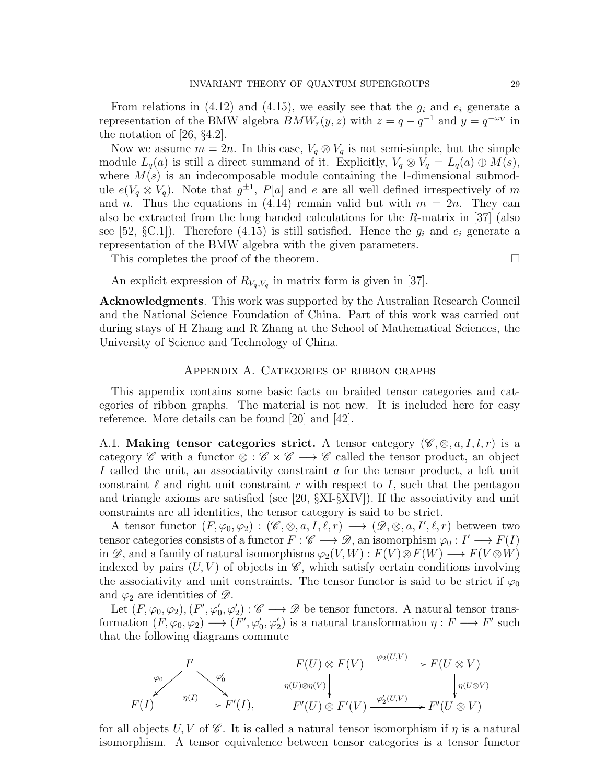From relations in (4.12) and (4.15), we easily see that the  $g_i$  and  $e_i$  generate a representation of the BMW algebra  $BMW_r(y, z)$  with  $z = q - q^{-1}$  and  $y = q^{-\omega_V}$  in the notation of [26, §4.2].

Now we assume  $m = 2n$ . In this case,  $V_q \otimes V_q$  is not semi-simple, but the simple module  $L_q(a)$  is still a direct summand of it. Explicitly,  $V_q \otimes V_q = L_q(a) \oplus M(s)$ , where  $M(s)$  is an indecomposable module containing the 1-dimensional submodule  $e(V_q \otimes V_q)$ . Note that  $g^{\pm 1}$ ,  $P[a]$  and e are all well defined irrespectively of m and n. Thus the equations in (4.14) remain valid but with  $m = 2n$ . They can also be extracted from the long handed calculations for the R-matrix in [37] (also see [52,  $\S$ C.1]). Therefore (4.15) is still satisfied. Hence the  $g_i$  and  $e_i$  generate a representation of the BMW algebra with the given parameters.

This completes the proof of the theorem.

An explicit expression of  $R_{V_q,V_q}$  in matrix form is given in [37].

Acknowledgments. This work was supported by the Australian Research Council and the National Science Foundation of China. Part of this work was carried out during stays of H Zhang and R Zhang at the School of Mathematical Sciences, the University of Science and Technology of China.

# Appendix A. Categories of ribbon graphs

This appendix contains some basic facts on braided tensor categories and categories of ribbon graphs. The material is not new. It is included here for easy reference. More details can be found [20] and [42].

A.1. Making tensor categories strict. A tensor category  $(\mathscr{C}, \otimes, a, I, l, r)$  is a category C with a functor  $\otimes : \mathscr{C} \times \mathscr{C} \longrightarrow \mathscr{C}$  called the tensor product, an object I called the unit, an associativity constraint a for the tensor product, a left unit constraint  $\ell$  and right unit constraint r with respect to I, such that the pentagon and triangle axioms are satisfied (see [20,  $\S$ XI- $\S$ XIV]). If the associativity and unit constraints are all identities, the tensor category is said to be strict.

A tensor functor  $(F, \varphi_0, \varphi_2) : (\mathscr{C}, \otimes, a, I, \ell, r) \longrightarrow (\mathscr{D}, \otimes, a, I', \ell, r)$  between two tensor categories consists of a functor  $F: \mathscr{C} \longrightarrow \mathscr{D}$ , an isomorphism  $\varphi_0: I' \longrightarrow F(I)$ in  $\mathscr{D}$ , and a family of natural isomorphisms  $\varphi_2(V, W) : F(V) \otimes F(W) \longrightarrow F(V \otimes W)$ indexed by pairs  $(U, V)$  of objects in  $\mathscr{C}$ , which satisfy certain conditions involving the associativity and unit constraints. The tensor functor is said to be strict if  $\varphi_0$ and  $\varphi_2$  are identities of  $\mathscr{D}$ .

Let  $(F, \varphi_0, \varphi_2), (F', \varphi'_0, \varphi'_2) : \mathscr{C} \longrightarrow \mathscr{D}$  be tensor functors. A natural tensor transformation  $(F, \varphi_0, \varphi_2) \longrightarrow (F', \varphi'_0, \varphi'_2)$  is a natural transformation  $\eta : F \longrightarrow F'$  such that the following diagrams commute

$$
F(U) \otimes F(V) \xrightarrow{\varphi_2(U,V)} F(U \otimes V)
$$
  
\n
$$
F(I) \xrightarrow{\eta(I)} F'(I), \qquad F'(U) \otimes F'(V) \xrightarrow{\varphi_2'(U,V)} F'(U \otimes V)
$$
  
\n
$$
F'(U) \otimes F'(V) \xrightarrow{\varphi_2'(U,V)} F'(U \otimes V)
$$

for all objects U, V of  $\mathscr C$ . It is called a natural tensor isomorphism if  $\eta$  is a natural isomorphism. A tensor equivalence between tensor categories is a tensor functor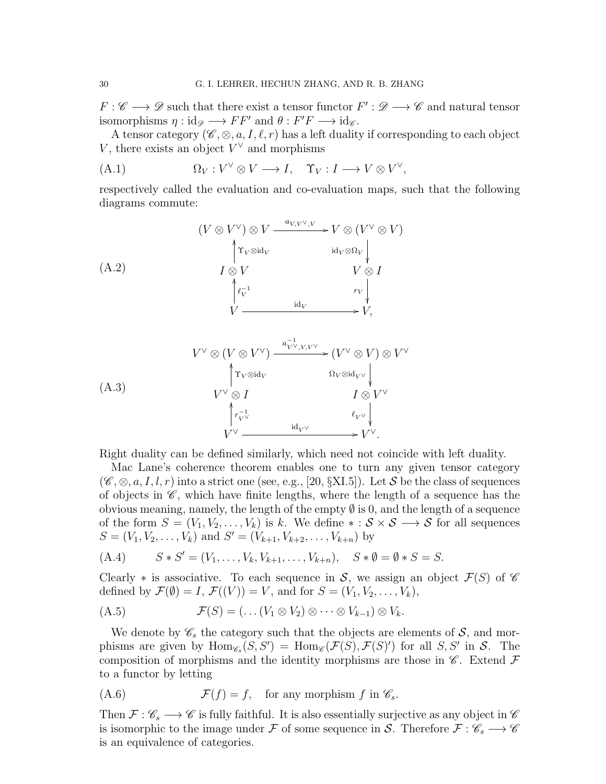$F: \mathscr{C} \longrightarrow \mathscr{D}$  such that there exist a tensor functor  $F': \mathscr{D} \longrightarrow \mathscr{C}$  and natural tensor isomorphisms  $\eta : id_{\mathscr{D}} \longrightarrow FF'$  and  $\theta : F'F \longrightarrow id_{\mathscr{C}}$ .

A tensor category ( $\mathscr{C}, \otimes, a, I, \ell, r$ ) has a left duality if corresponding to each object V, there exists an object  $V^{\vee}$  and morphisms

(A.1) 
$$
\Omega_V: V^{\vee} \otimes V \longrightarrow I, \quad \Upsilon_V: I \longrightarrow V \otimes V^{\vee},
$$

respectively called the evaluation and co-evaluation maps, such that the following diagrams commute:

$$
(A.2) \qquad (V \otimes V^{\vee}) \otimes V \xrightarrow{a_{V,V^{\vee},V}} V \otimes (V^{\vee} \otimes V)
$$
\n
$$
I \otimes V \qquad \qquad i d_V \otimes \Omega_V
$$
\n
$$
\uparrow_{V} \otimes I
$$
\n
$$
\uparrow_{V} \qquad \qquad V \otimes I
$$
\n
$$
V \xrightarrow{d_V} \qquad \qquad r_V
$$
\n
$$
V \xrightarrow{id_V} V,
$$

$$
(A.3) \tV^{\vee} \otimes (V \otimes V^{\vee}) \xrightarrow{a_{V^{\vee}, V, V^{\vee}}^{-1}} (V^{\vee} \otimes V) \otimes V^{\vee} \uparrow
$$
  
\t
$$
V^{\vee} \otimes I \tI \otimes V^{\vee}
$$
  
\t
$$
\uparrow_{V^{\vee}}^{-1} \tI \otimes V^{\vee}
$$
  
\t
$$
V^{\vee} \xrightarrow{\text{id}_{V^{\vee}} \tI_{V^{\vee}}} \t\downarrow
$$
  
\t
$$
V^{\vee} \xrightarrow{\text{id}_{V^{\vee}}} V^{\vee}.
$$

Right duality can be defined similarly, which need not coincide with left duality.

Mac Lane's coherence theorem enables one to turn any given tensor category  $(\mathscr{C}, \otimes, a, I, l, r)$  into a strict one (see, e.g., [20, §XI.5]). Let S be the class of sequences of objects in  $\mathscr{C}$ , which have finite lengths, where the length of a sequence has the obvious meaning, namely, the length of the empty  $\emptyset$  is 0, and the length of a sequence of the form  $S = (V_1, V_2, \ldots, V_k)$  is k. We define  $* : \mathcal{S} \times \mathcal{S} \longrightarrow \mathcal{S}$  for all sequences  $S = (V_1, V_2, \dots, V_k)$  and  $S' = (V_{k+1}, V_{k+2}, \dots, V_{k+n})$  by

(A.4) 
$$
S * S' = (V_1, ..., V_k, V_{k+1}, ..., V_{k+n}), S * \emptyset = \emptyset * S = S.
$$

Clearly  $*$  is associative. To each sequence in S, we assign an object  $\mathcal{F}(S)$  of  $\mathscr{C}$ defined by  $\mathcal{F}(\emptyset) = I$ ,  $\mathcal{F}((V)) = V$ , and for  $S = (V_1, V_2, \ldots, V_k)$ ,

$$
(A.5) \t\t \mathcal{F}(S) = (\dots (V_1 \otimes V_2) \otimes \dots \otimes V_{k-1}) \otimes V_k.
$$

We denote by  $\mathscr{C}_s$  the category such that the objects are elements of  $\mathcal{S}_s$ , and morphisms are given by  $\text{Hom}_{\mathscr{C}_s}(S, S') = \text{Hom}_{\mathscr{C}}(\mathcal{F}(S), \mathcal{F}(S)')$  for all  $S, S'$  in S. The composition of morphisms and the identity morphisms are those in  $\mathscr{C}$ . Extend  $\mathcal F$ to a functor by letting

(A.6) 
$$
\mathcal{F}(f) = f, \text{ for any morphism } f \text{ in } \mathscr{C}_s.
$$

Then  $\mathcal{F} : \mathscr{C}_s \longrightarrow \mathscr{C}$  is fully faithful. It is also essentially surjective as any object in  $\mathscr{C}$ is isomorphic to the image under F of some sequence in S. Therefore  $\mathcal{F} : \mathscr{C}_s \longrightarrow \mathscr{C}$ is an equivalence of categories.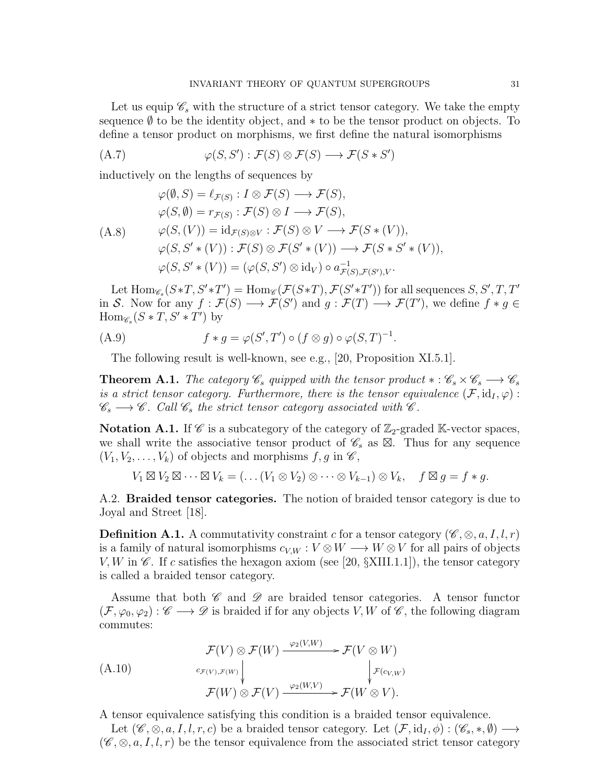Let us equip  $\mathscr{C}_s$  with the structure of a strict tensor category. We take the empty sequence  $\emptyset$  to be the identity object, and  $*$  to be the tensor product on objects. To define a tensor product on morphisms, we first define the natural isomorphisms

(A.7) 
$$
\varphi(S, S') : \mathcal{F}(S) \otimes \mathcal{F}(S) \longrightarrow \mathcal{F}(S * S')
$$

inductively on the lengths of sequences by

$$
\varphi(\emptyset, S) = \ell_{\mathcal{F}(S)} : I \otimes \mathcal{F}(S) \longrightarrow \mathcal{F}(S),
$$
  
\n
$$
\varphi(S, \emptyset) = r_{\mathcal{F}(S)} : \mathcal{F}(S) \otimes I \longrightarrow \mathcal{F}(S),
$$
  
\n(A.8) 
$$
\varphi(S, (V)) = id_{\mathcal{F}(S) \otimes V} : \mathcal{F}(S) \otimes V \longrightarrow \mathcal{F}(S * (V)),
$$
  
\n
$$
\varphi(S, S' * (V)) : \mathcal{F}(S) \otimes \mathcal{F}(S' * (V)) \longrightarrow \mathcal{F}(S * S' * (V)),
$$
  
\n
$$
\varphi(S, S' * (V)) = (\varphi(S, S') \otimes id_V) \circ a_{\mathcal{F}(S), \mathcal{F}(S'), V}^{-1}.
$$

Let  $\text{Hom}_{\mathscr{C}_s}(S*T, S'*T') = \text{Hom}_{\mathscr{C}}(\mathcal{F}(S*T), \mathcal{F}(S'*T'))$  for all sequences  $S, S', T, T'$ in S. Now for any  $f : \mathcal{F}(S) \longrightarrow \mathcal{F}(S')$  and  $g : \mathcal{F}(T) \longrightarrow \mathcal{F}(T')$ , we define  $f * g \in$  $\text{Hom}_{\mathscr{C}_s}(S * T, S' * T')$  by

(A.9) 
$$
f * g = \varphi(S', T') \circ (f \otimes g) \circ \varphi(S, T)^{-1}.
$$

The following result is well-known, see e.g., [20, Proposition XI.5.1].

**Theorem A.1.** The category  $\mathscr{C}_s$  quipped with the tensor product  $* : \mathscr{C}_s \times \mathscr{C}_s \longrightarrow \mathscr{C}_s$ is a strict tensor category. Furthermore, there is the tensor equivalence  $(\mathcal{F}, id_I, \varphi)$ :  $\mathscr{C}_s \longrightarrow \mathscr{C}$ . Call  $\mathscr{C}_s$  the strict tensor category associated with  $\mathscr{C}$ .

**Notation A.1.** If  $\mathscr{C}$  is a subcategory of the category of  $\mathbb{Z}_2$ -graded K-vector spaces, we shall write the associative tensor product of  $\mathscr{C}_s$  as  $\boxtimes$ . Thus for any sequence  $(V_1, V_2, \ldots, V_k)$  of objects and morphisms  $f, g$  in  $\mathscr{C}$ ,

 $V_1 \boxtimes V_2 \boxtimes \cdots \boxtimes V_k = (\ldots (V_1 \otimes V_2) \otimes \cdots \otimes V_{k-1}) \otimes V_k, \quad f \boxtimes g = f * g.$ 

A.2. Braided tensor categories. The notion of braided tensor category is due to Joyal and Street [18].

**Definition A.1.** A commutativity constraint c for a tensor category ( $\mathscr{C}, \otimes, a, I, l, r$ ) is a family of natural isomorphisms  $c_{V,W}: V \otimes W \longrightarrow W \otimes V$  for all pairs of objects V, W in  $\mathscr{C}$ . If c satisfies the hexagon axiom (see [20,  $\S$ XIII.1.1]), the tensor category is called a braided tensor category.

Assume that both  $\mathscr C$  and  $\mathscr D$  are braided tensor categories. A tensor functor  $(\mathcal{F}, \varphi_0, \varphi_2) : \mathscr{C} \longrightarrow \mathscr{D}$  is braided if for any objects V, W of  $\mathscr{C}$ , the following diagram commutes:

$$
\mathcal{F}(V) \otimes \mathcal{F}(W) \xrightarrow{\varphi_2(V,W)} \mathcal{F}(V \otimes W)
$$
\n
$$
\xrightarrow{c_{\mathcal{F}(V), \mathcal{F}(W)}} \downarrow^{\varphi_2(V,W)} \downarrow^{\mathcal{F}(c_{V,W})}
$$
\n
$$
\mathcal{F}(W) \otimes \mathcal{F}(V) \xrightarrow{\varphi_2(W,V)} \mathcal{F}(W \otimes V).
$$

A tensor equivalence satisfying this condition is a braided tensor equivalence.

Let  $(\mathscr{C}, \otimes, a, I, l, r, c)$  be a braided tensor category. Let  $(\mathcal{F}, id_I, \phi) : (\mathscr{C}_s, \ast, \emptyset) \longrightarrow$  $(\mathscr{C}, \otimes, a, I, l, r)$  be the tensor equivalence from the associated strict tensor category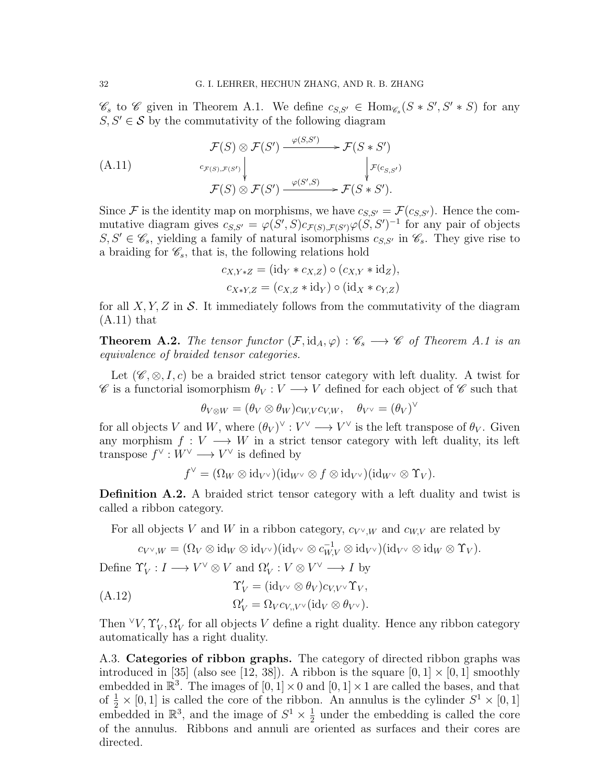$\mathscr{C}_s$  to  $\mathscr{C}$  given in Theorem A.1. We define  $c_{S,S'} \in \text{Hom}_{\mathscr{C}_s}(S * S', S' * S)$  for any  $S, S' \in \mathcal{S}$  by the commutativity of the following diagram

$$
\mathcal{F}(S) \otimes \mathcal{F}(S') \xrightarrow{\varphi(S,S')} \mathcal{F}(S * S')
$$
\n
$$
(A.11) \qquad c_{\mathcal{F}(S),\mathcal{F}(S')} \downarrow \qquad \qquad \downarrow \mathcal{F}(c_{S,S'})
$$
\n
$$
\mathcal{F}(S) \otimes \mathcal{F}(S') \xrightarrow{\varphi(S',S)} \mathcal{F}(S * S').
$$

Since F is the identity map on morphisms, we have  $c_{S,S'} = \mathcal{F}(c_{S,S'})$ . Hence the commutative diagram gives  $c_{S,S'} = \varphi(S',S)c_{\mathcal{F}(S),\mathcal{F}(S')} \varphi(S,S')^{-1}$  for any pair of objects  $S, S' \in \mathscr{C}_s$ , yielding a family of natural isomorphisms  $c_{S,S'}$  in  $\mathscr{C}_s$ . They give rise to a braiding for  $\mathscr{C}_s$ , that is, the following relations hold

$$
c_{X,Y*Z} = (\mathrm{id}_Y * c_{X,Z}) \circ (c_{X,Y} * \mathrm{id}_Z),
$$
  

$$
c_{X*Y,Z} = (c_{X,Z} * \mathrm{id}_Y) \circ (\mathrm{id}_X * c_{Y,Z})
$$

for all X, Y, Z in S. It immediately follows from the commutativity of the diagram  $(A.11)$  that

**Theorem A.2.** The tensor functor  $(\mathcal{F}, id_A, \varphi) : \mathscr{C}_s \longrightarrow \mathscr{C}$  of Theorem A.1 is an equivalence of braided tensor categories.

Let  $(\mathscr{C}, \otimes, I, c)$  be a braided strict tensor category with left duality. A twist for  $\mathscr C$  is a functorial isomorphism  $\theta_V : V \longrightarrow V$  defined for each object of  $\mathscr C$  such that

 $\theta_{V\otimes W} = (\theta_V \otimes \theta_W) c_{W,V} c_{V,W}, \quad \theta_{V^{\vee}} = (\theta_V)^{\vee}$ 

for all objects V and W, where  $(\theta_V)^{\vee} : V^{\vee} \longrightarrow V^{\vee}$  is the left transpose of  $\theta_V$ . Given any morphism  $f: V \longrightarrow W$  in a strict tensor category with left duality, its left transpose  $f^{\vee}: W^{\vee} \longrightarrow V^{\vee}$  is defined by

$$
f^{\vee} = (\Omega_W \otimes \mathrm{id}_{V^{\vee}})(\mathrm{id}_{W^{\vee}} \otimes f \otimes \mathrm{id}_{V^{\vee}})(\mathrm{id}_{W^{\vee}} \otimes \Upsilon_V).
$$

Definition A.2. A braided strict tensor category with a left duality and twist is called a ribbon category.

For all objects V and W in a ribbon category,  $c_{V}$  w and  $c_{W,V}$  are related by

$$
c_{V^\vee,W}=(\Omega_V\otimes \mathrm{id}_W\otimes \mathrm{id}_{V^\vee})(\mathrm{id}_{V^\vee}\otimes c_{W,V}^{-1}\otimes \mathrm{id}_{V^\vee})(\mathrm{id}_{V^\vee}\otimes \mathrm{id}_W\otimes \Upsilon_V).
$$

Define  $\Upsilon'_V : I \longrightarrow V^{\vee} \otimes V$  and  $\Omega'_V : V \otimes V^{\vee} \longrightarrow I$  by

$$
\begin{aligned} \Upsilon_V' &= (\mathrm{id}_{V^\vee} \otimes \theta_V) c_{V,V^\vee} \Upsilon_V, \\ \Omega_V' &= \Omega_V c_{V,V^\vee} (\mathrm{id}_V \otimes \theta_{V^\vee}). \end{aligned}
$$

Then  $\forall V, \Upsilon_V', \Omega_V'$  for all objects V define a right duality. Hence any ribbon category automatically has a right duality.

A.3. Categories of ribbon graphs. The category of directed ribbon graphs was introduced in [35] (also see [12, 38]). A ribbon is the square  $[0, 1] \times [0, 1]$  smoothly embedded in  $\mathbb{R}^3$ . The images of  $[0,1] \times 0$  and  $[0,1] \times 1$  are called the bases, and that of  $\frac{1}{2} \times [0, 1]$  is called the core of the ribbon. An annulus is the cylinder  $S^1 \times [0, 1]$ embedded in  $\mathbb{R}^3$ , and the image of  $S^1 \times \frac{1}{2}$  $\frac{1}{2}$  under the embedding is called the core of the annulus. Ribbons and annuli are oriented as surfaces and their cores are directed.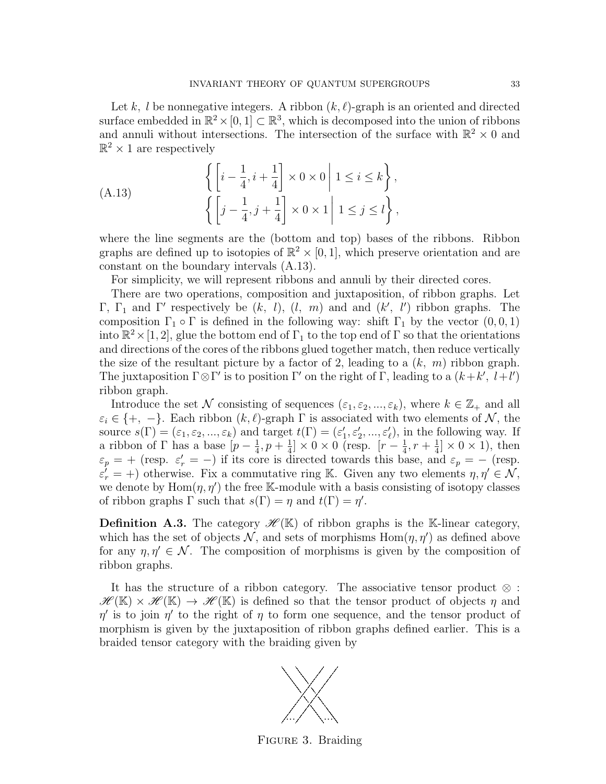Let k, l be nonnegative integers. A ribbon  $(k, \ell)$ -graph is an oriented and directed surface embedded in  $\mathbb{R}^2 \times [0,1] \subset \mathbb{R}^3$ , which is decomposed into the union of ribbons and annuli without intersections. The intersection of the surface with  $\mathbb{R}^2 \times 0$  and  $\mathbb{R}^2 \times 1$  are respectively

(A.13) 
$$
\left\{ \left[ i - \frac{1}{4}, i + \frac{1}{4} \right] \times 0 \times 0 \middle| 1 \le i \le k \right\},\
$$

$$
\left\{ \left[ j - \frac{1}{4}, j + \frac{1}{4} \right] \times 0 \times 1 \middle| 1 \le j \le l \right\},\
$$

where the line segments are the (bottom and top) bases of the ribbons. Ribbon graphs are defined up to isotopies of  $\mathbb{R}^2 \times [0,1]$ , which preserve orientation and are constant on the boundary intervals (A.13).

For simplicity, we will represent ribbons and annuli by their directed cores.

There are two operations, composition and juxtaposition, of ribbon graphs. Let Γ, Γ<sub>1</sub> and Γ' respectively be  $(k, l)$ ,  $(l, m)$  and and  $(k', l')$  ribbon graphs. The composition  $\Gamma_1 \circ \Gamma$  is defined in the following way: shift  $\Gamma_1$  by the vector  $(0, 0, 1)$ into  $\mathbb{R}^2 \times [1,2]$ , glue the bottom end of  $\Gamma_1$  to the top end of  $\Gamma$  so that the orientations and directions of the cores of the ribbons glued together match, then reduce vertically the size of the resultant picture by a factor of 2, leading to a  $(k, m)$  ribbon graph. The juxtaposition  $\Gamma \otimes \Gamma'$  is to position  $\Gamma'$  on the right of  $\Gamma$ , leading to a  $(k+k', l+l')$ ribbon graph.

Introduce the set N consisting of sequences  $(\varepsilon_1, \varepsilon_2, ..., \varepsilon_k)$ , where  $k \in \mathbb{Z}_+$  and all  $\varepsilon_i \in \{+, -\}.$  Each ribbon  $(k, \ell)$ -graph  $\Gamma$  is associated with two elements of N, the source  $s(\Gamma) = (\varepsilon_1, \varepsilon_2, ..., \varepsilon_k)$  and target  $t(\Gamma) = (\varepsilon'_1, \varepsilon'_2, ..., \varepsilon'_\ell)$ , in the following way. If a ribbon of Γ has a base  $[p-\frac{1}{4}]$  $\frac{1}{4}$ ,  $p + \frac{1}{4}$  $\frac{1}{4} \times 0 \times 0$  (resp.  $[r - \frac{1}{4}]$  $\frac{1}{4}$ ,  $r + \frac{1}{4}$  $\frac{1}{4}]\times 0 \times 1$ , then  $\varepsilon_p = +$  (resp.  $\varepsilon'_r = -$ ) if its core is directed towards this base, and  $\varepsilon_p = -$  (resp.  $\varepsilon_r' = +$ ) otherwise. Fix a commutative ring K. Given any two elements  $\eta, \eta' \in \mathcal{N}$ , we denote by  $\text{Hom}(\eta, \eta')$  the free K-module with a basis consisting of isotopy classes of ribbon graphs  $\Gamma$  such that  $s(\Gamma) = \eta$  and  $t(\Gamma) = \eta'$ .

**Definition A.3.** The category  $\mathscr{H}(\mathbb{K})$  of ribbon graphs is the K-linear category, which has the set of objects  $N$ , and sets of morphisms  $Hom(\eta, \eta')$  as defined above for any  $\eta, \eta' \in \mathcal{N}$ . The composition of morphisms is given by the composition of ribbon graphs.

It has the structure of a ribbon category. The associative tensor product  $\otimes$ :  $\mathscr{H}(\mathbb{K}) \times \mathscr{H}(\mathbb{K}) \to \mathscr{H}(\mathbb{K})$  is defined so that the tensor product of objects  $\eta$  and  $\eta'$  is to join  $\eta'$  to the right of  $\eta$  to form one sequence, and the tensor product of morphism is given by the juxtaposition of ribbon graphs defined earlier. This is a braided tensor category with the braiding given by



FIGURE 3. Braiding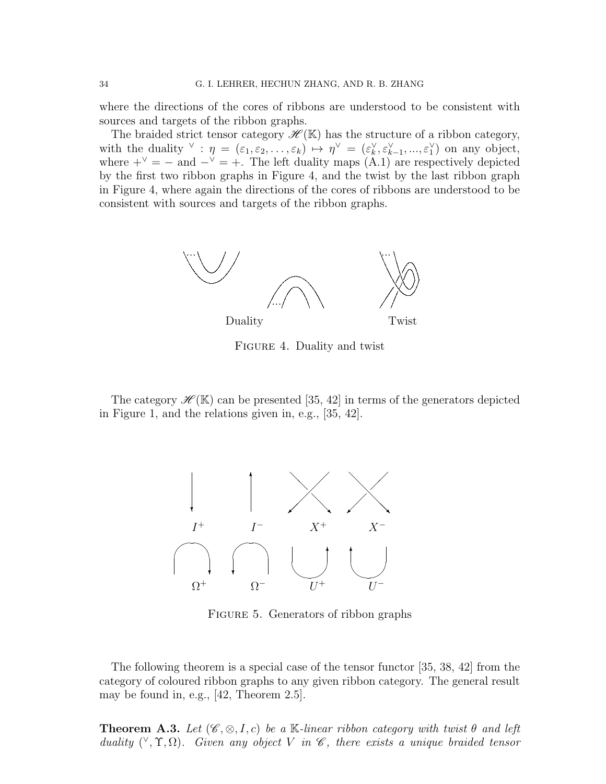where the directions of the cores of ribbons are understood to be consistent with sources and targets of the ribbon graphs.

The braided strict tensor category  $\mathscr{H}(\mathbb{K})$  has the structure of a ribbon category, with the duality  $\vee$ :  $\eta = (\varepsilon_1, \varepsilon_2, \ldots, \varepsilon_k) \mapsto \eta^{\vee} = (\varepsilon_k^{\vee}, \varepsilon_{k-1}^{\vee}, \ldots, \varepsilon_1^{\vee})$  on any object, where  $+^{\vee} = -$  and  $-^{\vee} = +$ . The left duality maps (A.1) are respectively depicted by the first two ribbon graphs in Figure 4, and the twist by the last ribbon graph in Figure 4, where again the directions of the cores of ribbons are understood to be consistent with sources and targets of the ribbon graphs.



Figure 4. Duality and twist

The category  $\mathscr{H}(\mathbb{K})$  can be presented [35, 42] in terms of the generators depicted in Figure 1, and the relations given in, e.g., [35, 42].



FIGURE 5. Generators of ribbon graphs

The following theorem is a special case of the tensor functor [35, 38, 42] from the category of coloured ribbon graphs to any given ribbon category. The general result may be found in, e.g., [42, Theorem 2.5].

**Theorem A.3.** Let  $(\mathscr{C}, \otimes, I, c)$  be a K-linear ribbon category with twist  $\theta$  and left duality  $({}^{\vee}, \Upsilon, \Omega)$ . Given any object V in  $\mathscr{C}$ , there exists a unique braided tensor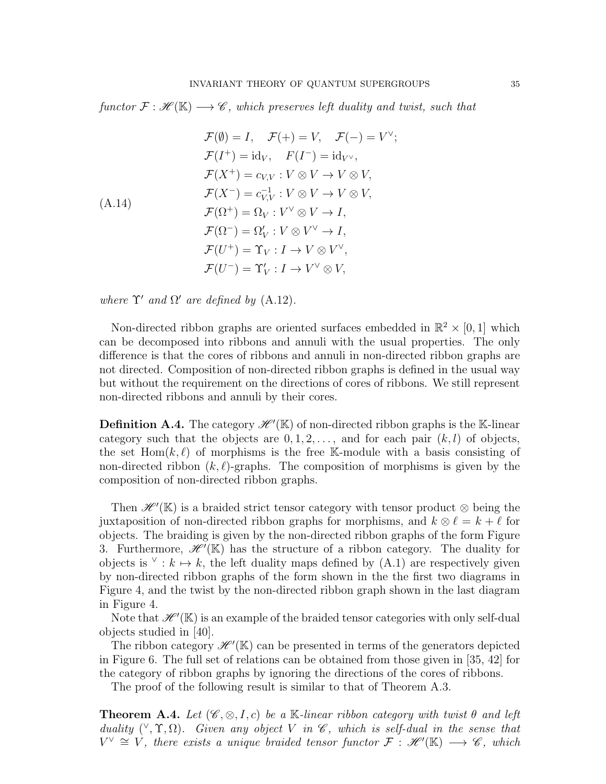functor  $\mathcal{F}: \mathcal{H}(\mathbb{K}) \longrightarrow \mathcal{C}$ , which preserves left duality and twist, such that

$$
\mathcal{F}(\emptyset) = I, \quad \mathcal{F}(+) = V, \quad \mathcal{F}(-) = V^{\vee};
$$
\n
$$
\mathcal{F}(I^{+}) = id_{V}, \quad F(I^{-}) = id_{V^{\vee}},
$$
\n
$$
\mathcal{F}(X^{+}) = c_{V,V} : V \otimes V \to V \otimes V,
$$
\n
$$
\mathcal{F}(X^{-}) = c_{V,V}^{-1} : V \otimes V \to V \otimes V,
$$
\n
$$
\mathcal{F}(\Omega^{+}) = \Omega_{V} : V^{\vee} \otimes V \to I,
$$
\n
$$
\mathcal{F}(\Omega^{-}) = \Omega'_{V} : V \otimes V^{\vee} \to I,
$$
\n
$$
\mathcal{F}(U^{+}) = \Upsilon_{V} : I \to V \otimes V^{\vee},
$$
\n
$$
\mathcal{F}(U^{-}) = \Upsilon'_{V} : I \to V^{\vee} \otimes V,
$$

where  $\Upsilon'$  and  $\Omega'$  are defined by (A.12).

Non-directed ribbon graphs are oriented surfaces embedded in  $\mathbb{R}^2 \times [0,1]$  which can be decomposed into ribbons and annuli with the usual properties. The only difference is that the cores of ribbons and annuli in non-directed ribbon graphs are not directed. Composition of non-directed ribbon graphs is defined in the usual way but without the requirement on the directions of cores of ribbons. We still represent non-directed ribbons and annuli by their cores.

**Definition A.4.** The category  $\mathscr{H}'(\mathbb{K})$  of non-directed ribbon graphs is the K-linear category such that the objects are  $0, 1, 2, \ldots$ , and for each pair  $(k, l)$  of objects, the set  $Hom(k, \ell)$  of morphisms is the free K-module with a basis consisting of non-directed ribbon  $(k, \ell)$ -graphs. The composition of morphisms is given by the composition of non-directed ribbon graphs.

Then  $\mathscr{H}'(\mathbb{K})$  is a braided strict tensor category with tensor product  $\otimes$  being the juxtaposition of non-directed ribbon graphs for morphisms, and  $k \otimes \ell = k + \ell$  for objects. The braiding is given by the non-directed ribbon graphs of the form Figure 3. Furthermore,  $\mathscr{H}(\mathbb{K})$  has the structure of a ribbon category. The duality for objects is  $\vee$ :  $k \mapsto k$ , the left duality maps defined by (A.1) are respectively given by non-directed ribbon graphs of the form shown in the the first two diagrams in Figure 4, and the twist by the non-directed ribbon graph shown in the last diagram in Figure 4.

Note that  $\mathscr{H}'(\mathbb{K})$  is an example of the braided tensor categories with only self-dual objects studied in [40].

The ribbon category  $\mathscr{H}'(\mathbb{K})$  can be presented in terms of the generators depicted in Figure 6. The full set of relations can be obtained from those given in [35, 42] for the category of ribbon graphs by ignoring the directions of the cores of ribbons.

The proof of the following result is similar to that of Theorem A.3.

**Theorem A.4.** Let  $(\mathscr{C}, \otimes, I, c)$  be a K-linear ribbon category with twist  $\theta$  and left duality  $({}^{\vee}, \Upsilon, \Omega)$ . Given any object V in  $\mathscr{C}$ , which is self-dual in the sense that  $V^{\vee} \cong V$ , there exists a unique braided tensor functor  $\mathcal{F}$ :  $\mathscr{H}'(\mathbb{K}) \longrightarrow \mathscr{C}$ , which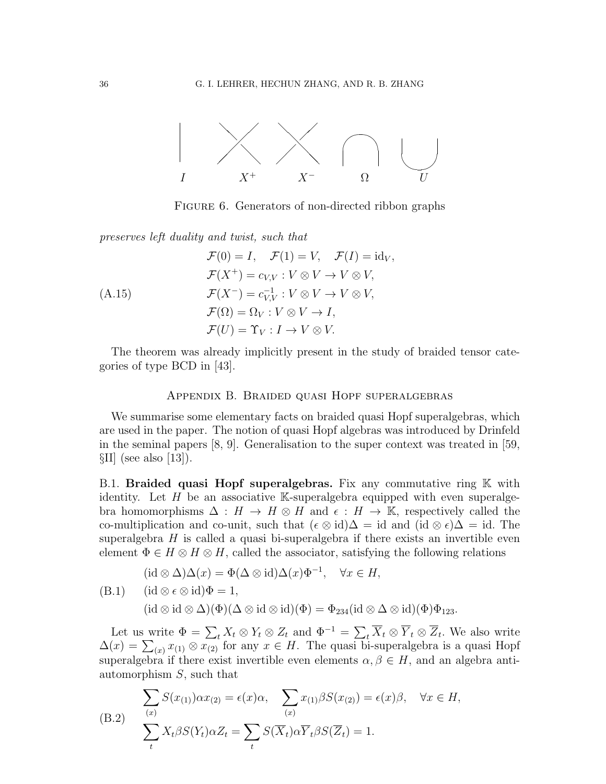

FIGURE 6. Generators of non-directed ribbon graphs

preserves left duality and twist, such that

$$
\mathcal{F}(0) = I, \quad \mathcal{F}(1) = V, \quad \mathcal{F}(I) = id_V,
$$
\n
$$
\mathcal{F}(X^+) = c_{V,V} : V \otimes V \to V \otimes V,
$$
\n
$$
\mathcal{F}(X^-) = c_{V,V}^{-1} : V \otimes V \to V \otimes V,
$$
\n
$$
\mathcal{F}(\Omega) = \Omega_V : V \otimes V \to I,
$$
\n
$$
\mathcal{F}(U) = \Upsilon_V : I \to V \otimes V.
$$

The theorem was already implicitly present in the study of braided tensor categories of type BCD in [43].

### Appendix B. Braided quasi Hopf superalgebras

We summarise some elementary facts on braided quasi Hopf superalgebras, which are used in the paper. The notion of quasi Hopf algebras was introduced by Drinfeld in the seminal papers [8, 9]. Generalisation to the super context was treated in [59,  $\SII$  (see also [13]).

B.1. Braided quasi Hopf superalgebras. Fix any commutative ring  $K$  with identity. Let  $H$  be an associative K-superalgebra equipped with even superalgebra homomorphisms  $\Delta : H \to H \otimes H$  and  $\epsilon : H \to \mathbb{K}$ , respectively called the co-multiplication and co-unit, such that  $({\epsilon \otimes id})\Delta = id$  and  $(id \otimes {\epsilon})\Delta = id$ . The superalgebra  $H$  is called a quasi bi-superalgebra if there exists an invertible even element  $\Phi \in H \otimes H \otimes H$ , called the associator, satisfying the following relations

$$
(\mathrm{id} \otimes \Delta)\Delta(x) = \Phi(\Delta \otimes \mathrm{id})\Delta(x)\Phi^{-1}, \quad \forall x \in H,
$$
  
(B.1) 
$$
(\mathrm{id} \otimes \epsilon \otimes \mathrm{id})\Phi = 1,
$$
  

$$
(\mathrm{id} \otimes \mathrm{id} \otimes \Delta)(\Phi)(\Delta \otimes \mathrm{id} \otimes \mathrm{id})(\Phi) = \Phi_{234}(\mathrm{id} \otimes \Delta \otimes \mathrm{id})(\Phi)\Phi_{123}.
$$

Let us write  $\Phi = \sum_t X_t \otimes Y_t \otimes Z_t$  and  $\Phi^{-1} = \sum_t \overline{X}_t \otimes \overline{Y}_t \otimes \overline{Z}_t$ . We also write  $\Delta(x) = \sum_{(x)} x_{(1)} \otimes x_{(2)}$  for any  $x \in H$ . The quasi bi-superalgebra is a quasi Hopf superalgebra if there exist invertible even elements  $\alpha, \beta \in H$ , and an algebra antiautomorphism S, such that

(B.2) 
$$
\sum_{(x)} S(x_{(1)}) \alpha x_{(2)} = \epsilon(x) \alpha, \sum_{(x)} x_{(1)} \beta S(x_{(2)}) = \epsilon(x) \beta, \quad \forall x \in H,
$$
  

$$
\sum_{t} X_t \beta S(Y_t) \alpha Z_t = \sum_{t} S(\overline{X}_t) \alpha \overline{Y}_t \beta S(\overline{Z}_t) = 1.
$$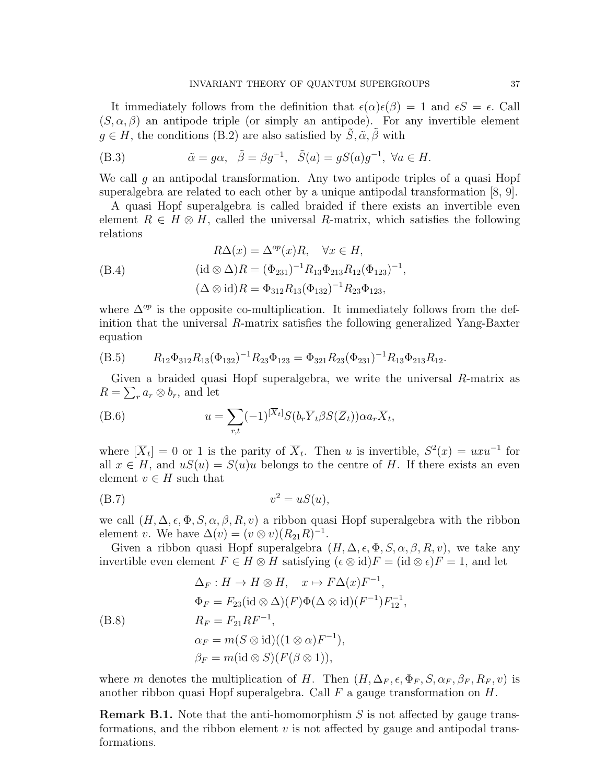It immediately follows from the definition that  $\epsilon(\alpha)\epsilon(\beta) = 1$  and  $\epsilon S = \epsilon$ . Call  $(S, \alpha, \beta)$  an antipode triple (or simply an antipode). For any invertible element  $g \in H$ , the conditions (B.2) are also satisfied by  $\tilde{S}, \tilde{\alpha}, \tilde{\beta}$  with

(B.3) 
$$
\tilde{\alpha} = g\alpha, \quad \tilde{\beta} = \beta g^{-1}, \quad \tilde{S}(a) = gS(a)g^{-1}, \quad \forall a \in H.
$$

We call q an antipodal transformation. Any two antipode triples of a quasi Hopf superalgebra are related to each other by a unique antipodal transformation [8, 9].

A quasi Hopf superalgebra is called braided if there exists an invertible even element  $R \in H \otimes H$ , called the universal R-matrix, which satisfies the following relations

,

$$
R\Delta(x) = \Delta^{op}(x)R, \quad \forall x \in H,
$$
  
(B.4)  

$$
(\text{id} \otimes \Delta)R = (\Phi_{231})^{-1}R_{13}\Phi_{213}R_{12}(\Phi_{123})^{-1}
$$
  

$$
(\Delta \otimes \text{id})R = \Phi_{312}R_{13}(\Phi_{132})^{-1}R_{23}\Phi_{123},
$$

where  $\Delta^{op}$  is the opposite co-multiplication. It immediately follows from the definition that the universal R-matrix satisfies the following generalized Yang-Baxter equation

(B.5) 
$$
R_{12}\Phi_{312}R_{13}(\Phi_{132})^{-1}R_{23}\Phi_{123} = \Phi_{321}R_{23}(\Phi_{231})^{-1}R_{13}\Phi_{213}R_{12}.
$$

Given a braided quasi Hopf superalgebra, we write the universal  $R$ -matrix as  $R = \sum_{r} a_r \otimes b_r$ , and let

(B.6) 
$$
u = \sum_{r,t} (-1)^{[\overline{X}_t]} S(b_r \overline{Y}_t \beta S(\overline{Z}_t)) \alpha a_r \overline{X}_t,
$$

where  $[\overline{X}_t] = 0$  or 1 is the parity of  $\overline{X}_t$ . Then u is invertible,  $S^2(x) = uxu^{-1}$  for all  $x \in H$ , and  $uS(u) = S(u)u$  belongs to the centre of H. If there exists an even element  $v \in H$  such that

$$
(B.7) \t\t v2 = uS(u),
$$

we call  $(H, \Delta, \epsilon, \Phi, S, \alpha, \beta, R, v)$  a ribbon quasi Hopf superalgebra with the ribbon element v. We have  $\Delta(v) = (v \otimes v)(R_{21}R)^{-1}$ .

Given a ribbon quasi Hopf superalgebra  $(H, \Delta, \epsilon, \Phi, S, \alpha, \beta, R, v)$ , we take any invertible even element  $F \in H \otimes H$  satisfying  $({\epsilon \otimes id})F = (id \otimes {\epsilon})F = 1$ , and let

$$
\Delta_F : H \to H \otimes H, \quad x \mapsto F\Delta(x)F^{-1},
$$
  
\n
$$
\Phi_F = F_{23}(\text{id} \otimes \Delta)(F)\Phi(\Delta \otimes \text{id})(F^{-1})F_{12}^{-1},
$$
  
\n
$$
R_F = F_{21}RF^{-1},
$$
  
\n
$$
\alpha_F = m(S \otimes \text{id})((1 \otimes \alpha)F^{-1}),
$$
  
\n
$$
\beta_F = m(\text{id} \otimes S)(F(\beta \otimes 1)),
$$

where m denotes the multiplication of H. Then  $(H, \Delta_F, \epsilon, \Phi_F, S, \alpha_F, \beta_F, R_F, v)$  is another ribbon quasi Hopf superalgebra. Call  $F$  a gauge transformation on  $H$ .

**Remark B.1.** Note that the anti-homomorphism  $S$  is not affected by gauge transformations, and the ribbon element  $v$  is not affected by gauge and antipodal transformations.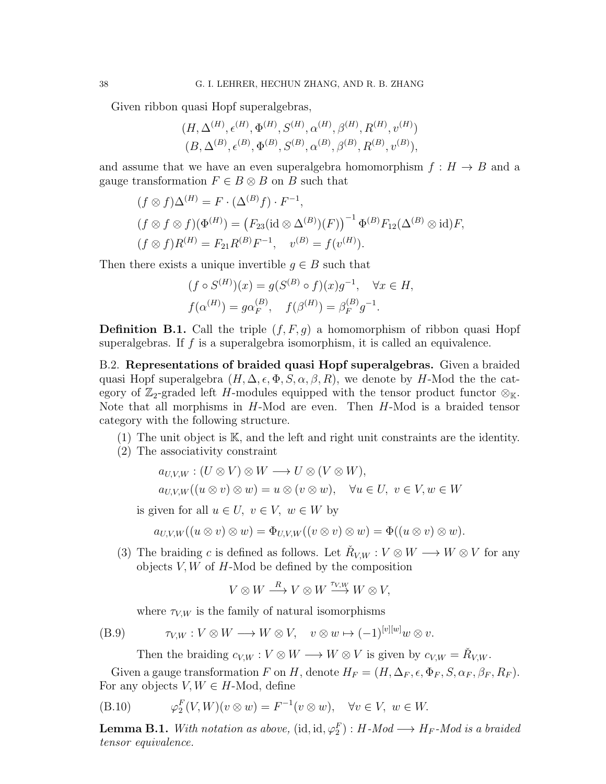Given ribbon quasi Hopf superalgebras,

$$
(H, \Delta^{(H)}, \epsilon^{(H)}, \Phi^{(H)}, S^{(H)}, \alpha^{(H)}, \beta^{(H)}, R^{(H)}, v^{(H)})
$$
  
 $(B, \Delta^{(B)}, \epsilon^{(B)}, \Phi^{(B)}, S^{(B)}, \alpha^{(B)}, \beta^{(B)}, R^{(B)}, v^{(B)}),$ 

and assume that we have an even superalgebra homomorphism  $f : H \to B$  and a gauge transformation  $F \in B \otimes B$  on B such that

$$
(f \otimes f)\Delta^{(H)} = F \cdot (\Delta^{(B)}f) \cdot F^{-1},
$$
  
\n
$$
(f \otimes f \otimes f)(\Phi^{(H)}) = (F_{23}(\text{id} \otimes \Delta^{(B)})(F))^{-1} \Phi^{(B)} F_{12}(\Delta^{(B)} \otimes \text{id})F,
$$
  
\n
$$
(f \otimes f)R^{(H)} = F_{21}R^{(B)}F^{-1}, \quad v^{(B)} = f(v^{(H)}).
$$

Then there exists a unique invertible  $q \in B$  such that

$$
(f \circ S^{(H)})(x) = g(S^{(B)} \circ f)(x)g^{-1}, \quad \forall x \in H,
$$
  

$$
f(\alpha^{(H)}) = g\alpha_F^{(B)}, \quad f(\beta^{(H)}) = \beta_F^{(B)}g^{-1}.
$$

**Definition B.1.** Call the triple  $(f, F, g)$  a homomorphism of ribbon quasi Hopf superalgebras. If  $f$  is a superalgebra isomorphism, it is called an equivalence.

B.2. Representations of braided quasi Hopf superalgebras. Given a braided quasi Hopf superalgebra  $(H, \Delta, \epsilon, \Phi, S, \alpha, \beta, R)$ , we denote by H-Mod the the category of  $\mathbb{Z}_2$ -graded left H-modules equipped with the tensor product functor  $\otimes_{\mathbb{K}}$ . Note that all morphisms in H-Mod are even. Then H-Mod is a braided tensor category with the following structure.

(1) The unit object is K, and the left and right unit constraints are the identity.

(2) The associativity constraint

$$
a_{U,V,W} : (U \otimes V) \otimes W \longrightarrow U \otimes (V \otimes W),
$$
  
\n
$$
a_{U,V,W}((u \otimes v) \otimes w) = u \otimes (v \otimes w), \quad \forall u \in U, v \in V, w \in W
$$

is given for all  $u \in U$ ,  $v \in V$ ,  $w \in W$  by

$$
a_{U,V,W}((u \otimes v) \otimes w) = \Phi_{U,V,W}((v \otimes v) \otimes w) = \Phi((u \otimes v) \otimes w).
$$

(3) The braiding c is defined as follows. Let  $\check{R}_{V,W}: V \otimes W \longrightarrow W \otimes V$  for any objects  $V, W$  of  $H$ -Mod be defined by the composition

$$
V \otimes W \stackrel{R}{\longrightarrow} V \otimes W \stackrel{\tau_{V,W}}{\longrightarrow} W \otimes V,
$$

where  $\tau_{V,W}$  is the family of natural isomorphisms

(B.9) 
$$
\tau_{V,W}: V \otimes W \longrightarrow W \otimes V, \quad v \otimes w \mapsto (-1)^{[v][w]} w \otimes v.
$$

Then the braiding  $c_{V,W}: V \otimes W \longrightarrow W \otimes V$  is given by  $c_{V,W} = \check{R}_{V,W}$ .

Given a gauge transformation F on H, denote  $H_F = (H, \Delta_F, \epsilon, \Phi_F, S, \alpha_F, \beta_F, R_F)$ . For any objects  $V, W \in H$ -Mod, define

(B.10) 
$$
\varphi_2^F(V,W)(v\otimes w) = F^{-1}(v\otimes w), \quad \forall v \in V, \ w \in W.
$$

**Lemma B.1.** With notation as above,  $(id, id, \varphi_2^F) : H\text{-}Mod \longrightarrow H_F\text{-}Mod$  is a braided tensor equivalence.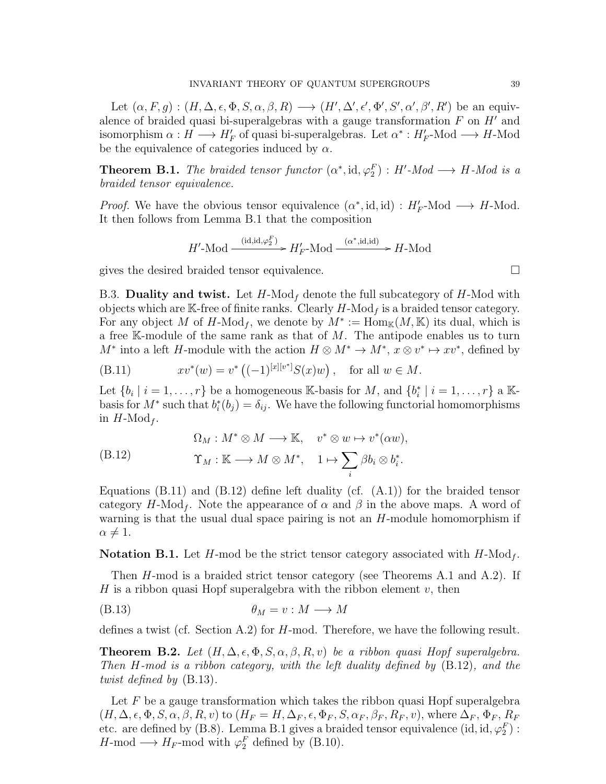Let  $(\alpha, F, g) : (H, \Delta, \epsilon, \Phi, S, \alpha, \beta, R) \longrightarrow (H', \Delta', \epsilon', \Phi', S', \alpha', \beta', R')$  be an equivalence of braided quasi bi-superalgebras with a gauge transformation  $F$  on  $H'$  and isomorphism  $\alpha: H \longrightarrow H_F'$  of quasi bi-superalgebras. Let  $\alpha^*: H_F'$ -Mod  $\longrightarrow H$ -Mod be the equivalence of categories induced by  $\alpha$ .

**Theorem B.1.** The braided tensor functor  $(\alpha^*, id, \varphi_2^F) : H'$ -Mod  $\longrightarrow H$ -Mod is a braided tensor equivalence.

*Proof.* We have the obvious tensor equivalence  $(\alpha^*, \text{id}, \text{id}) : H_F'$ -Mod  $\longrightarrow H$ -Mod. It then follows from Lemma B.1 that the composition

$$
H'
$$
-Mod  $\xrightarrow{\text{(id,id,\varphi_2^F)}} H'_F$ -Mod  $\xrightarrow{(\alpha^*,\text{id},\text{id})}$   $\to H$ -Mod

gives the desired braided tensor equivalence.

B.3. Duality and twist. Let  $H\text{-Mod}_f$  denote the full subcategory of  $H\text{-Mod}$  with objects which are K-free of finite ranks. Clearly  $H\text{-Mod}_f$  is a braided tensor category. For any object M of H-Mod<sub>f</sub>, we denote by  $M^* := \text{Hom}_{\mathbb{K}}(M, \mathbb{K})$  its dual, which is a free K-module of the same rank as that of  $M$ . The antipode enables us to turn  $M^*$  into a left H-module with the action  $H \otimes M^* \to M^*, x \otimes v^* \mapsto xv^*$ , defined by

(B.11) 
$$
xv^*(w) = v^*\left((-1)^{[x][v^*]}S(x)w\right), \text{ for all } w \in M.
$$

Let  $\{b_i \mid i = 1, \ldots, r\}$  be a homogeneous K-basis for M, and  $\{b_i^* \mid i = 1, \ldots, r\}$  a Kbasis for  $M^*$  such that  $b_i^*(b_j) = \delta_{ij}$ . We have the following functorial homomorphisms in  $H\text{-Mod}_f$ .

(B.12) 
$$
\Omega_M: M^* \otimes M \longrightarrow \mathbb{K}, \quad v^* \otimes w \mapsto v^*(\alpha w),
$$

$$
\Upsilon_M: \mathbb{K} \longrightarrow M \otimes M^*, \quad 1 \mapsto \sum_i \beta b_i \otimes b_i^*.
$$

Equations  $(B.11)$  and  $(B.12)$  define left duality (cf.  $(A.1)$ ) for the braided tensor category  $H\text{-Mod}_f$ . Note the appearance of  $\alpha$  and  $\beta$  in the above maps. A word of warning is that the usual dual space pairing is not an  $H$ -module homomorphism if  $\alpha \neq 1$ .

**Notation B.1.** Let H-mod be the strict tensor category associated with  $H\text{-Mod}_f$ .

Then H-mod is a braided strict tensor category (see Theorems A.1 and A.2). If H is a ribbon quasi Hopf superalgebra with the ribbon element  $v$ , then

(B.13) θ<sup>M</sup> = v : M −→ M

defines a twist (cf. Section A.2) for H-mod. Therefore, we have the following result.

**Theorem B.2.** Let  $(H, \Delta, \epsilon, \Phi, S, \alpha, \beta, R, v)$  be a ribbon quasi Hopf superalgebra. Then H-mod is a ribbon category, with the left duality defined by (B.12), and the twist defined by (B.13).

Let  $F$  be a gauge transformation which takes the ribbon quasi Hopf superalgebra  $(H, \Delta, \epsilon, \Phi, S, \alpha, \beta, R, v)$  to  $(H_F = H, \Delta_F, \epsilon, \Phi_F, S, \alpha_F, \beta_F, R_F, v)$ , where  $\Delta_F$ ,  $\Phi_F$ ,  $R_F$ etc. are defined by (B.8). Lemma B.1 gives a braided tensor equivalence (id, id,  $\varphi_2^F$ ) :  $H\text{-mod} \longrightarrow H_F\text{-mod with } \varphi_2^F$  defined by (B.10).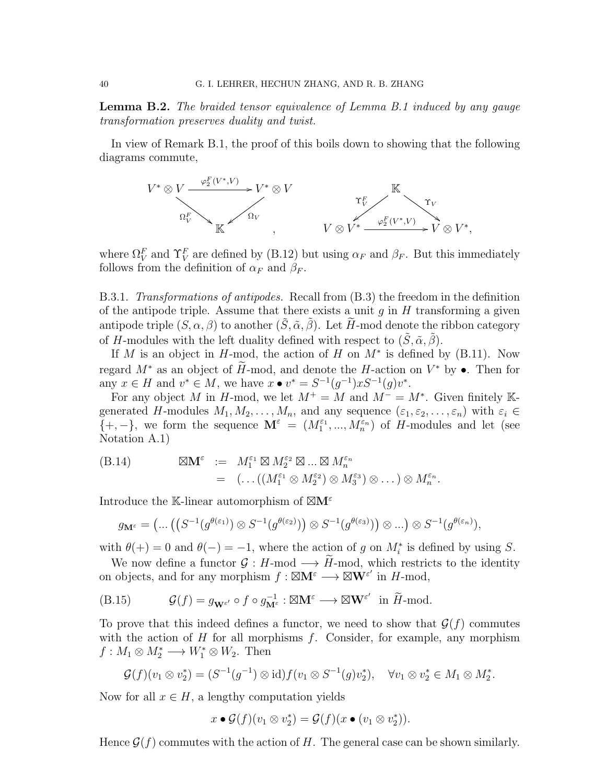**Lemma B.2.** The braided tensor equivalence of Lemma B.1 induced by any gauge transformation preserves duality and twist.

In view of Remark B.1, the proof of this boils down to showing that the following diagrams commute,



where  $\Omega_V^F$  and  $\Upsilon_V^F$  are defined by (B.12) but using  $\alpha_F$  and  $\beta_F$ . But this immediately follows from the definition of  $\alpha_F$  and  $\beta_F$ .

B.3.1. Transformations of antipodes. Recall from (B.3) the freedom in the definition of the antipode triple. Assume that there exists a unit  $q$  in  $H$  transforming a given antipode triple  $(S, \alpha, \beta)$  to another  $(\tilde{S}, \tilde{\alpha}, \tilde{\beta})$ . Let  $\tilde{H}$ -mod denote the ribbon category of H-modules with the left duality defined with respect to  $(S, \tilde{\alpha}, \tilde{\beta})$ .

If M is an object in H-mod, the action of H on  $M^*$  is defined by (B.11). Now regard  $M^*$  as an object of  $\tilde{H}$ -mod, and denote the  $H$ -action on  $V^*$  by  $\bullet$ . Then for any  $x \in H$  and  $v^* \in M$ , we have  $x \bullet v^* = S^{-1}(g^{-1})xS^{-1}(g)v^*$ .

For any object M in H-mod, we let  $M^+ = M$  and  $M^- = M^*$ . Given finitely Kgenerated H-modules  $M_1, M_2, \ldots, M_n$ , and any sequence  $(\varepsilon_1, \varepsilon_2, \ldots, \varepsilon_n)$  with  $\varepsilon_i \in$  $\{+, -\}$ , we form the sequence  $\mathbf{M}^{\varepsilon} = (M_1^{\varepsilon_1}, ..., M_n^{\varepsilon_n})$  of H-modules and let (see Notation A.1)

$$
\begin{array}{lll} \text{(B.14)} & \boxtimes \mathbf{M}^{\varepsilon} & := & M_1^{\varepsilon_1} \boxtimes M_2^{\varepsilon_2} \boxtimes \ldots \boxtimes M_n^{\varepsilon_n} \\ & = & \left( \ldots \left( \left( M_1^{\varepsilon_1} \otimes M_2^{\varepsilon_2} \right) \otimes M_3^{\varepsilon_3} \right) \otimes \ldots \right) \otimes M_n^{\varepsilon_n} . \end{array}
$$

Introduce the K-linear automorphism of  $\boxtimes M^{\varepsilon}$ 

$$
g_{\mathbf{M}^{\varepsilon}} = \left( \dots \left( \left( S^{-1}(g^{\theta(\varepsilon_1)}) \otimes S^{-1}(g^{\theta(\varepsilon_2)}) \right) \otimes S^{-1}(g^{\theta(\varepsilon_3)}) \right) \otimes \dots \right) \otimes S^{-1}(g^{\theta(\varepsilon_n)}),
$$

with  $\theta(+) = 0$  and  $\theta(-) = -1$ , where the action of g on  $M_i^*$  is defined by using S.

We now define a functor  $\mathcal{G}: H\text{-mod} \longrightarrow \widetilde{H}\text{-mod}$ , which restricts to the identity on objects, and for any morphism  $f : \boxtimes \mathbf{M}^{\varepsilon} \longrightarrow \boxtimes \mathbf{W}^{\varepsilon'}$  in  $H\text{-mod}$ ,

(B.15) 
$$
\mathcal{G}(f) = g_{\mathbf{W}^{\varepsilon'}} \circ f \circ g_{\mathbf{M}^{\varepsilon}}^{-1} : \boxtimes \mathbf{M}^{\varepsilon} \longrightarrow \boxtimes \mathbf{W}^{\varepsilon'} \text{ in } \widetilde{H} \text{-mod.}
$$

To prove that this indeed defines a functor, we need to show that  $\mathcal{G}(f)$  commutes with the action of  $H$  for all morphisms  $f$ . Consider, for example, any morphism  $f: M_1 \otimes M_2^* \longrightarrow W_1^* \otimes W_2$ . Then

$$
\mathcal{G}(f)(v_1 \otimes v_2^*) = (S^{-1}(g^{-1}) \otimes id) f(v_1 \otimes S^{-1}(g)v_2^*), \quad \forall v_1 \otimes v_2^* \in M_1 \otimes M_2^*.
$$

Now for all  $x \in H$ , a lengthy computation yields

$$
x \bullet \mathcal{G}(f)(v_1 \otimes v_2^*) = \mathcal{G}(f)(x \bullet (v_1 \otimes v_2^*)).
$$

Hence  $\mathcal{G}(f)$  commutes with the action of H. The general case can be shown similarly.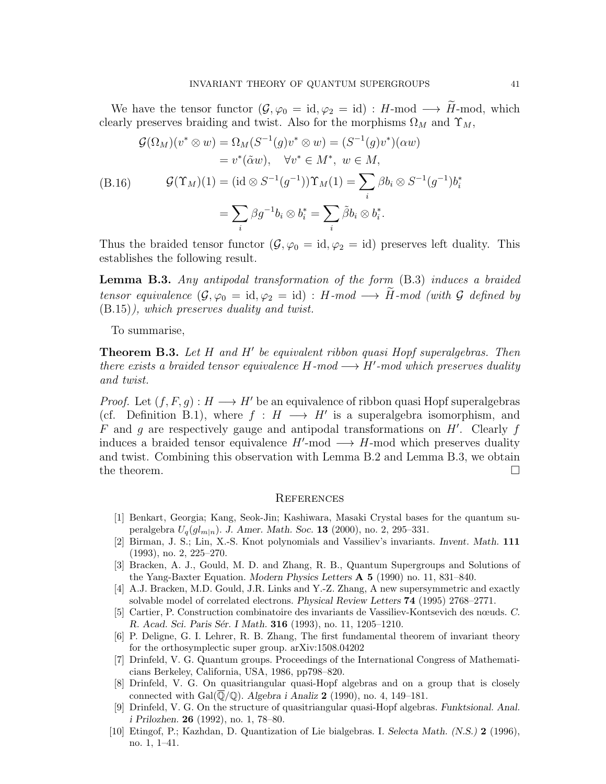We have the tensor functor  $(\mathcal{G}, \varphi_0 = \text{id}, \varphi_2 = \text{id}) : H\text{-mod} \longrightarrow \widetilde{H}\text{-mod}$ , which clearly preserves braiding and twist. Also for the morphisms  $\Omega_M$  and  $\Upsilon_M$ ,

$$
\mathcal{G}(\Omega_M)(v^* \otimes w) = \Omega_M(S^{-1}(g)v^* \otimes w) = (S^{-1}(g)v^*)(\alpha w)
$$
  
\n
$$
= v^*(\tilde{\alpha}w), \quad \forall v^* \in M^*, \ w \in M,
$$
  
\n(B.16) 
$$
\mathcal{G}(\Upsilon_M)(1) = (\mathrm{id} \otimes S^{-1}(g^{-1}))\Upsilon_M(1) = \sum_i \beta b_i \otimes S^{-1}(g^{-1})b_i^*
$$
  
\n
$$
= \sum_i \beta g^{-1}b_i \otimes b_i^* = \sum_i \tilde{\beta}b_i \otimes b_i^*.
$$

Thus the braided tensor functor  $(\mathcal{G}, \varphi_0 = \text{id}, \varphi_2 = \text{id})$  preserves left duality. This establishes the following result.

Lemma B.3. Any antipodal transformation of the form  $(B.3)$  induces a braided tensor equivalence  $(\mathcal{G}, \varphi_0 = \text{id}, \varphi_2 = \text{id}) : H\text{-mod} \longrightarrow \widetilde{H}\text{-mod}$  (with  $\mathcal G$  defined by (B.15)), which preserves duality and twist.

To summarise,

**Theorem B.3.** Let  $H$  and  $H'$  be equivalent ribbon quasi Hopf superalgebras. Then there exists a braided tensor equivalence  $H$ -mod  $\longrightarrow H'$ -mod which preserves duality and twist.

*Proof.* Let  $(f, F, g) : H \longrightarrow H'$  be an equivalence of ribbon quasi Hopf superalgebras (cf. Definition B.1), where  $f : H \longrightarrow H'$  is a superalgebra isomorphism, and  $F$  and  $g$  are respectively gauge and antipodal transformations on  $H'$ . Clearly  $f$ induces a braided tensor equivalence  $H'$ -mod  $\longrightarrow H$ -mod which preserves duality and twist. Combining this observation with Lemma B.2 and Lemma B.3, we obtain the theorem.  $\Box$ 

#### **REFERENCES**

- [1] Benkart, Georgia; Kang, Seok-Jin; Kashiwara, Masaki Crystal bases for the quantum superalgebra  $U_q(gl_{m|n})$ . J. Amer. Math. Soc. 13 (2000), no. 2, 295–331.
- [2] Birman, J. S.; Lin, X.-S. Knot polynomials and Vassiliev's invariants. Invent. Math. 111 (1993), no. 2, 225–270.
- [3] Bracken, A. J., Gould, M. D. and Zhang, R. B., Quantum Supergroups and Solutions of the Yang-Baxter Equation. Modern Physics Letters A 5 (1990) no. 11, 831–840.
- [4] A.J. Bracken, M.D. Gould, J.R. Links and Y.-Z. Zhang, A new supersymmetric and exactly solvable model of correlated electrons. Physical Review Letters 74 (1995) 2768–2771.
- [5] Cartier, P. Construction combinatoire des invariants de Vassiliev-Kontsevich des nœuds. C. R. Acad. Sci. Paris Sér. I Math. **316** (1993), no. 11, 1205–1210.
- [6] P. Deligne, G. I. Lehrer, R. B. Zhang, The first fundamental theorem of invariant theory for the orthosymplectic super group. arXiv:1508.04202
- [7] Drinfeld, V. G. Quantum groups. Proceedings of the International Congress of Mathematicians Berkeley, California, USA, 1986, pp798–820.
- [8] Drinfeld, V. G. On quasitriangular quasi-Hopf algebras and on a group that is closely connected with  $Gal(\overline{\mathbb{Q}}/\mathbb{Q})$ . Algebra i Analiz 2 (1990), no. 4, 149–181.
- [9] Drinfeld, V. G. On the structure of quasitriangular quasi-Hopf algebras. Funktsional. Anal. i Prilozhen. 26 (1992), no. 1, 78–80.
- [10] Etingof, P.; Kazhdan, D. Quantization of Lie bialgebras. I. Selecta Math. (N.S.) 2 (1996), no. 1, 1–41.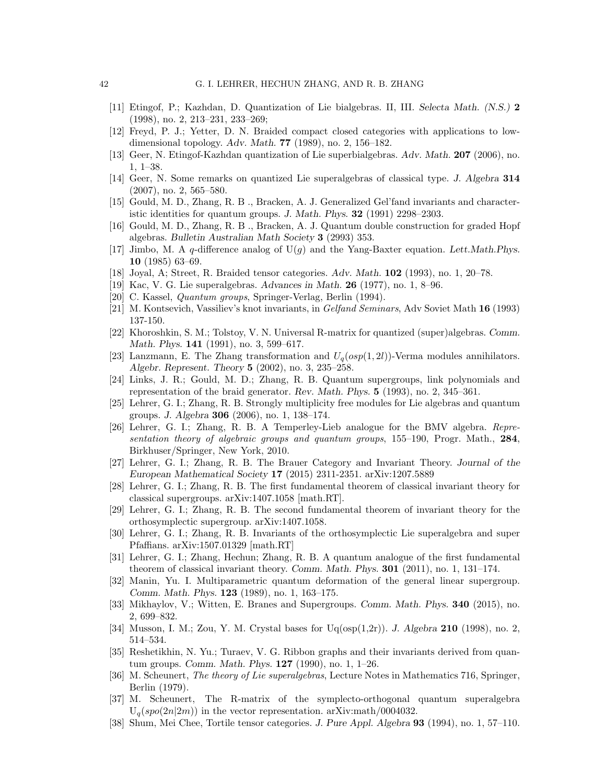- [11] Etingof, P.; Kazhdan, D. Quantization of Lie bialgebras. II, III. Selecta Math. (N.S.) 2 (1998), no. 2, 213–231, 233–269;
- [12] Freyd, P. J.; Yetter, D. N. Braided compact closed categories with applications to lowdimensional topology. Adv. Math. 77 (1989), no. 2, 156–182.
- [13] Geer, N. Etingof-Kazhdan quantization of Lie superbialgebras. Adv. Math. 207 (2006), no. 1, 1–38.
- [14] Geer, N. Some remarks on quantized Lie superalgebras of classical type. J. Algebra 314 (2007), no. 2, 565–580.
- [15] Gould, M. D., Zhang, R. B ., Bracken, A. J. Generalized Gel'fand invariants and characteristic identities for quantum groups. J. Math. Phys. 32 (1991) 2298–2303.
- [16] Gould, M. D., Zhang, R. B ., Bracken, A. J. Quantum double construction for graded Hopf algebras. Bulletin Australian Math Society 3 (2993) 353.
- [17] Jimbo, M. A q-difference analog of  $U(q)$  and the Yang-Baxter equation. Lett.Math.Phys. 10 (1985) 63–69.
- [18] Joyal, A; Street, R. Braided tensor categories. Adv. Math. 102 (1993), no. 1, 20–78.
- [19] Kac, V. G. Lie superalgebras. Advances in Math. 26 (1977), no. 1, 8–96.
- [20] C. Kassel, Quantum groups, Springer-Verlag, Berlin (1994).
- [21] M. Kontsevich, Vassiliev's knot invariants, in Gelfand Seminars, Adv Soviet Math 16 (1993) 137-150.
- [22] Khoroshkin, S. M.; Tolstoy, V. N. Universal R-matrix for quantized (super)algebras. Comm. Math. Phys. **141** (1991), no. 3, 599–617.
- [23] Lanzmann, E. The Zhang transformation and  $U_q(osp(1, 2l))$ -Verma modules annihilators. Algebr. Represent. Theory 5 (2002), no. 3, 235–258.
- [24] Links, J. R.; Gould, M. D.; Zhang, R. B. Quantum supergroups, link polynomials and representation of the braid generator. Rev. Math. Phys. 5 (1993), no. 2, 345–361.
- [25] Lehrer, G. I.; Zhang, R. B. Strongly multiplicity free modules for Lie algebras and quantum groups. J. Algebra 306 (2006), no. 1, 138–174.
- [26] Lehrer, G. I.; Zhang, R. B. A Temperley-Lieb analogue for the BMV algebra. Representation theory of algebraic groups and quantum groups, 155–190, Progr. Math., 284, Birkhuser/Springer, New York, 2010.
- [27] Lehrer, G. I.; Zhang, R. B. The Brauer Category and Invariant Theory. Journal of the European Mathematical Society 17 (2015) 2311-2351. arXiv:1207.5889
- [28] Lehrer, G. I.; Zhang, R. B. The first fundamental theorem of classical invariant theory for classical supergroups. arXiv:1407.1058 [math.RT].
- [29] Lehrer, G. I.; Zhang, R. B. The second fundamental theorem of invariant theory for the orthosymplectic supergroup. arXiv:1407.1058.
- [30] Lehrer, G. I.; Zhang, R. B. Invariants of the orthosymplectic Lie superalgebra and super Pfaffians. arXiv:1507.01329 [math.RT]
- [31] Lehrer, G. I.; Zhang, Hechun; Zhang, R. B. A quantum analogue of the first fundamental theorem of classical invariant theory. Comm. Math. Phys. 301 (2011), no. 1, 131–174.
- [32] Manin, Yu. I. Multiparametric quantum deformation of the general linear supergroup. Comm. Math. Phys. 123 (1989), no. 1, 163–175.
- [33] Mikhaylov, V.; Witten, E. Branes and Supergroups. Comm. Math. Phys. 340 (2015), no. 2, 699–832.
- [34] Musson, I. M.; Zou, Y. M. Crystal bases for  $U_q(osp(1,2r))$ . J. Algebra 210 (1998), no. 2, 514–534.
- [35] Reshetikhin, N. Yu.; Turaev, V. G. Ribbon graphs and their invariants derived from quantum groups. Comm. Math. Phys. 127 (1990), no. 1, 1–26.
- [36] M. Scheunert, The theory of Lie superalgebras, Lecture Notes in Mathematics 716, Springer, Berlin (1979).
- [37] M. Scheunert, The R-matrix of the symplecto-orthogonal quantum superalgebra  $U_q(spo(2n|2m))$  in the vector representation. arXiv:math/0004032.
- [38] Shum, Mei Chee, Tortile tensor categories. J. Pure Appl. Algebra 93 (1994), no. 1, 57–110.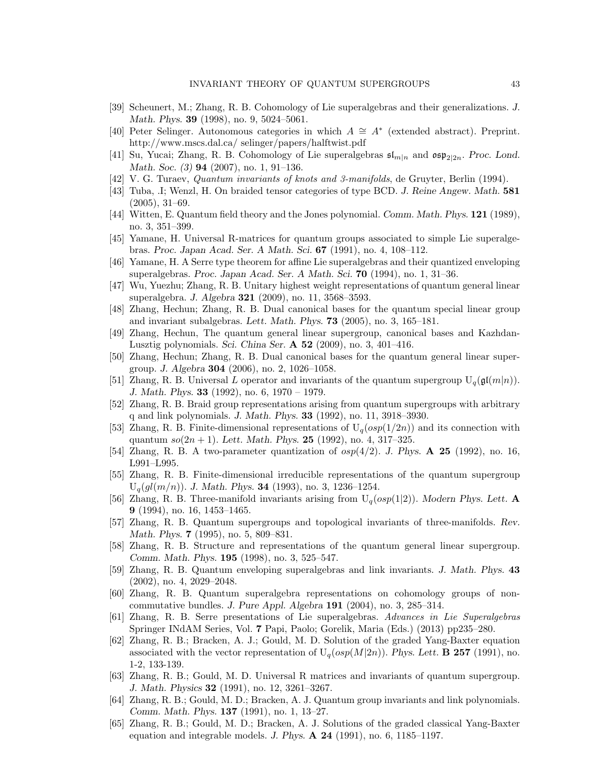- [39] Scheunert, M.; Zhang, R. B. Cohomology of Lie superalgebras and their generalizations. J. Math. Phys. 39 (1998), no. 9, 5024–5061.
- [40] Peter Selinger. Autonomous categories in which A ∼= A<sup>∗</sup> (extended abstract). Preprint. http://www.mscs.dal.ca/ selinger/papers/halftwist.pdf
- [41] Su, Yucai; Zhang, R. B. Cohomology of Lie superalgebras  $\mathfrak{sl}_{m|n}$  and  $\mathfrak{osp}_{2|2n}$ . Proc. Lond. Math. Soc. (3) **94** (2007), no. 1, 91–136.
- [42] V. G. Turaev, Quantum invariants of knots and 3-manifolds, de Gruyter, Berlin (1994).
- [43] Tuba, .I; Wenzl, H. On braided tensor categories of type BCD. J. Reine Angew. Math. 581 (2005), 31–69.
- [44] Witten, E. Quantum field theory and the Jones polynomial. Comm. Math. Phys. 121 (1989), no. 3, 351–399.
- [45] Yamane, H. Universal R-matrices for quantum groups associated to simple Lie superalgebras. Proc. Japan Acad. Ser. A Math. Sci. 67 (1991), no. 4, 108–112.
- [46] Yamane, H. A Serre type theorem for affine Lie superalgebras and their quantized enveloping superalgebras. Proc. Japan Acad. Ser. A Math. Sci. 70 (1994), no. 1, 31–36.
- [47] Wu, Yuezhu; Zhang, R. B. Unitary highest weight representations of quantum general linear superalgebra. J. Algebra 321 (2009), no. 11, 3568–3593.
- [48] Zhang, Hechun; Zhang, R. B. Dual canonical bases for the quantum special linear group and invariant subalgebras. Lett. Math. Phys. 73 (2005), no. 3, 165–181.
- [49] Zhang, Hechun, The quantum general linear supergroup, canonical bases and Kazhdan-Lusztig polynomials. Sci. China Ser. A 52 (2009), no. 3, 401–416.
- [50] Zhang, Hechun; Zhang, R. B. Dual canonical bases for the quantum general linear supergroup. J. Algebra 304 (2006), no. 2, 1026–1058.
- [51] Zhang, R. B. Universal L operator and invariants of the quantum supergroup  $U_q(\mathfrak{gl}(m|n))$ . J. Math. Phys. 33 (1992), no. 6, 1970 – 1979.
- [52] Zhang, R. B. Braid group representations arising from quantum supergroups with arbitrary q and link polynomials. J. Math. Phys. 33 (1992), no. 11, 3918–3930.
- [53] Zhang, R. B. Finite-dimensional representations of  $U_q(sp(1/2n))$  and its connection with quantum  $so(2n + 1)$ . Lett. Math. Phys. 25 (1992), no. 4, 317-325.
- [54] Zhang, R. B. A two-parameter quantization of  $osp(4/2)$ . J. Phys. A 25 (1992), no. 16, L991–L995.
- [55] Zhang, R. B. Finite-dimensional irreducible representations of the quantum supergroup  $U_q(gl(m/n))$ . J. Math. Phys. **34** (1993), no. 3, 1236–1254.
- [56] Zhang, R. B. Three-manifold invariants arising from  $U_q(osp(1|2))$ . Modern Phys. Lett. A 9 (1994), no. 16, 1453–1465.
- [57] Zhang, R. B. Quantum supergroups and topological invariants of three-manifolds. Rev. Math. Phys. **7** (1995), no. 5, 809-831.
- [58] Zhang, R. B. Structure and representations of the quantum general linear supergroup. Comm. Math. Phys. 195 (1998), no. 3, 525–547.
- [59] Zhang, R. B. Quantum enveloping superalgebras and link invariants. J. Math. Phys. 43 (2002), no. 4, 2029–2048.
- [60] Zhang, R. B. Quantum superalgebra representations on cohomology groups of noncommutative bundles. J. Pure Appl. Algebra 191 (2004), no. 3, 285–314.
- [61] Zhang, R. B. Serre presentations of Lie superalgebras. Advances in Lie Superalgebras Springer INdAM Series, Vol. 7 Papi, Paolo; Gorelik, Maria (Eds.) (2013) pp235–280.
- [62] Zhang, R. B.; Bracken, A. J.; Gould, M. D. Solution of the graded Yang-Baxter equation associated with the vector representation of  $U_q(osp(M|2n))$ . Phys. Lett. **B 257** (1991), no. 1-2, 133-139.
- [63] Zhang, R. B.; Gould, M. D. Universal R matrices and invariants of quantum supergroup. J. Math. Physics 32 (1991), no. 12, 3261–3267.
- [64] Zhang, R. B.; Gould, M. D.; Bracken, A. J. Quantum group invariants and link polynomials. Comm. Math. Phys. 137 (1991), no. 1, 13–27.
- [65] Zhang, R. B.; Gould, M. D.; Bracken, A. J. Solutions of the graded classical Yang-Baxter equation and integrable models. J. Phys.  $\bf{A}$  **24** (1991), no. 6, 1185–1197.